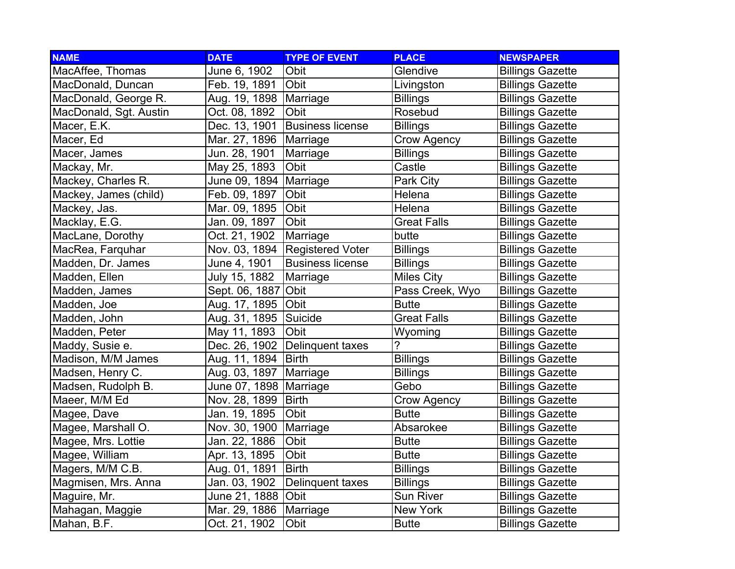| <b>NAME</b>            | <b>DATE</b>              | <b>TYPE OF EVENT</b>    | <b>PLACE</b>       | <b>NEWSPAPER</b>        |
|------------------------|--------------------------|-------------------------|--------------------|-------------------------|
| MacAffee, Thomas       | June 6, 1902             | Obit                    | Glendive           | <b>Billings Gazette</b> |
| MacDonald, Duncan      | Feb. 19, 1891            | Obit                    | Livingston         | <b>Billings Gazette</b> |
| MacDonald, George R.   | Aug. 19, 1898   Marriage |                         | <b>Billings</b>    | <b>Billings Gazette</b> |
| MacDonald, Sgt. Austin | Oct. 08, 1892            | Obit                    | Rosebud            | <b>Billings Gazette</b> |
| Macer, E.K.            | Dec. 13, 1901            | <b>Business license</b> | <b>Billings</b>    | <b>Billings Gazette</b> |
| Macer, Ed              | Mar. 27, 1896            | Marriage                | Crow Agency        | <b>Billings Gazette</b> |
| Macer, James           | Jun. 28, 1901            | Marriage                | <b>Billings</b>    | <b>Billings Gazette</b> |
| Mackay, Mr.            | May 25, 1893             | Obit                    | Castle             | <b>Billings Gazette</b> |
| Mackey, Charles R.     | June 09, 1894            | Marriage                | Park City          | <b>Billings Gazette</b> |
| Mackey, James (child)  | Feb. 09, 1897            | Obit                    | Helena             | <b>Billings Gazette</b> |
| Mackey, Jas.           | Mar. 09, 1895            | Obit                    | Helena             | <b>Billings Gazette</b> |
| Macklay, E.G.          | Jan. 09, 1897            | Obit                    | <b>Great Falls</b> | <b>Billings Gazette</b> |
| MacLane, Dorothy       | Oct. 21, 1902            | Marriage                | butte              | <b>Billings Gazette</b> |
| MacRea, Farquhar       | Nov. 03, 1894            | <b>Registered Voter</b> | <b>Billings</b>    | <b>Billings Gazette</b> |
| Madden, Dr. James      | June 4, 1901             | <b>Business license</b> | <b>Billings</b>    | <b>Billings Gazette</b> |
| Madden, Ellen          | July 15, 1882            | Marriage                | <b>Miles City</b>  | <b>Billings Gazette</b> |
| Madden, James          | Sept. 06, 1887           | Obit                    | Pass Creek, Wyo    | <b>Billings Gazette</b> |
| Madden, Joe            | Aug. 17, 1895            | Obit                    | <b>Butte</b>       | <b>Billings Gazette</b> |
| Madden, John           | Aug. 31, 1895            | Suicide                 | <b>Great Falls</b> | <b>Billings Gazette</b> |
| Madden, Peter          | May 11, 1893             | Obit                    | Wyoming            | <b>Billings Gazette</b> |
| Maddy, Susie e.        | Dec. 26, 1902            | Delinquent taxes        | 7                  | <b>Billings Gazette</b> |
| Madison, M/M James     | Aug. 11, 1894            | <b>Birth</b>            | <b>Billings</b>    | <b>Billings Gazette</b> |
| Madsen, Henry C.       | Aug. 03, 1897            | Marriage                | <b>Billings</b>    | <b>Billings Gazette</b> |
| Madsen, Rudolph B.     | June 07, 1898            | Marriage                | Gebo               | <b>Billings Gazette</b> |
| Maeer, M/M Ed          | Nov. 28, 1899            | <b>Birth</b>            | Crow Agency        | <b>Billings Gazette</b> |
| Magee, Dave            | Jan. 19, 1895            | Obit                    | <b>Butte</b>       | <b>Billings Gazette</b> |
| Magee, Marshall O.     | Nov. 30, 1900            | Marriage                | Absarokee          | <b>Billings Gazette</b> |
| Magee, Mrs. Lottie     | Jan. 22, 1886            | Obit                    | <b>Butte</b>       | <b>Billings Gazette</b> |
| Magee, William         | Apr. 13, 1895            | Obit                    | <b>Butte</b>       | <b>Billings Gazette</b> |
| Magers, M/M C.B.       | Aug. 01, 1891            | <b>Birth</b>            | <b>Billings</b>    | <b>Billings Gazette</b> |
| Magmisen, Mrs. Anna    | Jan. 03, 1902            | Delinquent taxes        | <b>Billings</b>    | <b>Billings Gazette</b> |
| Maguire, Mr.           | June 21, 1888            | Obit                    | Sun River          | <b>Billings Gazette</b> |
| Mahagan, Maggie        | Mar. 29, 1886            | Marriage                | New York           | <b>Billings Gazette</b> |
| Mahan, B.F.            | Oct. 21, 1902            | Obit                    | <b>Butte</b>       | <b>Billings Gazette</b> |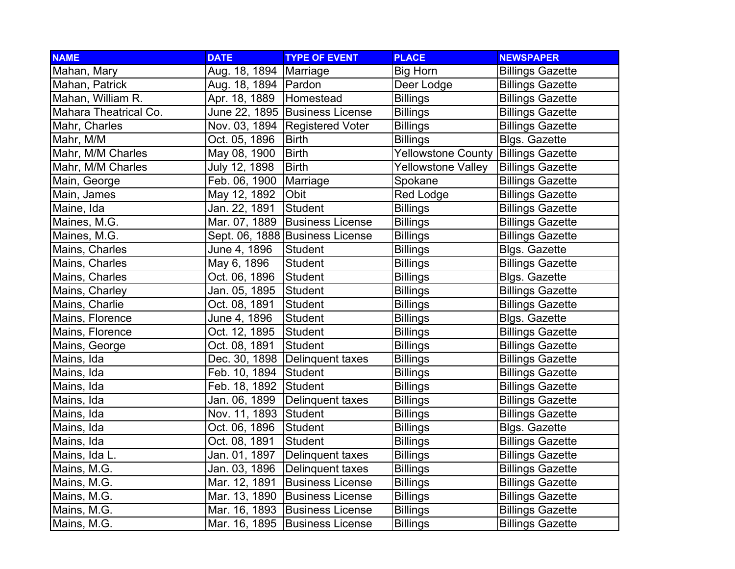| <b>NAME</b>           | <b>DATE</b>            | <b>TYPE OF EVENT</b>            | <b>PLACE</b>              | <b>NEWSPAPER</b>        |
|-----------------------|------------------------|---------------------------------|---------------------------|-------------------------|
| Mahan, Mary           | Aug. 18, 1894          | Marriage                        | <b>Big Horn</b>           | <b>Billings Gazette</b> |
| Mahan, Patrick        | Aug. 18, 1894   Pardon |                                 | Deer Lodge                | <b>Billings Gazette</b> |
| Mahan, William R.     | Apr. 18, 1889          | Homestead                       | <b>Billings</b>           | <b>Billings Gazette</b> |
| Mahara Theatrical Co. |                        | June 22, 1895 Business License  | <b>Billings</b>           | <b>Billings Gazette</b> |
| Mahr, Charles         | Nov. 03, 1894          | <b>Registered Voter</b>         | <b>Billings</b>           | <b>Billings Gazette</b> |
| Mahr, M/M             | Oct. 05, 1896          | <b>Birth</b>                    | <b>Billings</b>           | <b>Blgs. Gazette</b>    |
| Mahr, M/M Charles     | May 08, 1900           | <b>Birth</b>                    | <b>Yellowstone County</b> | <b>Billings Gazette</b> |
| Mahr, M/M Charles     | July 12, 1898          | <b>Birth</b>                    | <b>Yellowstone Valley</b> | <b>Billings Gazette</b> |
| Main, George          | Feb. 06, 1900          | Marriage                        | Spokane                   | <b>Billings Gazette</b> |
| Main, James           | May 12, 1892           | Obit                            | Red Lodge                 | <b>Billings Gazette</b> |
| Maine, Ida            | Jan. 22, 1891          | Student                         | <b>Billings</b>           | <b>Billings Gazette</b> |
| Maines, M.G.          | Mar. 07, 1889          | <b>Business License</b>         | <b>Billings</b>           | <b>Billings Gazette</b> |
| Maines, M.G.          |                        | Sept. 06, 1888 Business License | <b>Billings</b>           | <b>Billings Gazette</b> |
| Mains, Charles        | June 4, 1896           | Student                         | <b>Billings</b>           | <b>Blgs. Gazette</b>    |
| Mains, Charles        | May 6, 1896            | <b>Student</b>                  | <b>Billings</b>           | <b>Billings Gazette</b> |
| Mains, Charles        | Oct. 06, 1896          | Student                         | <b>Billings</b>           | <b>Blgs. Gazette</b>    |
| Mains, Charley        | Jan. 05, 1895          | Student                         | <b>Billings</b>           | <b>Billings Gazette</b> |
| Mains, Charlie        | Oct. 08, 1891          | Student                         | <b>Billings</b>           | <b>Billings Gazette</b> |
| Mains, Florence       | June 4, 1896           | <b>Student</b>                  | <b>Billings</b>           | <b>Blgs. Gazette</b>    |
| Mains, Florence       | Oct. 12, 1895          | Student                         | <b>Billings</b>           | <b>Billings Gazette</b> |
| Mains, George         | Oct. 08, 1891          | <b>Student</b>                  | <b>Billings</b>           | <b>Billings Gazette</b> |
| Mains, Ida            | Dec. 30, 1898          | Delinquent taxes                | <b>Billings</b>           | <b>Billings Gazette</b> |
| Mains, Ida            | Feb. 10, 1894          | Student                         | <b>Billings</b>           | <b>Billings Gazette</b> |
| Mains, Ida            | Feb. 18, 1892          | Student                         | <b>Billings</b>           | <b>Billings Gazette</b> |
| Mains, Ida            | Jan. 06, 1899          | Delinquent taxes                | <b>Billings</b>           | <b>Billings Gazette</b> |
| Mains, Ida            | Nov. 11, 1893          | Student                         | <b>Billings</b>           | <b>Billings Gazette</b> |
| Mains, Ida            | Oct. 06, 1896          | <b>Student</b>                  | <b>Billings</b>           | <b>Blgs. Gazette</b>    |
| Mains, Ida            | Oct. 08, 1891          | <b>Student</b>                  | <b>Billings</b>           | <b>Billings Gazette</b> |
| Mains, Ida L.         | Jan. 01, 1897          | Delinquent taxes                | <b>Billings</b>           | <b>Billings Gazette</b> |
| Mains, M.G.           | Jan. 03, 1896          | Delinquent taxes                | <b>Billings</b>           | <b>Billings Gazette</b> |
| Mains, M.G.           | Mar. 12, 1891          | <b>Business License</b>         | <b>Billings</b>           | <b>Billings Gazette</b> |
| Mains, M.G.           | Mar. 13, 1890          | <b>Business License</b>         | <b>Billings</b>           | <b>Billings Gazette</b> |
| Mains, M.G.           |                        | Mar. 16, 1893 Business License  | <b>Billings</b>           | <b>Billings Gazette</b> |
| Mains, M.G.           | Mar. 16, 1895          | <b>Business License</b>         | <b>Billings</b>           | <b>Billings Gazette</b> |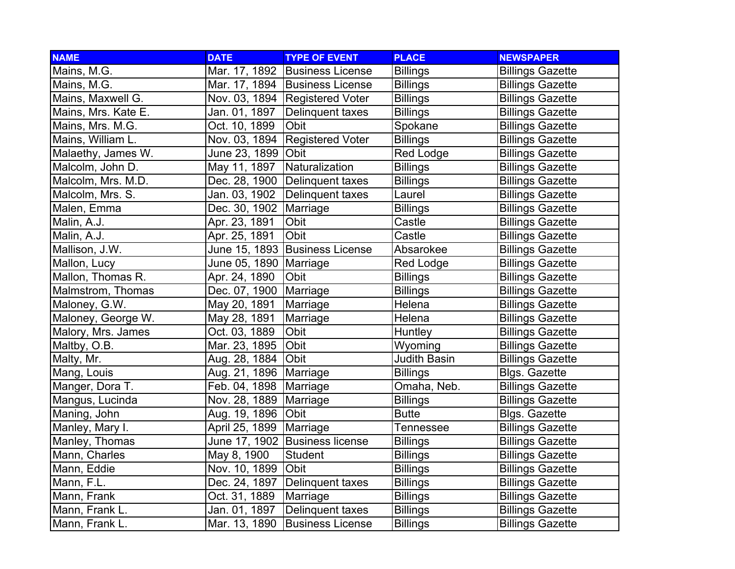| <b>NAME</b>         | <b>DATE</b>              | <b>TYPE OF EVENT</b>           | <b>PLACE</b>        | <b>NEWSPAPER</b>        |
|---------------------|--------------------------|--------------------------------|---------------------|-------------------------|
| Mains, M.G.         |                          | Mar. 17, 1892 Business License | <b>Billings</b>     | <b>Billings Gazette</b> |
| Mains, M.G.         |                          | Mar. 17, 1894 Business License | <b>Billings</b>     | <b>Billings Gazette</b> |
| Mains, Maxwell G.   |                          | Nov. 03, 1894 Registered Voter | <b>Billings</b>     | <b>Billings Gazette</b> |
| Mains, Mrs. Kate E. | Jan. 01, 1897            | Delinquent taxes               | <b>Billings</b>     | <b>Billings Gazette</b> |
| Mains, Mrs. M.G.    | Oct. 10, 1899            | Obit                           | Spokane             | <b>Billings Gazette</b> |
| Mains, William L.   | Nov. 03, 1894            | <b>Registered Voter</b>        | <b>Billings</b>     | <b>Billings Gazette</b> |
| Malaethy, James W.  | June 23, 1899            | Obit                           | <b>Red Lodge</b>    | <b>Billings Gazette</b> |
| Malcolm, John D.    | May 11, 1897             | Naturalization                 | <b>Billings</b>     | <b>Billings Gazette</b> |
| Malcolm, Mrs. M.D.  | Dec. 28, 1900            | Delinquent taxes               | <b>Billings</b>     | <b>Billings Gazette</b> |
| Malcolm, Mrs. S.    | Jan. 03, 1902            | Delinquent taxes               | Laurel              | <b>Billings Gazette</b> |
| Malen, Emma         | Dec. 30, 1902            | Marriage                       | <b>Billings</b>     | <b>Billings Gazette</b> |
| Malin, A.J.         | Apr. 23, 1891            | Obit                           | Castle              | <b>Billings Gazette</b> |
| Malin, A.J.         | Apr. 25, 1891            | Obit                           | Castle              | <b>Billings Gazette</b> |
| Mallison, J.W.      |                          | June 15, 1893 Business License | Absarokee           | <b>Billings Gazette</b> |
| Mallon, Lucy        | June 05, 1890   Marriage |                                | Red Lodge           | <b>Billings Gazette</b> |
| Mallon, Thomas R.   | Apr. 24, 1890            | <b>Obit</b>                    | <b>Billings</b>     | <b>Billings Gazette</b> |
| Malmstrom, Thomas   | Dec. 07, 1900   Marriage |                                | <b>Billings</b>     | <b>Billings Gazette</b> |
| Maloney, G.W.       | May 20, 1891             | Marriage                       | Helena              | <b>Billings Gazette</b> |
| Maloney, George W.  | May 28, 1891             | Marriage                       | Helena              | <b>Billings Gazette</b> |
| Malory, Mrs. James  | Oct. 03, 1889            | Obit                           | Huntley             | <b>Billings Gazette</b> |
| Maltby, O.B.        | Mar. 23, 1895            | Obit                           | Wyoming             | <b>Billings Gazette</b> |
| Malty, Mr.          | Aug. 28, 1884            | Obit                           | <b>Judith Basin</b> | <b>Billings Gazette</b> |
| Mang, Louis         | Aug. 21, 1896            | Marriage                       | <b>Billings</b>     | <b>Blgs. Gazette</b>    |
| Manger, Dora T.     | Feb. 04, 1898            | Marriage                       | Omaha, Neb.         | <b>Billings Gazette</b> |
| Mangus, Lucinda     | Nov. 28, 1889            | Marriage                       | <b>Billings</b>     | <b>Billings Gazette</b> |
| Maning, John        | Aug. 19, 1896            | <b>Obit</b>                    | <b>Butte</b>        | <b>Blgs. Gazette</b>    |
| Manley, Mary I.     | April 25, 1899           | Marriage                       | Tennessee           | <b>Billings Gazette</b> |
| Manley, Thomas      |                          | June 17, 1902 Business license | <b>Billings</b>     | <b>Billings Gazette</b> |
| Mann, Charles       | May 8, 1900              | Student                        | <b>Billings</b>     | <b>Billings Gazette</b> |
| Mann, Eddie         | Nov. 10, 1899            | <b>Obit</b>                    | <b>Billings</b>     | <b>Billings Gazette</b> |
| Mann, F.L.          | Dec. 24, 1897            | Delinquent taxes               | <b>Billings</b>     | <b>Billings Gazette</b> |
| Mann, Frank         | Oct. 31, 1889            | Marriage                       | <b>Billings</b>     | <b>Billings Gazette</b> |
| Mann, Frank L.      | Jan. 01, 1897            | Delinquent taxes               | <b>Billings</b>     | <b>Billings Gazette</b> |
| Mann, Frank L.      | Mar. 13, 1890            | <b>Business License</b>        | <b>Billings</b>     | <b>Billings Gazette</b> |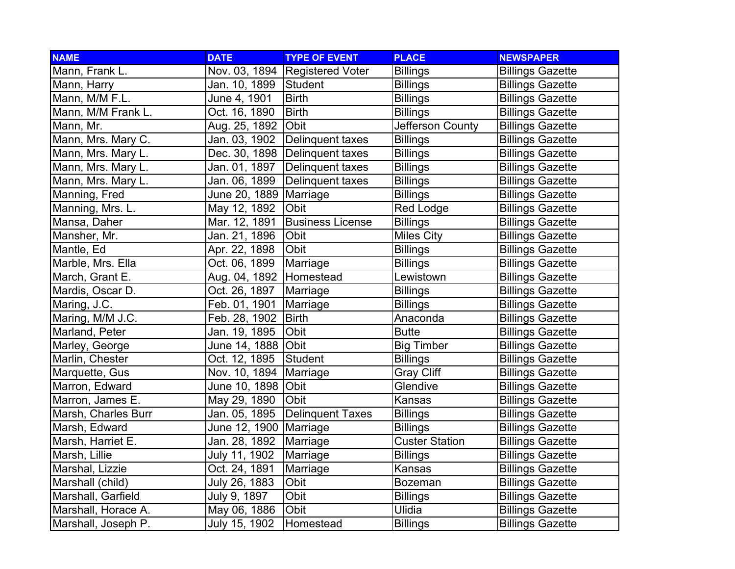| <b>NAME</b>         | <b>DATE</b>               | <b>TYPE OF EVENT</b>             | <b>PLACE</b>          | <b>NEWSPAPER</b>        |
|---------------------|---------------------------|----------------------------------|-----------------------|-------------------------|
| Mann, Frank L.      |                           | Nov. 03, 1894 Registered Voter   | <b>Billings</b>       | <b>Billings Gazette</b> |
| Mann, Harry         | Jan. 10, 1899             | Student                          | <b>Billings</b>       | <b>Billings Gazette</b> |
| Mann, M/M F.L.      | June 4, 1901              | <b>Birth</b>                     | <b>Billings</b>       | <b>Billings Gazette</b> |
| Mann, M/M Frank L.  | Oct. 16, 1890             | <b>Birth</b>                     | <b>Billings</b>       | <b>Billings Gazette</b> |
| Mann, Mr.           | Aug. 25, 1892             | Obit                             | Jefferson County      | <b>Billings Gazette</b> |
| Mann, Mrs. Mary C.  | Jan. 03, 1902             | Delinquent taxes                 | <b>Billings</b>       | <b>Billings Gazette</b> |
| Mann, Mrs. Mary L.  |                           | Dec. 30, 1898   Delinquent taxes | <b>Billings</b>       | <b>Billings Gazette</b> |
| Mann, Mrs. Mary L.  | Jan. 01, 1897             | Delinquent taxes                 | <b>Billings</b>       | <b>Billings Gazette</b> |
| Mann, Mrs. Mary L.  | Jan. 06, 1899             | Delinquent taxes                 | <b>Billings</b>       | <b>Billings Gazette</b> |
| Manning, Fred       | June 20, 1889             | Marriage                         | <b>Billings</b>       | <b>Billings Gazette</b> |
| Manning, Mrs. L.    | May 12, 1892              | Obit                             | <b>Red Lodge</b>      | <b>Billings Gazette</b> |
| Mansa, Daher        | Mar. 12, 1891             | <b>Business License</b>          | <b>Billings</b>       | <b>Billings Gazette</b> |
| Mansher, Mr.        | Jan. 21, 1896             | Obit                             | <b>Miles City</b>     | <b>Billings Gazette</b> |
| Mantle, Ed          | Apr. 22, 1898             | Obit                             | <b>Billings</b>       | <b>Billings Gazette</b> |
| Marble, Mrs. Ella   | Oct. 06, 1899             | Marriage                         | <b>Billings</b>       | <b>Billings Gazette</b> |
| March, Grant E.     | Aug. 04, 1892   Homestead |                                  | Lewistown             | <b>Billings Gazette</b> |
| Mardis, Oscar D.    | Oct. 26, 1897             | Marriage                         | <b>Billings</b>       | <b>Billings Gazette</b> |
| Maring, J.C.        | Feb. 01, 1901             | Marriage                         | <b>Billings</b>       | <b>Billings Gazette</b> |
| Maring, M/M J.C.    | Feb. 28, 1902             | <b>Birth</b>                     | Anaconda              | <b>Billings Gazette</b> |
| Marland, Peter      | Jan. 19, 1895             | Obit                             | <b>Butte</b>          | <b>Billings Gazette</b> |
| Marley, George      | June 14, 1888             | Obit                             | <b>Big Timber</b>     | <b>Billings Gazette</b> |
| Marlin, Chester     | Oct. 12, 1895             | <b>Student</b>                   | <b>Billings</b>       | <b>Billings Gazette</b> |
| Marquette, Gus      | Nov. 10, 1894             | Marriage                         | <b>Gray Cliff</b>     | <b>Billings Gazette</b> |
| Marron, Edward      | June 10, 1898             | Obit                             | Glendive              | <b>Billings Gazette</b> |
| Marron, James E.    | May 29, 1890              | Obit                             | Kansas                | <b>Billings Gazette</b> |
| Marsh, Charles Burr | Jan. 05, 1895             | <b>Delinquent Taxes</b>          | <b>Billings</b>       | <b>Billings Gazette</b> |
| Marsh, Edward       | June 12, 1900             | Marriage                         | <b>Billings</b>       | <b>Billings Gazette</b> |
| Marsh, Harriet E.   | Jan. 28, 1892             | Marriage                         | <b>Custer Station</b> | <b>Billings Gazette</b> |
| Marsh, Lillie       | July 11, 1902             | Marriage                         | <b>Billings</b>       | <b>Billings Gazette</b> |
| Marshal, Lizzie     | Oct. 24, 1891             | Marriage                         | Kansas                | <b>Billings Gazette</b> |
| Marshall (child)    | July 26, 1883             | Obit                             | <b>Bozeman</b>        | <b>Billings Gazette</b> |
| Marshall, Garfield  | July 9, 1897              | Obit                             | <b>Billings</b>       | <b>Billings Gazette</b> |
| Marshall, Horace A. | May 06, 1886              | Obit                             | Ulidia                | <b>Billings Gazette</b> |
| Marshall, Joseph P. | July 15, 1902             | Homestead                        | <b>Billings</b>       | <b>Billings Gazette</b> |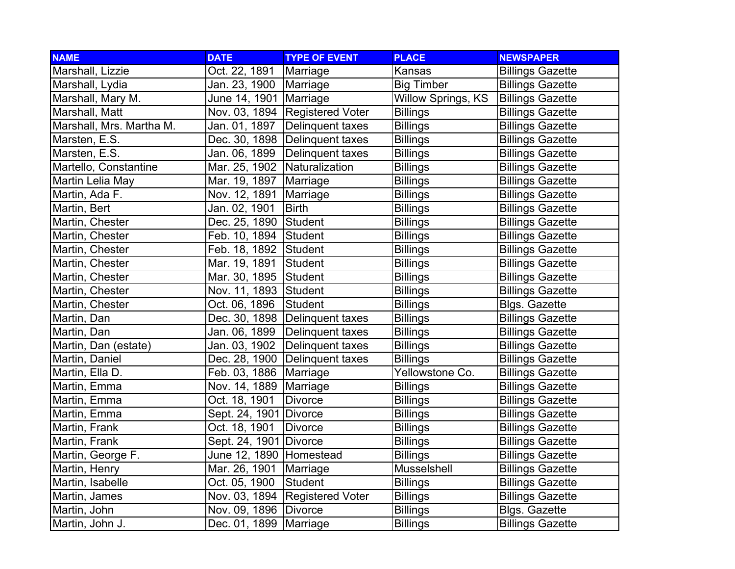| <b>NAME</b>              | <b>DATE</b>             | <b>TYPE OF EVENT</b>             | <b>PLACE</b>              | <b>NEWSPAPER</b>        |
|--------------------------|-------------------------|----------------------------------|---------------------------|-------------------------|
| Marshall, Lizzie         | Oct. 22, 1891           | Marriage                         | Kansas                    | <b>Billings Gazette</b> |
| Marshall, Lydia          | Jan. 23, 1900           | Marriage                         | <b>Big Timber</b>         | <b>Billings Gazette</b> |
| Marshall, Mary M.        | June 14, 1901 Marriage  |                                  | <b>Willow Springs, KS</b> | <b>Billings Gazette</b> |
| Marshall, Matt           |                         | Nov. 03, 1894   Registered Voter | <b>Billings</b>           | <b>Billings Gazette</b> |
| Marshall, Mrs. Martha M. | Jan. 01, 1897           | Delinquent taxes                 | <b>Billings</b>           | <b>Billings Gazette</b> |
| Marsten, E.S.            | Dec. 30, 1898           | Delinquent taxes                 | <b>Billings</b>           | <b>Billings Gazette</b> |
| Marsten, E.S.            | Jan. 06, 1899           | Delinquent taxes                 | <b>Billings</b>           | <b>Billings Gazette</b> |
| Martello, Constantine    | Mar. 25, 1902           | Naturalization                   | <b>Billings</b>           | <b>Billings Gazette</b> |
| Martin Lelia May         | Mar. 19, 1897           | Marriage                         | <b>Billings</b>           | <b>Billings Gazette</b> |
| Martin, Ada F.           | Nov. 12, 1891           | Marriage                         | <b>Billings</b>           | <b>Billings Gazette</b> |
| Martin, Bert             | Jan. 02, 1901           | <b>Birth</b>                     | <b>Billings</b>           | <b>Billings Gazette</b> |
| Martin, Chester          | Dec. 25, 1890           | Student                          | <b>Billings</b>           | <b>Billings Gazette</b> |
| Martin, Chester          | Feb. 10, 1894           | Student                          | <b>Billings</b>           | <b>Billings Gazette</b> |
| Martin, Chester          | Feb. 18, 1892           | Student                          | <b>Billings</b>           | <b>Billings Gazette</b> |
| Martin, Chester          | Mar. 19, 1891           | Student                          | <b>Billings</b>           | <b>Billings Gazette</b> |
| Martin, Chester          | Mar. 30, 1895 Student   |                                  | <b>Billings</b>           | <b>Billings Gazette</b> |
| Martin, Chester          | Nov. 11, 1893 Student   |                                  | <b>Billings</b>           | <b>Billings Gazette</b> |
| Martin, Chester          | Oct. 06, 1896           | Student                          | <b>Billings</b>           | <b>Blgs. Gazette</b>    |
| Martin, Dan              | Dec. 30, 1898           | Delinquent taxes                 | <b>Billings</b>           | <b>Billings Gazette</b> |
| Martin, Dan              | Jan. 06, 1899           | Delinquent taxes                 | <b>Billings</b>           | <b>Billings Gazette</b> |
| Martin, Dan (estate)     | Jan. 03, 1902           | Delinquent taxes                 | <b>Billings</b>           | <b>Billings Gazette</b> |
| Martin, Daniel           | Dec. 28, 1900           | Delinquent taxes                 | <b>Billings</b>           | <b>Billings Gazette</b> |
| Martin, Ella D.          | Feb. 03, 1886           | Marriage                         | Yellowstone Co.           | <b>Billings Gazette</b> |
| Martin, Emma             | Nov. 14, 1889           | Marriage                         | <b>Billings</b>           | <b>Billings Gazette</b> |
| Martin, Emma             | Oct. 18, 1901           | <b>Divorce</b>                   | <b>Billings</b>           | <b>Billings Gazette</b> |
| Martin, Emma             | Sept. 24, 1901          | Divorce                          | <b>Billings</b>           | <b>Billings Gazette</b> |
| Martin, Frank            | Oct. 18, 1901           | <b>Divorce</b>                   | <b>Billings</b>           | <b>Billings Gazette</b> |
| Martin, Frank            | Sept. 24, 1901          | Divorce                          | <b>Billings</b>           | <b>Billings Gazette</b> |
| Martin, George F.        | June 12, 1890           | Homestead                        | <b>Billings</b>           | <b>Billings Gazette</b> |
| Martin, Henry            | Mar. 26, 1901           | Marriage                         | Musselshell               | <b>Billings Gazette</b> |
| Martin, Isabelle         | Oct. 05, 1900           | <b>Student</b>                   | <b>Billings</b>           | <b>Billings Gazette</b> |
| Martin, James            | Nov. 03, 1894           | <b>Registered Voter</b>          | <b>Billings</b>           | <b>Billings Gazette</b> |
| Martin, John             | Nov. 09, 1896   Divorce |                                  | <b>Billings</b>           | <b>Blgs. Gazette</b>    |
| Martin, John J.          | Dec. 01, 1899           | Marriage                         | <b>Billings</b>           | <b>Billings Gazette</b> |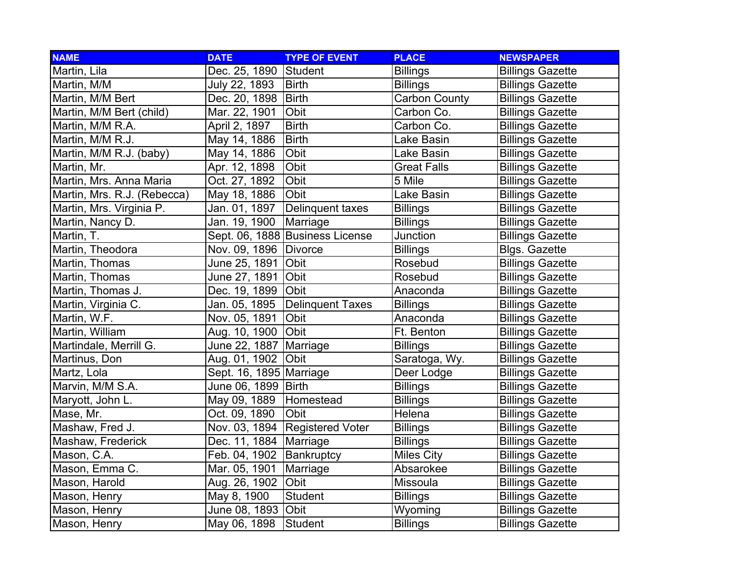| <b>NAME</b>                 | <b>DATE</b>             | <b>TYPE OF EVENT</b>            | <b>PLACE</b>         | <b>NEWSPAPER</b>        |
|-----------------------------|-------------------------|---------------------------------|----------------------|-------------------------|
| Martin, Lila                | Dec. 25, 1890           | Student                         | <b>Billings</b>      | <b>Billings Gazette</b> |
| Martin, M/M                 | July 22, 1893           | <b>Birth</b>                    | <b>Billings</b>      | <b>Billings Gazette</b> |
| Martin, M/M Bert            | Dec. 20, 1898           | <b>Birth</b>                    | <b>Carbon County</b> | <b>Billings Gazette</b> |
| Martin, M/M Bert (child)    | Mar. 22, 1901           | Obit                            | Carbon Co.           | <b>Billings Gazette</b> |
| Martin, M/M R.A.            | April 2, 1897           | <b>Birth</b>                    | Carbon Co.           | <b>Billings Gazette</b> |
| Martin, M/M R.J.            | May 14, 1886            | <b>Birth</b>                    | Lake Basin           | <b>Billings Gazette</b> |
| Martin, M/M R.J. (baby)     | May 14, 1886            | Obit                            | Lake Basin           | <b>Billings Gazette</b> |
| Martin, Mr.                 | Apr. 12, 1898           | Obit                            | <b>Great Falls</b>   | <b>Billings Gazette</b> |
| Martin, Mrs. Anna Maria     | Oct. 27, 1892           | Obit                            | 5 Mile               | <b>Billings Gazette</b> |
| Martin, Mrs. R.J. (Rebecca) | May 18, 1886            | Obit                            | Lake Basin           | <b>Billings Gazette</b> |
| Martin, Mrs. Virginia P.    | Jan. 01, 1897           | Delinquent taxes                | <b>Billings</b>      | <b>Billings Gazette</b> |
| Martin, Nancy D.            | Jan. 19, 1900           | Marriage                        | <b>Billings</b>      | <b>Billings Gazette</b> |
| Martin, T.                  |                         | Sept. 06, 1888 Business License | <b>Junction</b>      | <b>Billings Gazette</b> |
| Martin, Theodora            | Nov. 09, 1896   Divorce |                                 | <b>Billings</b>      | <b>Blgs. Gazette</b>    |
| Martin, Thomas              | June 25, 1891           | Obit                            | Rosebud              | <b>Billings Gazette</b> |
| Martin, Thomas              | June 27, 1891           | <b>Obit</b>                     | Rosebud              | <b>Billings Gazette</b> |
| Martin, Thomas J.           | Dec. 19, 1899           | Obit                            | Anaconda             | <b>Billings Gazette</b> |
| Martin, Virginia C.         | Jan. 05, 1895           | Delinquent Taxes                | <b>Billings</b>      | <b>Billings Gazette</b> |
| Martin, W.F.                | Nov. 05, 1891           | Obit                            | Anaconda             | <b>Billings Gazette</b> |
| Martin, William             | Aug. 10, 1900           | Obit                            | Ft. Benton           | <b>Billings Gazette</b> |
| Martindale, Merrill G.      | June 22, 1887           | Marriage                        | <b>Billings</b>      | <b>Billings Gazette</b> |
| Martinus, Don               | Aug. 01, 1902           | <b>Obit</b>                     | Saratoga, Wy.        | <b>Billings Gazette</b> |
| Martz, Lola                 | Sept. 16, 1895 Marriage |                                 | Deer Lodge           | <b>Billings Gazette</b> |
| Marvin, M/M S.A.            | June 06, 1899           | <b>Birth</b>                    | <b>Billings</b>      | <b>Billings Gazette</b> |
| Maryott, John L.            | May 09, 1889            | Homestead                       | <b>Billings</b>      | <b>Billings Gazette</b> |
| Mase, Mr.                   | Oct. 09, 1890           | Obit                            | Helena               | <b>Billings Gazette</b> |
| Mashaw, Fred J.             | Nov. 03, 1894           | <b>Registered Voter</b>         | <b>Billings</b>      | <b>Billings Gazette</b> |
| Mashaw, Frederick           | Dec. 11, 1884           | Marriage                        | <b>Billings</b>      | <b>Billings Gazette</b> |
| Mason, C.A.                 | Feb. 04, 1902           | Bankruptcy                      | <b>Miles City</b>    | <b>Billings Gazette</b> |
| Mason, Emma C.              | Mar. 05, 1901           | Marriage                        | Absarokee            | <b>Billings Gazette</b> |
| Mason, Harold               | Aug. 26, 1902           | Obit                            | Missoula             | <b>Billings Gazette</b> |
| Mason, Henry                | May 8, 1900             | Student                         | <b>Billings</b>      | <b>Billings Gazette</b> |
| Mason, Henry                | June 08, 1893 Obit      |                                 | Wyoming              | <b>Billings Gazette</b> |
| Mason, Henry                | May 06, 1898            | Student                         | <b>Billings</b>      | <b>Billings Gazette</b> |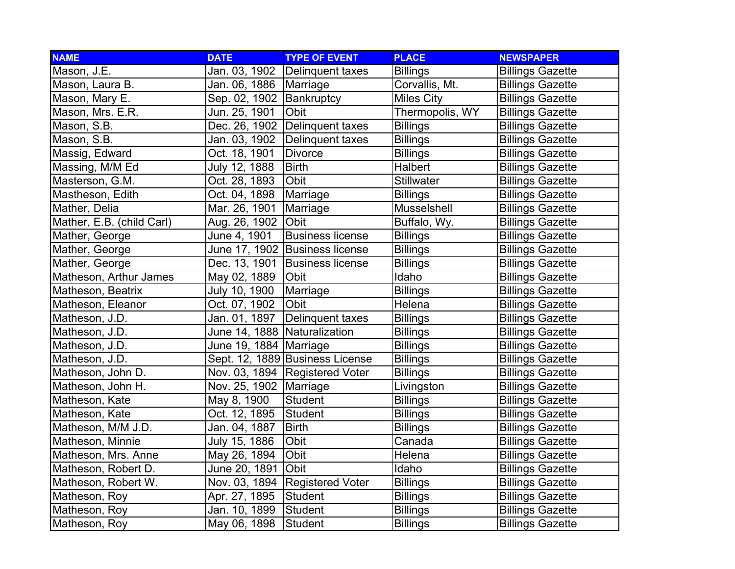| <b>NAME</b>               | <b>DATE</b>                  | <b>TYPE OF EVENT</b>            | <b>PLACE</b>      | <b>NEWSPAPER</b>        |
|---------------------------|------------------------------|---------------------------------|-------------------|-------------------------|
| Mason, J.E.               | Jan. 03, 1902                | Delinquent taxes                | <b>Billings</b>   | <b>Billings Gazette</b> |
| Mason, Laura B.           | Jan. 06, 1886                | Marriage                        | Corvallis, Mt.    | <b>Billings Gazette</b> |
| Mason, Mary E.            | Sep. 02, 1902                | Bankruptcy                      | <b>Miles City</b> | <b>Billings Gazette</b> |
| Mason, Mrs. E.R.          | Jun. 25, 1901                | Obit                            | Thermopolis, WY   | <b>Billings Gazette</b> |
| Mason, S.B.               | Dec. 26, 1902                | Delinquent taxes                | <b>Billings</b>   | <b>Billings Gazette</b> |
| Mason, S.B.               | Jan. 03, 1902                | Delinquent taxes                | <b>Billings</b>   | <b>Billings Gazette</b> |
| Massig, Edward            | Oct. 18, 1901                | <b>Divorce</b>                  | <b>Billings</b>   | <b>Billings Gazette</b> |
| Massing, M/M Ed           | July 12, 1888                | <b>Birth</b>                    | Halbert           | <b>Billings Gazette</b> |
| Masterson, G.M.           | Oct. 28, 1893                | Obit                            | <b>Stillwater</b> | <b>Billings Gazette</b> |
| Mastheson, Edith          | Oct. 04, 1898                | Marriage                        | <b>Billings</b>   | <b>Billings Gazette</b> |
| Mather, Delia             | Mar. 26, 1901                | Marriage                        | Musselshell       | <b>Billings Gazette</b> |
| Mather, E.B. (child Carl) | Aug. 26, 1902                | Obit                            | Buffalo, Wy.      | <b>Billings Gazette</b> |
| Mather, George            | June 4, 1901                 | <b>Business license</b>         | Billings          | <b>Billings Gazette</b> |
| Mather, George            | June 17, 1902                | <b>Business license</b>         | <b>Billings</b>   | <b>Billings Gazette</b> |
| Mather, George            | Dec. 13, 1901                | <b>Business license</b>         | <b>Billings</b>   | <b>Billings Gazette</b> |
| Matheson, Arthur James    | May 02, 1889                 | Obit                            | <b>Idaho</b>      | <b>Billings Gazette</b> |
| Matheson, Beatrix         | July 10, 1900                | Marriage                        | <b>Billings</b>   | <b>Billings Gazette</b> |
| Matheson, Eleanor         | Oct. 07, 1902                | Obit                            | Helena            | <b>Billings Gazette</b> |
| Matheson, J.D.            | Jan. 01, 1897                | Delinquent taxes                | <b>Billings</b>   | <b>Billings Gazette</b> |
| Matheson, J.D.            | June 14, 1888 Naturalization |                                 | <b>Billings</b>   | <b>Billings Gazette</b> |
| Matheson, J.D.            | June 19, 1884 Marriage       |                                 | <b>Billings</b>   | <b>Billings Gazette</b> |
| Matheson, J.D.            |                              | Sept. 12, 1889 Business License | <b>Billings</b>   | <b>Billings Gazette</b> |
| Matheson, John D.         | Nov. 03, 1894                | Registered Voter                | <b>Billings</b>   | <b>Billings Gazette</b> |
| Matheson, John H.         | Nov. 25, 1902                | Marriage                        | Livingston        | <b>Billings Gazette</b> |
| Matheson, Kate            | May 8, 1900                  | <b>Student</b>                  | <b>Billings</b>   | <b>Billings Gazette</b> |
| Matheson, Kate            | Oct. 12, 1895                | Student                         | <b>Billings</b>   | <b>Billings Gazette</b> |
| Matheson, M/M J.D.        | Jan. 04, 1887                | <b>Birth</b>                    | <b>Billings</b>   | <b>Billings Gazette</b> |
| Matheson, Minnie          | July 15, 1886                | Obit                            | Canada            | <b>Billings Gazette</b> |
| Matheson, Mrs. Anne       | May 26, 1894                 | Obit                            | Helena            | <b>Billings Gazette</b> |
| Matheson, Robert D.       | June 20, 1891                | Obit                            | Idaho             | <b>Billings Gazette</b> |
| Matheson, Robert W.       | Nov. 03, 1894                | <b>Registered Voter</b>         | <b>Billings</b>   | <b>Billings Gazette</b> |
| Matheson, Roy             | Apr. 27, 1895                | <b>Student</b>                  | <b>Billings</b>   | <b>Billings Gazette</b> |
| Matheson, Roy             | Jan. 10, 1899                | Student                         | <b>Billings</b>   | <b>Billings Gazette</b> |
| Matheson, Roy             | May 06, 1898                 | Student                         | Billings          | <b>Billings Gazette</b> |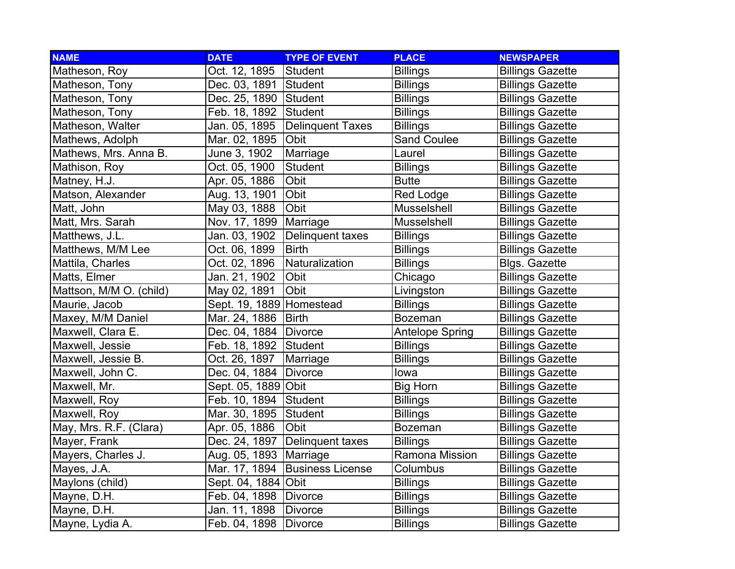| <b>NAME</b>             | <b>DATE</b>                | <b>TYPE OF EVENT</b>    | <b>PLACE</b>           | <b>NEWSPAPER</b>        |
|-------------------------|----------------------------|-------------------------|------------------------|-------------------------|
| Matheson, Roy           | Oct. 12, 1895              | Student                 | <b>Billings</b>        | <b>Billings Gazette</b> |
| Matheson, Tony          | Dec. 03, 1891              | Student                 | <b>Billings</b>        | <b>Billings Gazette</b> |
| Matheson, Tony          | Dec. 25, 1890 Student      |                         | <b>Billings</b>        | <b>Billings Gazette</b> |
| Matheson, Tony          | Feb. 18, 1892              | Student                 | <b>Billings</b>        | <b>Billings Gazette</b> |
| Matheson, Walter        | Jan. 05, 1895              | Delinquent Taxes        | <b>Billings</b>        | <b>Billings Gazette</b> |
| Mathews, Adolph         | Mar. 02, 1895              | Obit                    | Sand Coulee            | <b>Billings Gazette</b> |
| Mathews, Mrs. Anna B.   | June 3, 1902               | Marriage                | Laurel                 | <b>Billings Gazette</b> |
| Mathison, Roy           | Oct. 05, 1900              | Student                 | <b>Billings</b>        | <b>Billings Gazette</b> |
| Matney, H.J.            | Apr. 05, 1886              | Obit                    | <b>Butte</b>           | <b>Billings Gazette</b> |
| Matson, Alexander       | Aug. 13, 1901              | Obit                    | Red Lodge              | <b>Billings Gazette</b> |
| Matt, John              | May 03, 1888               | Obit                    | Musselshell            | <b>Billings Gazette</b> |
| Matt, Mrs. Sarah        | Nov. 17, 1899              | Marriage                | Musselshell            | <b>Billings Gazette</b> |
| Matthews, J.L.          | Jan. 03, 1902              | Delinquent taxes        | <b>Billings</b>        | <b>Billings Gazette</b> |
| Matthews, M/M Lee       | Oct. 06, 1899              | <b>Birth</b>            | <b>Billings</b>        | <b>Billings Gazette</b> |
| Mattila, Charles        | Oct. 02, 1896              | Naturalization          | <b>Billings</b>        | <b>Blgs. Gazette</b>    |
| Matts, Elmer            | Jan. 21, 1902              | <b>Obit</b>             | Chicago                | <b>Billings Gazette</b> |
| Mattson, M/M O. (child) | May 02, 1891               | Obit                    | Livingston             | <b>Billings Gazette</b> |
| Maurie, Jacob           | Sept. 19, 1889   Homestead |                         | <b>Billings</b>        | <b>Billings Gazette</b> |
| Maxey, M/M Daniel       | Mar. 24, 1886              | <b>Birth</b>            | <b>Bozeman</b>         | <b>Billings Gazette</b> |
| Maxwell, Clara E.       | Dec. 04, 1884   Divorce    |                         | <b>Antelope Spring</b> | <b>Billings Gazette</b> |
| Maxwell, Jessie         | Feb. 18, 1892              | Student                 | <b>Billings</b>        | <b>Billings Gazette</b> |
| Maxwell, Jessie B.      | Oct. 26, 1897              | Marriage                | <b>Billings</b>        | <b>Billings Gazette</b> |
| Maxwell, John C.        | Dec. 04, 1884              | Divorce                 | lowa                   | <b>Billings Gazette</b> |
| Maxwell, Mr.            | Sept. 05, 1889 Obit        |                         | <b>Big Horn</b>        | <b>Billings Gazette</b> |
| Maxwell, Roy            | Feb. 10, 1894              | Student                 | <b>Billings</b>        | <b>Billings Gazette</b> |
| Maxwell, Roy            | Mar. 30, 1895              | Student                 | <b>Billings</b>        | <b>Billings Gazette</b> |
| May, Mrs. R.F. (Clara)  | Apr. 05, 1886              | Obit                    | <b>Bozeman</b>         | <b>Billings Gazette</b> |
| Mayer, Frank            | Dec. 24, 1897              | Delinquent taxes        | <b>Billings</b>        | <b>Billings Gazette</b> |
| Mayers, Charles J.      | Aug. 05, 1893              | Marriage                | Ramona Mission         | <b>Billings Gazette</b> |
| Mayes, J.A.             | Mar. 17, 1894              | <b>Business License</b> | Columbus               | <b>Billings Gazette</b> |
| Maylons (child)         | Sept. 04, 1884 Obit        |                         | <b>Billings</b>        | <b>Billings Gazette</b> |
| Mayne, D.H.             | Feb. 04, 1898   Divorce    |                         | <b>Billings</b>        | <b>Billings Gazette</b> |
| Mayne, D.H.             | Jan. 11, 1898              | Divorce                 | <b>Billings</b>        | <b>Billings Gazette</b> |
| Mayne, Lydia A.         | Feb. 04, 1898              | Divorce                 | <b>Billings</b>        | <b>Billings Gazette</b> |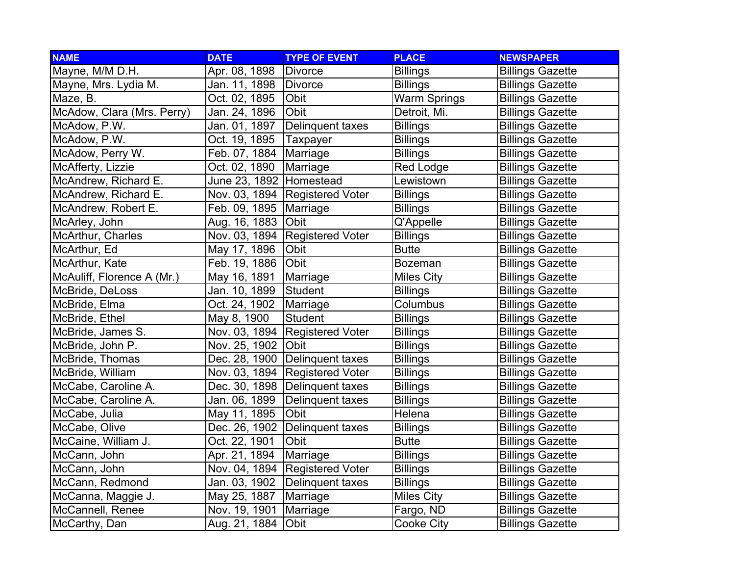| <b>NAME</b>                | <b>DATE</b>   | <b>TYPE OF EVENT</b>    | <b>PLACE</b>        | <b>NEWSPAPER</b>        |
|----------------------------|---------------|-------------------------|---------------------|-------------------------|
| Mayne, M/M D.H.            | Apr. 08, 1898 | <b>Divorce</b>          | <b>Billings</b>     | <b>Billings Gazette</b> |
| Mayne, Mrs. Lydia M.       | Jan. 11, 1898 | <b>Divorce</b>          | <b>Billings</b>     | <b>Billings Gazette</b> |
| Maze, B.                   | Oct. 02, 1895 | Obit                    | <b>Warm Springs</b> | <b>Billings Gazette</b> |
| McAdow, Clara (Mrs. Perry) | Jan. 24, 1896 | Obit                    | Detroit, Mi.        | <b>Billings Gazette</b> |
| McAdow, P.W.               | Jan. 01, 1897 | Delinquent taxes        | <b>Billings</b>     | <b>Billings Gazette</b> |
| McAdow, P.W.               | Oct. 19, 1895 | <b>Taxpayer</b>         | <b>Billings</b>     | <b>Billings Gazette</b> |
| McAdow, Perry W.           | Feb. 07, 1884 | Marriage                | <b>Billings</b>     | <b>Billings Gazette</b> |
| McAfferty, Lizzie          | Oct. 02, 1890 | Marriage                | <b>Red Lodge</b>    | <b>Billings Gazette</b> |
| McAndrew, Richard E.       | June 23, 1892 | Homestead               | Lewistown           | <b>Billings Gazette</b> |
| McAndrew, Richard E.       | Nov. 03, 1894 | <b>Registered Voter</b> | <b>Billings</b>     | <b>Billings Gazette</b> |
| McAndrew, Robert E.        | Feb. 09, 1895 | Marriage                | <b>Billings</b>     | <b>Billings Gazette</b> |
| McArley, John              | Aug. 16, 1883 | Obit                    | Q'Appelle           | <b>Billings Gazette</b> |
| McArthur, Charles          | Nov. 03, 1894 | <b>Registered Voter</b> | <b>Billings</b>     | <b>Billings Gazette</b> |
| McArthur, Ed               | May 17, 1896  | Obit                    | <b>Butte</b>        | <b>Billings Gazette</b> |
| McArthur, Kate             | Feb. 19, 1886 | Obit                    | <b>Bozeman</b>      | <b>Billings Gazette</b> |
| McAuliff, Florence A (Mr.) | May 16, 1891  | Marriage                | <b>Miles City</b>   | <b>Billings Gazette</b> |
| McBride, DeLoss            | Jan. 10, 1899 | Student                 | <b>Billings</b>     | <b>Billings Gazette</b> |
| McBride, Elma              | Oct. 24, 1902 | Marriage                | Columbus            | <b>Billings Gazette</b> |
| McBride, Ethel             | May 8, 1900   | <b>Student</b>          | <b>Billings</b>     | <b>Billings Gazette</b> |
| McBride, James S.          | Nov. 03, 1894 | <b>Registered Voter</b> | <b>Billings</b>     | <b>Billings Gazette</b> |
| McBride, John P.           | Nov. 25, 1902 | Obit                    | Billings            | <b>Billings Gazette</b> |
| McBride, Thomas            | Dec. 28, 1900 | Delinquent taxes        | <b>Billings</b>     | <b>Billings Gazette</b> |
| McBride, William           | Nov. 03, 1894 | <b>Registered Voter</b> | <b>Billings</b>     | <b>Billings Gazette</b> |
| McCabe, Caroline A.        | Dec. 30, 1898 | Delinquent taxes        | <b>Billings</b>     | <b>Billings Gazette</b> |
| McCabe, Caroline A.        | Jan. 06, 1899 | Delinquent taxes        | <b>Billings</b>     | <b>Billings Gazette</b> |
| McCabe, Julia              | May 11, 1895  | Obit                    | Helena              | <b>Billings Gazette</b> |
| McCabe, Olive              | Dec. 26, 1902 | Delinquent taxes        | <b>Billings</b>     | <b>Billings Gazette</b> |
| McCaine, William J.        | Oct. 22, 1901 | Obit                    | <b>Butte</b>        | <b>Billings Gazette</b> |
| McCann, John               | Apr. 21, 1894 | Marriage                | <b>Billings</b>     | <b>Billings Gazette</b> |
| McCann, John               | Nov. 04, 1894 | <b>Registered Voter</b> | <b>Billings</b>     | <b>Billings Gazette</b> |
| McCann, Redmond            | Jan. 03, 1902 | Delinquent taxes        | <b>Billings</b>     | <b>Billings Gazette</b> |
| McCanna, Maggie J.         | May 25, 1887  | Marriage                | <b>Miles City</b>   | <b>Billings Gazette</b> |
| McCannell, Renee           | Nov. 19, 1901 | Marriage                | Fargo, ND           | <b>Billings Gazette</b> |
| McCarthy, Dan              | Aug. 21, 1884 | Obit                    | <b>Cooke City</b>   | <b>Billings Gazette</b> |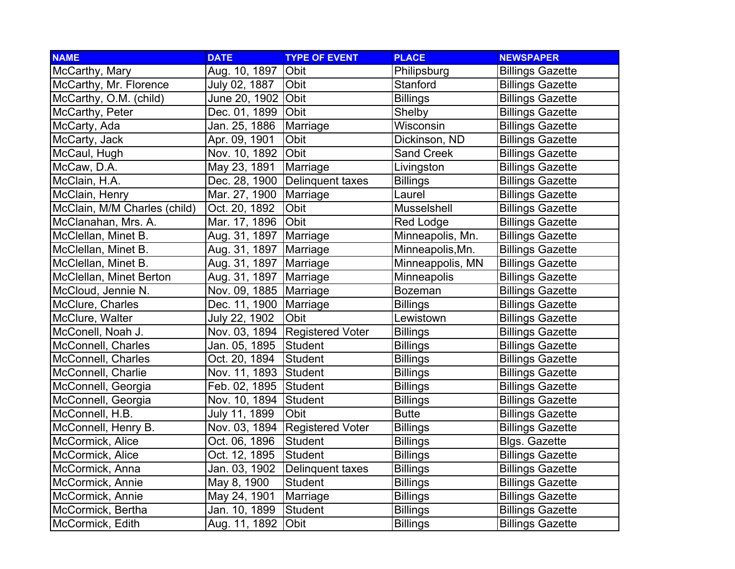| <b>NAME</b>                  | <b>DATE</b>   | <b>TYPE OF EVENT</b>    | <b>PLACE</b>      | <b>NEWSPAPER</b>        |
|------------------------------|---------------|-------------------------|-------------------|-------------------------|
| McCarthy, Mary               | Aug. 10, 1897 | Obit                    | Philipsburg       | <b>Billings Gazette</b> |
| McCarthy, Mr. Florence       | July 02, 1887 | Obit                    | Stanford          | <b>Billings Gazette</b> |
| McCarthy, O.M. (child)       | June 20, 1902 | Obit                    | <b>Billings</b>   | <b>Billings Gazette</b> |
| McCarthy, Peter              | Dec. 01, 1899 | Obit                    | Shelby            | <b>Billings Gazette</b> |
| McCarty, Ada                 | Jan. 25, 1886 | Marriage                | Wisconsin         | <b>Billings Gazette</b> |
| McCarty, Jack                | Apr. 09, 1901 | Obit                    | Dickinson, ND     | <b>Billings Gazette</b> |
| McCaul, Hugh                 | Nov. 10, 1892 | Obit                    | <b>Sand Creek</b> | <b>Billings Gazette</b> |
| McCaw, D.A.                  | May 23, 1891  | Marriage                | Livingston        | <b>Billings Gazette</b> |
| McClain, H.A.                | Dec. 28, 1900 | Delinquent taxes        | <b>Billings</b>   | <b>Billings Gazette</b> |
| McClain, Henry               | Mar. 27, 1900 | Marriage                | Laurel            | <b>Billings Gazette</b> |
| McClain, M/M Charles (child) | Oct. 20, 1892 | Obit                    | Musselshell       | <b>Billings Gazette</b> |
| McClanahan, Mrs. A.          | Mar. 17, 1896 | Obit                    | <b>Red Lodge</b>  | <b>Billings Gazette</b> |
| McClellan, Minet B.          | Aug. 31, 1897 | Marriage                | Minneapolis, Mn.  | <b>Billings Gazette</b> |
| McClellan, Minet B.          | Aug. 31, 1897 | Marriage                | Minneapolis, Mn.  | <b>Billings Gazette</b> |
| McClellan, Minet B.          | Aug. 31, 1897 | Marriage                | Minneappolis, MN  | <b>Billings Gazette</b> |
| McClellan, Minet Berton      | Aug. 31, 1897 | Marriage                | Minneapolis       | <b>Billings Gazette</b> |
| McCloud, Jennie N.           | Nov. 09, 1885 | Marriage                | <b>Bozeman</b>    | <b>Billings Gazette</b> |
| McClure, Charles             | Dec. 11, 1900 | Marriage                | <b>Billings</b>   | <b>Billings Gazette</b> |
| McClure, Walter              | July 22, 1902 | Obit                    | Lewistown         | <b>Billings Gazette</b> |
| McConell, Noah J.            | Nov. 03, 1894 | <b>Registered Voter</b> | <b>Billings</b>   | <b>Billings Gazette</b> |
| McConnell, Charles           | Jan. 05, 1895 | Student                 | <b>Billings</b>   | <b>Billings Gazette</b> |
| McConnell, Charles           | Oct. 20, 1894 | Student                 | <b>Billings</b>   | <b>Billings Gazette</b> |
| McConnell, Charlie           | Nov. 11, 1893 | Student                 | <b>Billings</b>   | <b>Billings Gazette</b> |
| McConnell, Georgia           | Feb. 02, 1895 | Student                 | <b>Billings</b>   | <b>Billings Gazette</b> |
| McConnell, Georgia           | Nov. 10, 1894 | Student                 | <b>Billings</b>   | <b>Billings Gazette</b> |
| McConnell, H.B.              | July 11, 1899 | Obit                    | <b>Butte</b>      | <b>Billings Gazette</b> |
| McConnell, Henry B.          | Nov. 03, 1894 | <b>Registered Voter</b> | <b>Billings</b>   | <b>Billings Gazette</b> |
| McCormick, Alice             | Oct. 06, 1896 | <b>Student</b>          | <b>Billings</b>   | <b>Blgs. Gazette</b>    |
| McCormick, Alice             | Oct. 12, 1895 | <b>Student</b>          | <b>Billings</b>   | <b>Billings Gazette</b> |
| McCormick, Anna              | Jan. 03, 1902 | Delinquent taxes        | <b>Billings</b>   | <b>Billings Gazette</b> |
| McCormick, Annie             | May 8, 1900   | <b>Student</b>          | <b>Billings</b>   | <b>Billings Gazette</b> |
| McCormick, Annie             | May 24, 1901  | Marriage                | <b>Billings</b>   | <b>Billings Gazette</b> |
| McCormick, Bertha            | Jan. 10, 1899 | Student                 | <b>Billings</b>   | <b>Billings Gazette</b> |
| McCormick, Edith             | Aug. 11, 1892 | Obit                    | <b>Billings</b>   | <b>Billings Gazette</b> |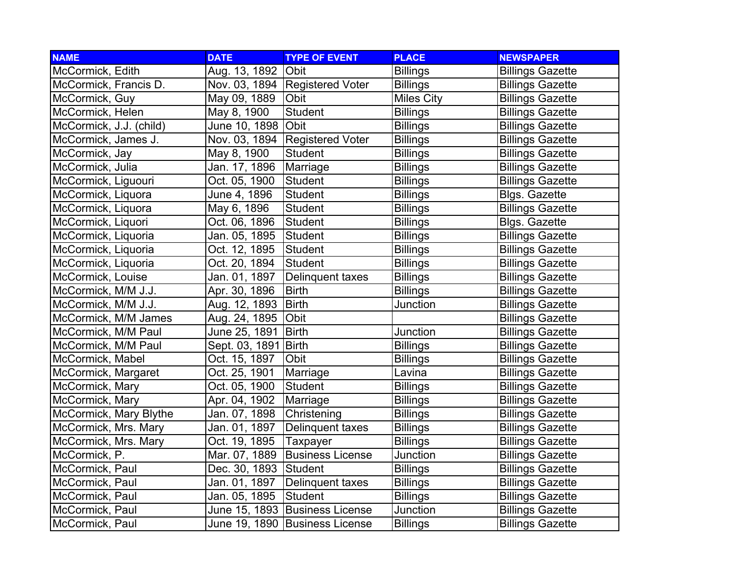| <b>NAME</b>             | <b>DATE</b>    | <b>TYPE OF EVENT</b>           | <b>PLACE</b>      | <b>NEWSPAPER</b>        |
|-------------------------|----------------|--------------------------------|-------------------|-------------------------|
| McCormick, Edith        | Aug. 13, 1892  | <b>Obit</b>                    | <b>Billings</b>   | <b>Billings Gazette</b> |
| McCormick, Francis D.   | Nov. 03, 1894  | <b>Registered Voter</b>        | <b>Billings</b>   | <b>Billings Gazette</b> |
| McCormick, Guy          | May 09, 1889   | Obit                           | <b>Miles City</b> | <b>Billings Gazette</b> |
| McCormick, Helen        | May 8, 1900    | Student                        | <b>Billings</b>   | <b>Billings Gazette</b> |
| McCormick, J.J. (child) | June 10, 1898  | Obit                           | <b>Billings</b>   | <b>Billings Gazette</b> |
| McCormick, James J.     | Nov. 03, 1894  | <b>Registered Voter</b>        | <b>Billings</b>   | <b>Billings Gazette</b> |
| McCormick, Jay          | May 8, 1900    | Student                        | <b>Billings</b>   | <b>Billings Gazette</b> |
| McCormick, Julia        | Jan. 17, 1896  | Marriage                       | <b>Billings</b>   | <b>Billings Gazette</b> |
| McCormick, Liguouri     | Oct. 05, 1900  | Student                        | <b>Billings</b>   | <b>Billings Gazette</b> |
| McCormick, Liquora      | June 4, 1896   | <b>Student</b>                 | <b>Billings</b>   | <b>Blgs. Gazette</b>    |
| McCormick, Liquora      | May 6, 1896    | <b>Student</b>                 | <b>Billings</b>   | <b>Billings Gazette</b> |
| McCormick, Liquori      | Oct. 06, 1896  | Student                        | <b>Billings</b>   | <b>Blgs. Gazette</b>    |
| McCormick, Liquoria     | Jan. 05, 1895  | Student                        | <b>Billings</b>   | <b>Billings Gazette</b> |
| McCormick, Liquoria     | Oct. 12, 1895  | Student                        | <b>Billings</b>   | <b>Billings Gazette</b> |
| McCormick, Liquoria     | Oct. 20, 1894  | Student                        | <b>Billings</b>   | <b>Billings Gazette</b> |
| McCormick, Louise       | Jan. 01, 1897  | Delinquent taxes               | <b>Billings</b>   | <b>Billings Gazette</b> |
| McCormick, M/M J.J.     | Apr. 30, 1896  | <b>Birth</b>                   | <b>Billings</b>   | <b>Billings Gazette</b> |
| McCormick, M/M J.J.     | Aug. 12, 1893  | <b>Birth</b>                   | Junction          | <b>Billings Gazette</b> |
| McCormick, M/M James    | Aug. 24, 1895  | Obit                           |                   | <b>Billings Gazette</b> |
| McCormick, M/M Paul     | June 25, 1891  | <b>Birth</b>                   | Junction          | <b>Billings Gazette</b> |
| McCormick, M/M Paul     | Sept. 03, 1891 | <b>Birth</b>                   | <b>Billings</b>   | <b>Billings Gazette</b> |
| McCormick, Mabel        | Oct. 15, 1897  | Obit                           | <b>Billings</b>   | <b>Billings Gazette</b> |
| McCormick, Margaret     | Oct. 25, 1901  | Marriage                       | Lavina            | <b>Billings Gazette</b> |
| McCormick, Mary         | Oct. 05, 1900  | Student                        | <b>Billings</b>   | <b>Billings Gazette</b> |
| McCormick, Mary         | Apr. 04, 1902  | Marriage                       | <b>Billings</b>   | <b>Billings Gazette</b> |
| McCormick, Mary Blythe  | Jan. 07, 1898  | Christening                    | <b>Billings</b>   | <b>Billings Gazette</b> |
| McCormick, Mrs. Mary    | Jan. 01, 1897  | Delinquent taxes               | <b>Billings</b>   | <b>Billings Gazette</b> |
| McCormick, Mrs. Mary    | Oct. 19, 1895  | Taxpayer                       | <b>Billings</b>   | <b>Billings Gazette</b> |
| McCormick, P.           | Mar. 07, 1889  | <b>Business License</b>        | Junction          | <b>Billings Gazette</b> |
| McCormick, Paul         | Dec. 30, 1893  | Student                        | <b>Billings</b>   | <b>Billings Gazette</b> |
| McCormick, Paul         | Jan. 01, 1897  | Delinquent taxes               | <b>Billings</b>   | <b>Billings Gazette</b> |
| McCormick, Paul         | Jan. 05, 1895  | Student                        | <b>Billings</b>   | <b>Billings Gazette</b> |
| McCormick, Paul         |                | June 15, 1893 Business License | Junction          | <b>Billings Gazette</b> |
| McCormick, Paul         |                | June 19, 1890 Business License | <b>Billings</b>   | <b>Billings Gazette</b> |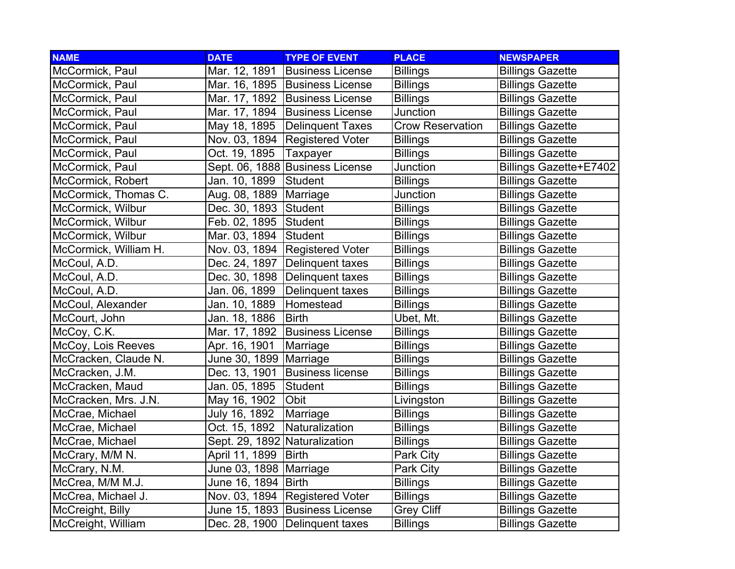| <b>NAME</b>           | <b>DATE</b>                   | <b>TYPE OF EVENT</b>             | <b>PLACE</b>            | <b>NEWSPAPER</b>              |
|-----------------------|-------------------------------|----------------------------------|-------------------------|-------------------------------|
| McCormick, Paul       | Mar. 12, 1891                 | <b>Business License</b>          | <b>Billings</b>         | <b>Billings Gazette</b>       |
| McCormick, Paul       |                               | Mar. 16, 1895 Business License   | <b>Billings</b>         | <b>Billings Gazette</b>       |
| McCormick, Paul       |                               | Mar. 17, 1892   Business License | <b>Billings</b>         | <b>Billings Gazette</b>       |
| McCormick, Paul       | Mar. 17, 1894                 | <b>Business License</b>          | Junction                | <b>Billings Gazette</b>       |
| McCormick, Paul       | May 18, 1895                  | Delinquent Taxes                 | <b>Crow Reservation</b> | <b>Billings Gazette</b>       |
| McCormick, Paul       | Nov. 03, 1894                 | <b>Registered Voter</b>          | <b>Billings</b>         | <b>Billings Gazette</b>       |
| McCormick, Paul       | Oct. 19, 1895                 | Taxpayer                         | <b>Billings</b>         | <b>Billings Gazette</b>       |
| McCormick, Paul       |                               | Sept. 06, 1888 Business License  | Junction                | <b>Billings Gazette+E7402</b> |
| McCormick, Robert     | Jan. 10, 1899                 | Student                          | <b>Billings</b>         | <b>Billings Gazette</b>       |
| McCormick, Thomas C.  | Aug. 08, 1889                 | Marriage                         | Junction                | <b>Billings Gazette</b>       |
| McCormick, Wilbur     | Dec. 30, 1893                 | Student                          | <b>Billings</b>         | <b>Billings Gazette</b>       |
| McCormick, Wilbur     | Feb. 02, 1895                 | Student                          | <b>Billings</b>         | <b>Billings Gazette</b>       |
| McCormick, Wilbur     | Mar. 03, 1894                 | Student                          | <b>Billings</b>         | <b>Billings Gazette</b>       |
| McCormick, William H. | Nov. 03, 1894                 | <b>Registered Voter</b>          | <b>Billings</b>         | <b>Billings Gazette</b>       |
| McCoul, A.D.          | Dec. 24, 1897                 | Delinquent taxes                 | <b>Billings</b>         | <b>Billings Gazette</b>       |
| McCoul, A.D.          |                               | Dec. 30, 1898   Delinquent taxes | <b>Billings</b>         | <b>Billings Gazette</b>       |
| McCoul, A.D.          | Jan. 06, 1899                 | Delinquent taxes                 | <b>Billings</b>         | <b>Billings Gazette</b>       |
| McCoul, Alexander     | Jan. 10, 1889                 | Homestead                        | <b>Billings</b>         | <b>Billings Gazette</b>       |
| McCourt, John         | Jan. 18, 1886                 | <b>Birth</b>                     | Ubet, Mt.               | <b>Billings Gazette</b>       |
| McCoy, C.K.           | Mar. 17, 1892                 | <b>Business License</b>          | <b>Billings</b>         | <b>Billings Gazette</b>       |
| McCoy, Lois Reeves    | Apr. 16, 1901                 | Marriage                         | <b>Billings</b>         | <b>Billings Gazette</b>       |
| McCracken, Claude N.  | June 30, 1899                 | Marriage                         | <b>Billings</b>         | <b>Billings Gazette</b>       |
| McCracken, J.M.       | Dec. 13, 1901                 | <b>Business license</b>          | <b>Billings</b>         | <b>Billings Gazette</b>       |
| McCracken, Maud       | Jan. 05, 1895                 | Student                          | <b>Billings</b>         | <b>Billings Gazette</b>       |
| McCracken, Mrs. J.N.  | May 16, 1902                  | Obit                             | Livingston              | <b>Billings Gazette</b>       |
| McCrae, Michael       | July 16, 1892                 | Marriage                         | <b>Billings</b>         | <b>Billings Gazette</b>       |
| McCrae, Michael       | Oct. 15, 1892                 | Naturalization                   | <b>Billings</b>         | <b>Billings Gazette</b>       |
| McCrae, Michael       | Sept. 29, 1892 Naturalization |                                  | <b>Billings</b>         | <b>Billings Gazette</b>       |
| McCrary, M/M N.       | April 11, 1899                | <b>Birth</b>                     | Park City               | <b>Billings Gazette</b>       |
| McCrary, N.M.         | June 03, 1898                 | Marriage                         | Park City               | <b>Billings Gazette</b>       |
| McCrea, M/M M.J.      | June 16, 1894                 | Birth                            | <b>Billings</b>         | <b>Billings Gazette</b>       |
| McCrea, Michael J.    | Nov. 03, 1894                 | <b>Registered Voter</b>          | <b>Billings</b>         | <b>Billings Gazette</b>       |
| McCreight, Billy      |                               | June 15, 1893 Business License   | <b>Grey Cliff</b>       | <b>Billings Gazette</b>       |
| McCreight, William    |                               | Dec. 28, 1900 Delinquent taxes   | <b>Billings</b>         | <b>Billings Gazette</b>       |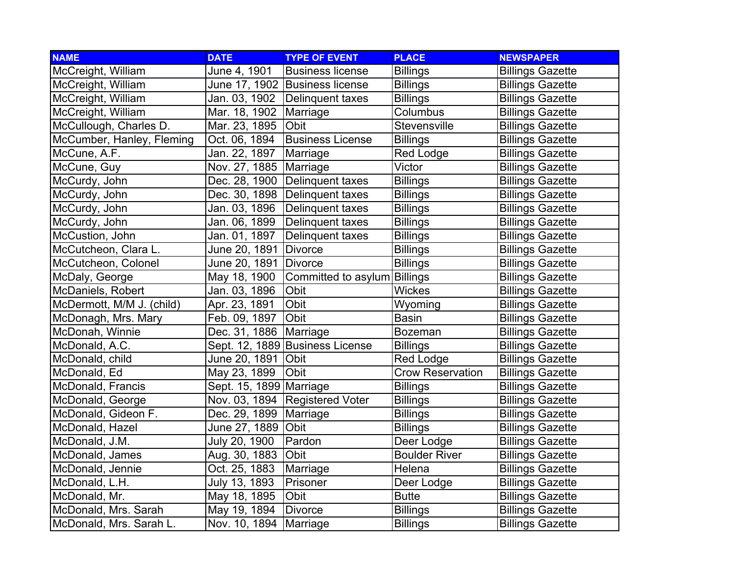| <b>NAME</b>               | <b>DATE</b>             | <b>TYPE OF EVENT</b>            | <b>PLACE</b>            | <b>NEWSPAPER</b>        |
|---------------------------|-------------------------|---------------------------------|-------------------------|-------------------------|
| McCreight, William        | June 4, 1901            | <b>Business license</b>         | <b>Billings</b>         | <b>Billings Gazette</b> |
| McCreight, William        |                         | June 17, 1902  Business license | <b>Billings</b>         | <b>Billings Gazette</b> |
| McCreight, William        | Jan. 03, 1902           | Delinquent taxes                | <b>Billings</b>         | <b>Billings Gazette</b> |
| McCreight, William        | Mar. 18, 1902           | Marriage                        | Columbus                | <b>Billings Gazette</b> |
| McCullough, Charles D.    | Mar. 23, 1895           | Obit                            | Stevensville            | <b>Billings Gazette</b> |
| McCumber, Hanley, Fleming | Oct. 06, 1894           | <b>Business License</b>         | <b>Billings</b>         | <b>Billings Gazette</b> |
| McCune, A.F.              | Jan. 22, 1897           | Marriage                        | <b>Red Lodge</b>        | <b>Billings Gazette</b> |
| McCune, Guy               | Nov. 27, 1885           | Marriage                        | Victor                  | <b>Billings Gazette</b> |
| McCurdy, John             | Dec. 28, 1900           | Delinquent taxes                | <b>Billings</b>         | <b>Billings Gazette</b> |
| McCurdy, John             | Dec. 30, 1898           | Delinquent taxes                | <b>Billings</b>         | <b>Billings Gazette</b> |
| McCurdy, John             | Jan. 03, 1896           | Delinquent taxes                | <b>Billings</b>         | <b>Billings Gazette</b> |
| McCurdy, John             | Jan. 06, 1899           | Delinquent taxes                | <b>Billings</b>         | <b>Billings Gazette</b> |
| McCustion, John           | Jan. 01, 1897           | Delinquent taxes                | <b>Billings</b>         | <b>Billings Gazette</b> |
| McCutcheon, Clara L.      | June 20, 1891           | Divorce                         | <b>Billings</b>         | <b>Billings Gazette</b> |
| McCutcheon, Colonel       | June 20, 1891           | Divorce                         | <b>Billings</b>         | <b>Billings Gazette</b> |
| McDaly, George            | May 18, 1900            | Committed to asylum Billings    |                         | <b>Billings Gazette</b> |
| McDaniels, Robert         | Jan. 03, 1896           | Obit                            | <b>Wickes</b>           | <b>Billings Gazette</b> |
| McDermott, M/M J. (child) | Apr. 23, 1891           | Obit                            | Wyoming                 | <b>Billings Gazette</b> |
| McDonagh, Mrs. Mary       | Feb. 09, 1897           | Obit                            | <b>Basin</b>            | <b>Billings Gazette</b> |
| McDonah, Winnie           | Dec. 31, 1886           | Marriage                        | Bozeman                 | <b>Billings Gazette</b> |
| McDonald, A.C.            |                         | Sept. 12, 1889 Business License | <b>Billings</b>         | <b>Billings Gazette</b> |
| McDonald, child           | June 20, 1891           | <b>Obit</b>                     | Red Lodge               | <b>Billings Gazette</b> |
| McDonald, Ed              | May 23, 1899            | Obit                            | <b>Crow Reservation</b> | <b>Billings Gazette</b> |
| McDonald, Francis         | Sept. 15, 1899 Marriage |                                 | <b>Billings</b>         | <b>Billings Gazette</b> |
| McDonald, George          | Nov. 03, 1894           | <b>Registered Voter</b>         | <b>Billings</b>         | <b>Billings Gazette</b> |
| McDonald, Gideon F.       | Dec. 29, 1899           | Marriage                        | <b>Billings</b>         | <b>Billings Gazette</b> |
| McDonald, Hazel           | June 27, 1889           | Obit                            | <b>Billings</b>         | <b>Billings Gazette</b> |
| McDonald, J.M.            | July 20, 1900           | Pardon                          | Deer Lodge              | <b>Billings Gazette</b> |
| McDonald, James           | Aug. 30, 1883           | Obit                            | <b>Boulder River</b>    | <b>Billings Gazette</b> |
| McDonald, Jennie          | Oct. 25, 1883           | Marriage                        | Helena                  | <b>Billings Gazette</b> |
| McDonald, L.H.            | July 13, 1893           | Prisoner                        | Deer Lodge              | <b>Billings Gazette</b> |
| McDonald, Mr.             | May 18, 1895            | Obit                            | <b>Butte</b>            | <b>Billings Gazette</b> |
| McDonald, Mrs. Sarah      | May 19, 1894            | <b>Divorce</b>                  | <b>Billings</b>         | <b>Billings Gazette</b> |
| McDonald, Mrs. Sarah L.   | Nov. 10, 1894           | Marriage                        | Billings                | <b>Billings Gazette</b> |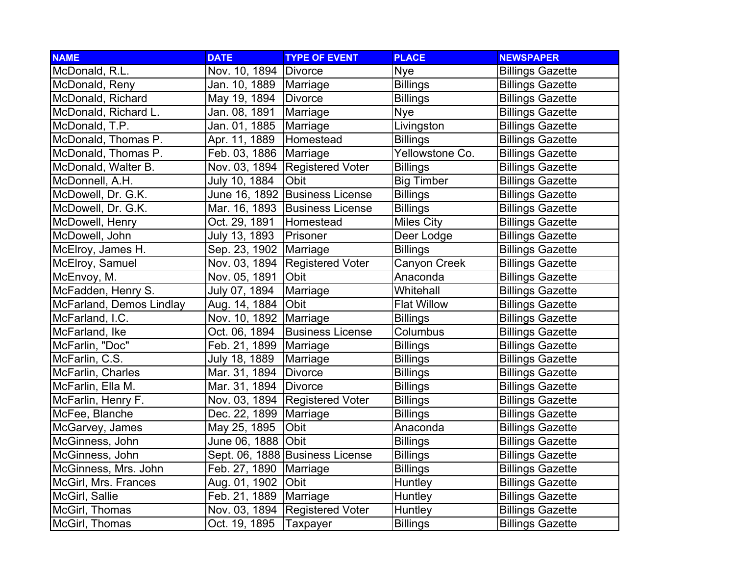| <b>NAME</b>              | <b>DATE</b>             | <b>TYPE OF EVENT</b>            | <b>PLACE</b>       | <b>NEWSPAPER</b>        |
|--------------------------|-------------------------|---------------------------------|--------------------|-------------------------|
| McDonald, R.L.           | Nov. 10, 1894   Divorce |                                 | <b>Nye</b>         | <b>Billings Gazette</b> |
| McDonald, Reny           | Jan. 10, 1889           | Marriage                        | <b>Billings</b>    | <b>Billings Gazette</b> |
| McDonald, Richard        | May 19, 1894            | Divorce                         | <b>Billings</b>    | <b>Billings Gazette</b> |
| McDonald, Richard L.     | Jan. 08, 1891           | Marriage                        | <b>Nye</b>         | <b>Billings Gazette</b> |
| McDonald, T.P.           | Jan. 01, 1885           | Marriage                        | Livingston         | <b>Billings Gazette</b> |
| McDonald, Thomas P.      | Apr. 11, 1889           | Homestead                       | <b>Billings</b>    | <b>Billings Gazette</b> |
| McDonald, Thomas P.      | Feb. 03, 1886           | Marriage                        | Yellowstone Co.    | <b>Billings Gazette</b> |
| McDonald, Walter B.      | Nov. 03, 1894           | <b>Registered Voter</b>         | <b>Billings</b>    | <b>Billings Gazette</b> |
| McDonnell, A.H.          | July 10, 1884           | Obit                            | <b>Big Timber</b>  | <b>Billings Gazette</b> |
| McDowell, Dr. G.K.       | June 16, 1892           | <b>Business License</b>         | <b>Billings</b>    | <b>Billings Gazette</b> |
| McDowell, Dr. G.K.       | Mar. 16, 1893           | <b>Business License</b>         | <b>Billings</b>    | <b>Billings Gazette</b> |
| McDowell, Henry          | Oct. 29, 1891           | Homestead                       | <b>Miles City</b>  | <b>Billings Gazette</b> |
| McDowell, John           | July 13, 1893           | Prisoner                        | Deer Lodge         | <b>Billings Gazette</b> |
| McElroy, James H.        | Sep. 23, 1902           | Marriage                        | <b>Billings</b>    | <b>Billings Gazette</b> |
| McElroy, Samuel          | Nov. 03, 1894           | <b>Registered Voter</b>         | Canyon Creek       | <b>Billings Gazette</b> |
| McEnvoy, M.              | Nov. 05, 1891           | Obit                            | Anaconda           | <b>Billings Gazette</b> |
| McFadden, Henry S.       | July 07, 1894           | Marriage                        | Whitehall          | <b>Billings Gazette</b> |
| McFarland, Demos Lindlay | Aug. 14, 1884           | Obit                            | <b>Flat Willow</b> | <b>Billings Gazette</b> |
| McFarland, I.C.          | Nov. 10, 1892           | Marriage                        | <b>Billings</b>    | <b>Billings Gazette</b> |
| McFarland, Ike           | Oct. 06, 1894           | <b>Business License</b>         | Columbus           | <b>Billings Gazette</b> |
| McFarlin, "Doc"          | Feb. 21, 1899           | Marriage                        | <b>Billings</b>    | <b>Billings Gazette</b> |
| McFarlin, C.S.           | July 18, 1889           | Marriage                        | <b>Billings</b>    | <b>Billings Gazette</b> |
| McFarlin, Charles        | Mar. 31, 1894           | Divorce                         | <b>Billings</b>    | <b>Billings Gazette</b> |
| McFarlin, Ella M.        | Mar. 31, 1894           | <b>Divorce</b>                  | <b>Billings</b>    | <b>Billings Gazette</b> |
| McFarlin, Henry F.       | Nov. 03, 1894           | <b>Registered Voter</b>         | <b>Billings</b>    | <b>Billings Gazette</b> |
| McFee, Blanche           | Dec. 22, 1899           | Marriage                        | <b>Billings</b>    | <b>Billings Gazette</b> |
| McGarvey, James          | May 25, 1895            | Obit                            | Anaconda           | <b>Billings Gazette</b> |
| McGinness, John          | June 06, 1888           | <b>Obit</b>                     | <b>Billings</b>    | <b>Billings Gazette</b> |
| McGinness, John          |                         | Sept. 06, 1888 Business License | <b>Billings</b>    | <b>Billings Gazette</b> |
| McGinness, Mrs. John     | Feb. 27, 1890           | Marriage                        | <b>Billings</b>    | <b>Billings Gazette</b> |
| McGirl, Mrs. Frances     | Aug. 01, 1902           | Obit                            | Huntley            | <b>Billings Gazette</b> |
| McGirl, Sallie           | Feb. 21, 1889           | Marriage                        | Huntley            | <b>Billings Gazette</b> |
| McGirl, Thomas           | Nov. 03, 1894           | <b>Registered Voter</b>         | Huntley            | <b>Billings Gazette</b> |
| McGirl, Thomas           | Oct. 19, 1895           | Taxpayer                        | <b>Billings</b>    | <b>Billings Gazette</b> |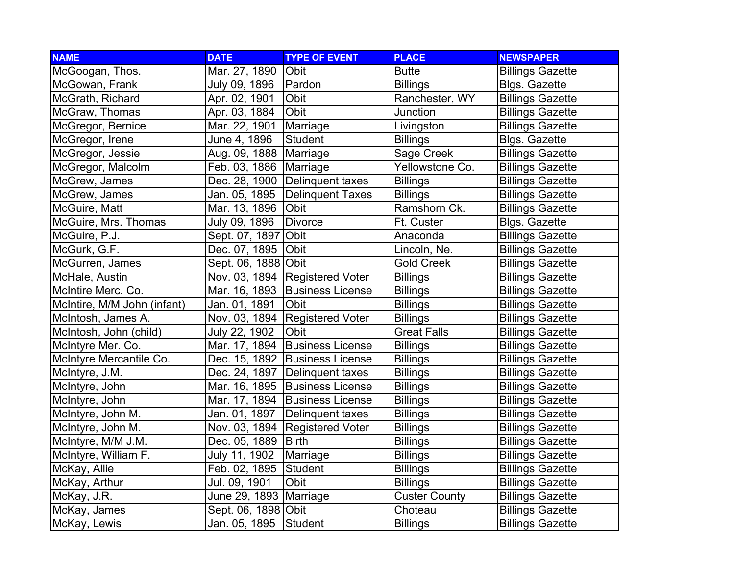| <b>NAME</b>                 | <b>DATE</b>              | <b>TYPE OF EVENT</b>           | <b>PLACE</b>         | <b>NEWSPAPER</b>        |
|-----------------------------|--------------------------|--------------------------------|----------------------|-------------------------|
| McGoogan, Thos.             | Mar. 27, 1890            | <b>Obit</b>                    | <b>Butte</b>         | <b>Billings Gazette</b> |
| McGowan, Frank              | July 09, 1896            | Pardon                         | <b>Billings</b>      | <b>Blgs. Gazette</b>    |
| McGrath, Richard            | Apr. 02, 1901            | Obit                           | Ranchester, WY       | <b>Billings Gazette</b> |
| McGraw, Thomas              | Apr. 03, 1884            | Obit                           | Junction             | <b>Billings Gazette</b> |
| McGregor, Bernice           | Mar. 22, 1901            | Marriage                       | Livingston           | <b>Billings Gazette</b> |
| McGregor, Irene             | June 4, 1896             | <b>Student</b>                 | <b>Billings</b>      | <b>Blgs. Gazette</b>    |
| McGregor, Jessie            | Aug. 09, 1888   Marriage |                                | Sage Creek           | <b>Billings Gazette</b> |
| McGregor, Malcolm           | Feb. 03, 1886            | Marriage                       | Yellowstone Co.      | <b>Billings Gazette</b> |
| McGrew, James               | Dec. 28, 1900            | Delinquent taxes               | <b>Billings</b>      | <b>Billings Gazette</b> |
| McGrew, James               | Jan. 05, 1895            | <b>Delinquent Taxes</b>        | <b>Billings</b>      | <b>Billings Gazette</b> |
| McGuire, Matt               | Mar. 13, 1896            | Obit                           | Ramshorn Ck.         | <b>Billings Gazette</b> |
| McGuire, Mrs. Thomas        | July 09, 1896            | <b>Divorce</b>                 | Ft. Custer           | <b>Blgs. Gazette</b>    |
| McGuire, P.J.               | Sept. 07, 1897           | Obit                           | Anaconda             | <b>Billings Gazette</b> |
| McGurk, G.F.                | Dec. 07, 1895            | <b>Obit</b>                    | Lincoln, Ne.         | <b>Billings Gazette</b> |
| McGurren, James             | Sept. 06, 1888 Obit      |                                | <b>Gold Creek</b>    | <b>Billings Gazette</b> |
| McHale, Austin              |                          | Nov. 03, 1894 Registered Voter | <b>Billings</b>      | <b>Billings Gazette</b> |
| McIntire Merc. Co.          | Mar. 16, 1893            | <b>Business License</b>        | <b>Billings</b>      | <b>Billings Gazette</b> |
| McIntire, M/M John (infant) | Jan. 01, 1891            | <b>Obit</b>                    | <b>Billings</b>      | <b>Billings Gazette</b> |
| McIntosh, James A.          | Nov. 03, 1894            | <b>Registered Voter</b>        | <b>Billings</b>      | <b>Billings Gazette</b> |
| McIntosh, John (child)      | July 22, 1902            | Obit                           | <b>Great Falls</b>   | <b>Billings Gazette</b> |
| McIntyre Mer. Co.           | Mar. 17, 1894            | <b>Business License</b>        | <b>Billings</b>      | <b>Billings Gazette</b> |
| McIntyre Mercantile Co.     | Dec. 15, 1892            | <b>Business License</b>        | <b>Billings</b>      | <b>Billings Gazette</b> |
| McIntyre, J.M.              | Dec. 24, 1897            | Delinquent taxes               | Billings             | <b>Billings Gazette</b> |
| McIntyre, John              | Mar. 16, 1895            | <b>Business License</b>        | <b>Billings</b>      | <b>Billings Gazette</b> |
| McIntyre, John              | Mar. 17, 1894            | <b>Business License</b>        | <b>Billings</b>      | <b>Billings Gazette</b> |
| McIntyre, John M.           | Jan. 01, 1897            | Delinquent taxes               | <b>Billings</b>      | <b>Billings Gazette</b> |
| McIntyre, John M.           | Nov. 03, 1894            | <b>Registered Voter</b>        | <b>Billings</b>      | <b>Billings Gazette</b> |
| McIntyre, M/M J.M.          | Dec. 05, 1889            | <b>Birth</b>                   | <b>Billings</b>      | <b>Billings Gazette</b> |
| McIntyre, William F.        | July 11, 1902            | Marriage                       | <b>Billings</b>      | <b>Billings Gazette</b> |
| McKay, Allie                | Feb. 02, 1895            | Student                        | <b>Billings</b>      | <b>Billings Gazette</b> |
| McKay, Arthur               | Jul. 09, 1901            | Obit                           | <b>Billings</b>      | <b>Billings Gazette</b> |
| McKay, J.R.                 | June 29, 1893   Marriage |                                | <b>Custer County</b> | <b>Billings Gazette</b> |
| McKay, James                | Sept. 06, 1898 Obit      |                                | Choteau              | <b>Billings Gazette</b> |
| McKay, Lewis                | Jan. 05, 1895            | Student                        | <b>Billings</b>      | <b>Billings Gazette</b> |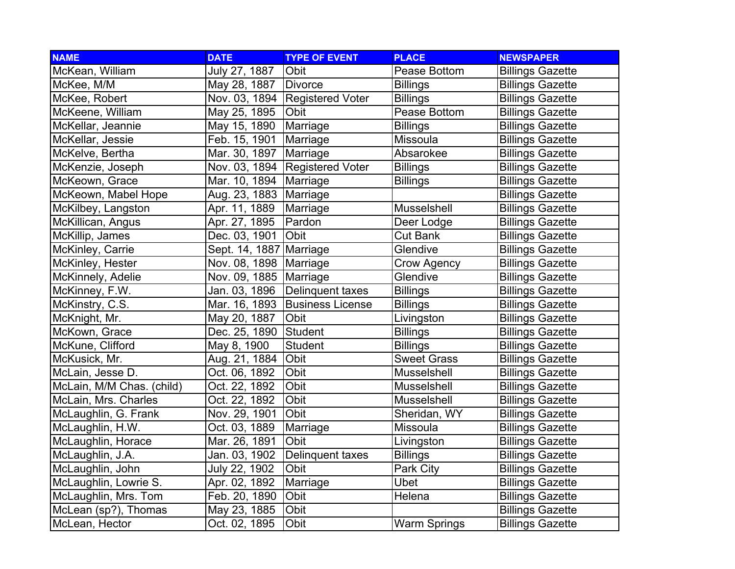| <b>NAME</b>               | <b>DATE</b>              | <b>TYPE OF EVENT</b>    | <b>PLACE</b>        | <b>NEWSPAPER</b>        |
|---------------------------|--------------------------|-------------------------|---------------------|-------------------------|
| McKean, William           | July 27, 1887            | Obit                    | Pease Bottom        | <b>Billings Gazette</b> |
| McKee, M/M                | May 28, 1887             | <b>Divorce</b>          | <b>Billings</b>     | <b>Billings Gazette</b> |
| McKee, Robert             | Nov. 03, 1894            | <b>Registered Voter</b> | <b>Billings</b>     | <b>Billings Gazette</b> |
| McKeene, William          | May 25, 1895             | Obit                    | Pease Bottom        | <b>Billings Gazette</b> |
| McKellar, Jeannie         | May 15, 1890             | Marriage                | <b>Billings</b>     | <b>Billings Gazette</b> |
| McKellar, Jessie          | Feb. 15, 1901            | Marriage                | Missoula            | <b>Billings Gazette</b> |
| McKelve, Bertha           | Mar. 30, 1897            | Marriage                | Absarokee           | <b>Billings Gazette</b> |
| McKenzie, Joseph          | Nov. 03, 1894            | <b>Registered Voter</b> | <b>Billings</b>     | <b>Billings Gazette</b> |
| McKeown, Grace            | Mar. 10, 1894            | Marriage                | <b>Billings</b>     | <b>Billings Gazette</b> |
| McKeown, Mabel Hope       | Aug. 23, 1883            | Marriage                |                     | <b>Billings Gazette</b> |
| McKilbey, Langston        | Apr. 11, 1889            | Marriage                | Musselshell         | <b>Billings Gazette</b> |
| McKillican, Angus         | Apr. 27, 1895            | Pardon                  | Deer Lodge          | <b>Billings Gazette</b> |
| McKillip, James           | Dec. 03, 1901            | Obit                    | <b>Cut Bank</b>     | <b>Billings Gazette</b> |
| McKinley, Carrie          | Sept. 14, 1887 Marriage  |                         | Glendive            | <b>Billings Gazette</b> |
| McKinley, Hester          | Nov. 08, 1898   Marriage |                         | Crow Agency         | <b>Billings Gazette</b> |
| McKinnely, Adelie         | Nov. 09, 1885   Marriage |                         | Glendive            | <b>Billings Gazette</b> |
| McKinney, F.W.            | Jan. 03, 1896            | Delinquent taxes        | <b>Billings</b>     | <b>Billings Gazette</b> |
| McKinstry, C.S.           | Mar. 16, 1893            | <b>Business License</b> | <b>Billings</b>     | <b>Billings Gazette</b> |
| McKnight, Mr.             | May 20, 1887             | Obit                    | Livingston          | <b>Billings Gazette</b> |
| McKown, Grace             | Dec. 25, 1890            | Student                 | <b>Billings</b>     | <b>Billings Gazette</b> |
| McKune, Clifford          | May 8, 1900              | Student                 | <b>Billings</b>     | <b>Billings Gazette</b> |
| McKusick, Mr.             | Aug. 21, 1884            | Obit                    | <b>Sweet Grass</b>  | <b>Billings Gazette</b> |
| McLain, Jesse D.          | Oct. 06, 1892            | Obit                    | Musselshell         | <b>Billings Gazette</b> |
| McLain, M/M Chas. (child) | Oct. 22, 1892            | Obit                    | Musselshell         | <b>Billings Gazette</b> |
| McLain, Mrs. Charles      | Oct. 22, 1892            | Obit                    | Musselshell         | <b>Billings Gazette</b> |
| McLaughlin, G. Frank      | Nov. 29, 1901            | Obit                    | Sheridan, WY        | <b>Billings Gazette</b> |
| McLaughlin, H.W.          | Oct. 03, 1889            | Marriage                | Missoula            | <b>Billings Gazette</b> |
| McLaughlin, Horace        | Mar. 26, 1891            | Obit                    | Livingston          | <b>Billings Gazette</b> |
| McLaughlin, J.A.          | Jan. 03, 1902            | Delinquent taxes        | <b>Billings</b>     | <b>Billings Gazette</b> |
| McLaughlin, John          | July 22, 1902            | Obit                    | Park City           | <b>Billings Gazette</b> |
| McLaughlin, Lowrie S.     | Apr. 02, 1892            | Marriage                | <b>Ubet</b>         | <b>Billings Gazette</b> |
| McLaughlin, Mrs. Tom      | Feb. 20, 1890            | Obit                    | Helena              | <b>Billings Gazette</b> |
| McLean (sp?), Thomas      | May 23, 1885             | Obit                    |                     | <b>Billings Gazette</b> |
| McLean, Hector            | Oct. 02, 1895            | Obit                    | <b>Warm Springs</b> | <b>Billings Gazette</b> |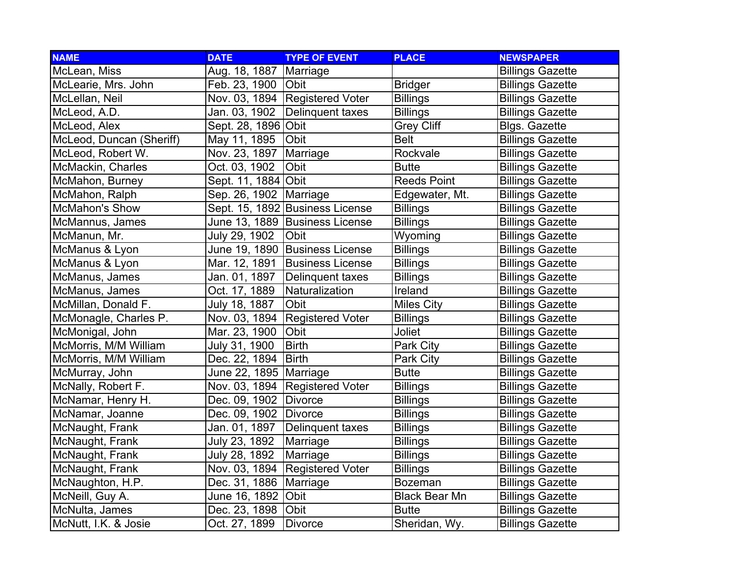| <b>NAME</b>              | <b>DATE</b>              | <b>TYPE OF EVENT</b>            | <b>PLACE</b>         | <b>NEWSPAPER</b>        |
|--------------------------|--------------------------|---------------------------------|----------------------|-------------------------|
| McLean, Miss             | Aug. 18, 1887            | Marriage                        |                      | <b>Billings Gazette</b> |
| McLearie, Mrs. John      | Feb. 23, 1900            | <b>Obit</b>                     | <b>Bridger</b>       | <b>Billings Gazette</b> |
| McLellan, Neil           | Nov. 03, 1894            | <b>Registered Voter</b>         | <b>Billings</b>      | <b>Billings Gazette</b> |
| McLeod, A.D.             | Jan. 03, 1902            | Delinquent taxes                | <b>Billings</b>      | <b>Billings Gazette</b> |
| McLeod, Alex             | Sept. 28, 1896 Obit      |                                 | <b>Grey Cliff</b>    | <b>Blgs. Gazette</b>    |
| McLeod, Duncan (Sheriff) | May 11, 1895             | Obit                            | <b>Belt</b>          | <b>Billings Gazette</b> |
| McLeod, Robert W.        | Nov. 23, 1897            | Marriage                        | Rockvale             | <b>Billings Gazette</b> |
| McMackin, Charles        | Oct. 03, 1902            | Obit                            | <b>Butte</b>         | <b>Billings Gazette</b> |
| McMahon, Burney          | Sept. 11, 1884 Obit      |                                 | <b>Reeds Point</b>   | <b>Billings Gazette</b> |
| McMahon, Ralph           | Sep. 26, 1902            | Marriage                        | Edgewater, Mt.       | <b>Billings Gazette</b> |
| <b>McMahon's Show</b>    |                          | Sept. 15, 1892 Business License | <b>Billings</b>      | <b>Billings Gazette</b> |
| McMannus, James          |                          | June 13, 1889 Business License  | <b>Billings</b>      | <b>Billings Gazette</b> |
| McManun, Mr.             | July 29, 1902            | Obit                            | Wyoming              | <b>Billings Gazette</b> |
| McManus & Lyon           |                          | June 19, 1890 Business License  | <b>Billings</b>      | <b>Billings Gazette</b> |
| McManus & Lyon           | Mar. 12, 1891            | <b>Business License</b>         | <b>Billings</b>      | <b>Billings Gazette</b> |
| McManus, James           | Jan. 01, 1897            | Delinquent taxes                | <b>Billings</b>      | <b>Billings Gazette</b> |
| McManus, James           | Oct. 17, 1889            | Naturalization                  | Ireland              | <b>Billings Gazette</b> |
| McMillan, Donald F.      | July 18, 1887            | Obit                            | <b>Miles City</b>    | <b>Billings Gazette</b> |
| McMonagle, Charles P.    | Nov. 03, 1894            | <b>Registered Voter</b>         | <b>Billings</b>      | <b>Billings Gazette</b> |
| McMonigal, John          | Mar. 23, 1900            | Obit                            | Joliet               | <b>Billings Gazette</b> |
| McMorris, M/M William    | July 31, 1900            | <b>Birth</b>                    | Park City            | <b>Billings Gazette</b> |
| McMorris, M/M William    | Dec. 22, 1894            | <b>Birth</b>                    | Park City            | <b>Billings Gazette</b> |
| McMurray, John           | June 22, 1895   Marriage |                                 | <b>Butte</b>         | <b>Billings Gazette</b> |
| McNally, Robert F.       | Nov. 03, 1894            | <b>Registered Voter</b>         | <b>Billings</b>      | <b>Billings Gazette</b> |
| McNamar, Henry H.        | Dec. 09, 1902            | Divorce                         | <b>Billings</b>      | <b>Billings Gazette</b> |
| McNamar, Joanne          | Dec. 09, 1902            | Divorce                         | <b>Billings</b>      | <b>Billings Gazette</b> |
| McNaught, Frank          | Jan. 01, 1897            | Delinquent taxes                | <b>Billings</b>      | <b>Billings Gazette</b> |
| McNaught, Frank          | July 23, 1892            | Marriage                        | <b>Billings</b>      | <b>Billings Gazette</b> |
| McNaught, Frank          | July 28, 1892            | Marriage                        | <b>Billings</b>      | <b>Billings Gazette</b> |
| McNaught, Frank          | Nov. 03, 1894            | <b>Registered Voter</b>         | <b>Billings</b>      | <b>Billings Gazette</b> |
| McNaughton, H.P.         | Dec. 31, 1886            | Marriage                        | <b>Bozeman</b>       | <b>Billings Gazette</b> |
| McNeill, Guy A.          | June 16, 1892            | Obit                            | <b>Black Bear Mn</b> | <b>Billings Gazette</b> |
| McNulta, James           | Dec. 23, 1898            | Obit                            | <b>Butte</b>         | <b>Billings Gazette</b> |
| McNutt, I.K. & Josie     | Oct. 27, 1899            | Divorce                         | Sheridan, Wy.        | <b>Billings Gazette</b> |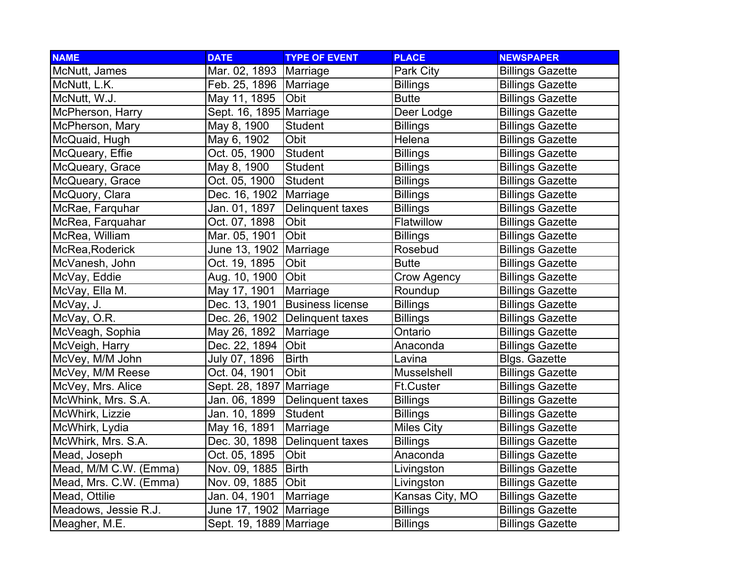| <b>NAME</b>            | <b>DATE</b>              | <b>TYPE OF EVENT</b>    | <b>PLACE</b>       | <b>NEWSPAPER</b>        |
|------------------------|--------------------------|-------------------------|--------------------|-------------------------|
| McNutt, James          | Mar. 02, 1893            | Marriage                | Park City          | <b>Billings Gazette</b> |
| McNutt, L.K.           | Feb. 25, 1896   Marriage |                         | <b>Billings</b>    | <b>Billings Gazette</b> |
| McNutt, W.J.           | May 11, 1895             | Obit                    | <b>Butte</b>       | <b>Billings Gazette</b> |
| McPherson, Harry       | Sept. 16, 1895 Marriage  |                         | Deer Lodge         | <b>Billings Gazette</b> |
| McPherson, Mary        | May 8, 1900              | <b>Student</b>          | <b>Billings</b>    | <b>Billings Gazette</b> |
| McQuaid, Hugh          | May 6, 1902              | Obit                    | Helena             | <b>Billings Gazette</b> |
| McQueary, Effie        | Oct. 05, 1900            | Student                 | <b>Billings</b>    | <b>Billings Gazette</b> |
| McQueary, Grace        | May 8, 1900              | Student                 | <b>Billings</b>    | <b>Billings Gazette</b> |
| McQueary, Grace        | Oct. 05, 1900            | Student                 | <b>Billings</b>    | <b>Billings Gazette</b> |
| McQuory, Clara         | Dec. 16, 1902            | Marriage                | <b>Billings</b>    | <b>Billings Gazette</b> |
| McRae, Farquhar        | Jan. 01, 1897            | Delinquent taxes        | <b>Billings</b>    | <b>Billings Gazette</b> |
| McRea, Farquahar       | Oct. 07, 1898            | Obit                    | Flatwillow         | <b>Billings Gazette</b> |
| McRea, William         | Mar. 05, 1901            | Obit                    | <b>Billings</b>    | <b>Billings Gazette</b> |
| McRea, Roderick        | June 13, 1902            | Marriage                | Rosebud            | <b>Billings Gazette</b> |
| McVanesh, John         | Oct. 19, 1895            | Obit                    | <b>Butte</b>       | <b>Billings Gazette</b> |
| McVay, Eddie           | Aug. 10, 1900            | Obit                    | <b>Crow Agency</b> | <b>Billings Gazette</b> |
| McVay, Ella M.         | May 17, 1901             | Marriage                | Roundup            | <b>Billings Gazette</b> |
| McVay, J.              | Dec. 13, 1901            | <b>Business license</b> | <b>Billings</b>    | <b>Billings Gazette</b> |
| McVay, O.R.            | Dec. 26, 1902            | Delinquent taxes        | <b>Billings</b>    | <b>Billings Gazette</b> |
| McVeagh, Sophia        | May 26, 1892             | Marriage                | Ontario            | <b>Billings Gazette</b> |
| McVeigh, Harry         | Dec. 22, 1894            | Obit                    | Anaconda           | <b>Billings Gazette</b> |
| McVey, M/M John        | July 07, 1896            | <b>Birth</b>            | Lavina             | <b>Blgs. Gazette</b>    |
| McVey, M/M Reese       | Oct. 04, 1901            | Obit                    | Musselshell        | <b>Billings Gazette</b> |
| McVey, Mrs. Alice      | Sept. 28, 1897           | Marriage                | <b>Ft.Custer</b>   | <b>Billings Gazette</b> |
| McWhink, Mrs. S.A.     | Jan. 06, 1899            | Delinquent taxes        | <b>Billings</b>    | <b>Billings Gazette</b> |
| McWhirk, Lizzie        | Jan. 10, 1899            | Student                 | <b>Billings</b>    | <b>Billings Gazette</b> |
| McWhirk, Lydia         | May 16, 1891             | Marriage                | <b>Miles City</b>  | <b>Billings Gazette</b> |
| McWhirk, Mrs. S.A.     | Dec. 30, 1898            | Delinquent taxes        | <b>Billings</b>    | <b>Billings Gazette</b> |
| Mead, Joseph           | Oct. 05, 1895            | Obit                    | Anaconda           | <b>Billings Gazette</b> |
| Mead, M/M C.W. (Emma)  | Nov. 09, 1885            | <b>Birth</b>            | Livingston         | <b>Billings Gazette</b> |
| Mead, Mrs. C.W. (Emma) | Nov. 09, 1885            | Obit                    | Livingston         | <b>Billings Gazette</b> |
| Mead, Ottilie          | Jan. 04, 1901            | Marriage                | Kansas City, MO    | <b>Billings Gazette</b> |
| Meadows, Jessie R.J.   | June 17, 1902 Marriage   |                         | <b>Billings</b>    | <b>Billings Gazette</b> |
| Meagher, M.E.          | Sept. 19, 1889 Marriage  |                         | <b>Billings</b>    | <b>Billings Gazette</b> |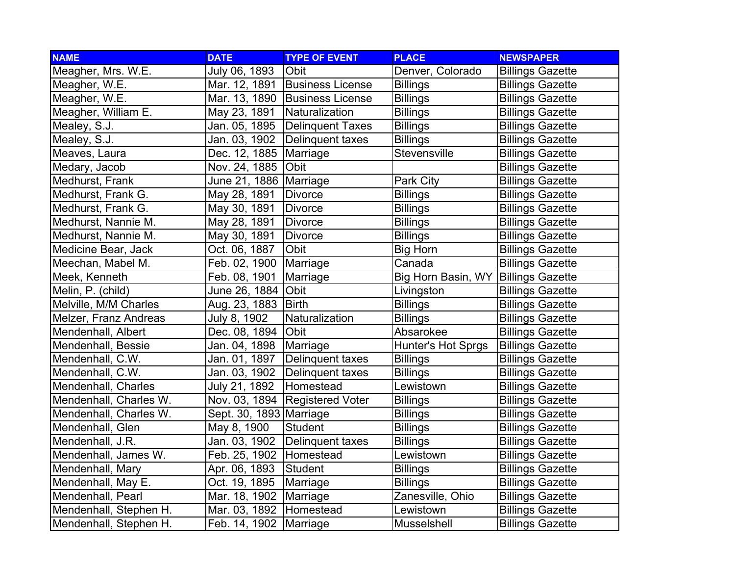| <b>NAME</b>            | <b>DATE</b>    | <b>TYPE OF EVENT</b>    | <b>PLACE</b>        | <b>NEWSPAPER</b>        |
|------------------------|----------------|-------------------------|---------------------|-------------------------|
| Meagher, Mrs. W.E.     | July 06, 1893  | Obit                    | Denver, Colorado    | <b>Billings Gazette</b> |
| Meagher, W.E.          | Mar. 12, 1891  | <b>Business License</b> | <b>Billings</b>     | <b>Billings Gazette</b> |
| Meagher, W.E.          | Mar. 13, 1890  | <b>Business License</b> | <b>Billings</b>     | <b>Billings Gazette</b> |
| Meagher, William E.    | May 23, 1891   | Naturalization          | <b>Billings</b>     | <b>Billings Gazette</b> |
| Mealey, S.J.           | Jan. 05, 1895  | Delinquent Taxes        | <b>Billings</b>     | <b>Billings Gazette</b> |
| Mealey, S.J.           | Jan. 03, 1902  | Delinquent taxes        | Billings            | <b>Billings Gazette</b> |
| Meaves, Laura          | Dec. 12, 1885  | Marriage                | <b>Stevensville</b> | <b>Billings Gazette</b> |
| Medary, Jacob          | Nov. 24, 1885  | Obit                    |                     | <b>Billings Gazette</b> |
| Medhurst, Frank        | June 21, 1886  | Marriage                | Park City           | <b>Billings Gazette</b> |
| Medhurst, Frank G.     | May 28, 1891   | <b>Divorce</b>          | <b>Billings</b>     | <b>Billings Gazette</b> |
| Medhurst, Frank G.     | May 30, 1891   | <b>Divorce</b>          | <b>Billings</b>     | <b>Billings Gazette</b> |
| Medhurst, Nannie M.    | May 28, 1891   | <b>Divorce</b>          | <b>Billings</b>     | <b>Billings Gazette</b> |
| Medhurst, Nannie M.    | May 30, 1891   | <b>Divorce</b>          | <b>Billings</b>     | <b>Billings Gazette</b> |
| Medicine Bear, Jack    | Oct. 06, 1887  | Obit                    | <b>Big Horn</b>     | <b>Billings Gazette</b> |
| Meechan, Mabel M.      | Feb. 02, 1900  | Marriage                | Canada              | <b>Billings Gazette</b> |
| Meek, Kenneth          | Feb. 08, 1901  | Marriage                | Big Horn Basin, WY  | <b>Billings Gazette</b> |
| Melin, P. (child)      | June 26, 1884  | Obit                    | Livingston          | <b>Billings Gazette</b> |
| Melville, M/M Charles  | Aug. 23, 1883  | <b>Birth</b>            | <b>Billings</b>     | <b>Billings Gazette</b> |
| Melzer, Franz Andreas  | July 8, 1902   | Naturalization          | <b>Billings</b>     | <b>Billings Gazette</b> |
| Mendenhall, Albert     | Dec. 08, 1894  | <b>Obit</b>             | Absarokee           | <b>Billings Gazette</b> |
| Mendenhall, Bessie     | Jan. 04, 1898  | Marriage                | Hunter's Hot Sprgs  | <b>Billings Gazette</b> |
| Mendenhall, C.W.       | Jan. 01, 1897  | Delinquent taxes        | <b>Billings</b>     | <b>Billings Gazette</b> |
| Mendenhall, C.W.       | Jan. 03, 1902  | Delinquent taxes        | <b>Billings</b>     | <b>Billings Gazette</b> |
| Mendenhall, Charles    | July 21, 1892  | Homestead               | Lewistown           | <b>Billings Gazette</b> |
| Mendenhall, Charles W. | Nov. 03, 1894  | <b>Registered Voter</b> | <b>Billings</b>     | <b>Billings Gazette</b> |
| Mendenhall, Charles W. | Sept. 30, 1893 | Marriage                | <b>Billings</b>     | <b>Billings Gazette</b> |
| Mendenhall, Glen       | May 8, 1900    | <b>Student</b>          | <b>Billings</b>     | <b>Billings Gazette</b> |
| Mendenhall, J.R.       | Jan. 03, 1902  | Delinquent taxes        | <b>Billings</b>     | <b>Billings Gazette</b> |
| Mendenhall, James W.   | Feb. 25, 1902  | Homestead               | Lewistown           | <b>Billings Gazette</b> |
| Mendenhall, Mary       | Apr. 06, 1893  | Student                 | <b>Billings</b>     | <b>Billings Gazette</b> |
| Mendenhall, May E.     | Oct. 19, 1895  | Marriage                | <b>Billings</b>     | <b>Billings Gazette</b> |
| Mendenhall, Pearl      | Mar. 18, 1902  | Marriage                | Zanesville, Ohio    | <b>Billings Gazette</b> |
| Mendenhall, Stephen H. | Mar. 03, 1892  | Homestead               | Lewistown           | <b>Billings Gazette</b> |
| Mendenhall, Stephen H. | Feb. 14, 1902  | Marriage                | Musselshell         | <b>Billings Gazette</b> |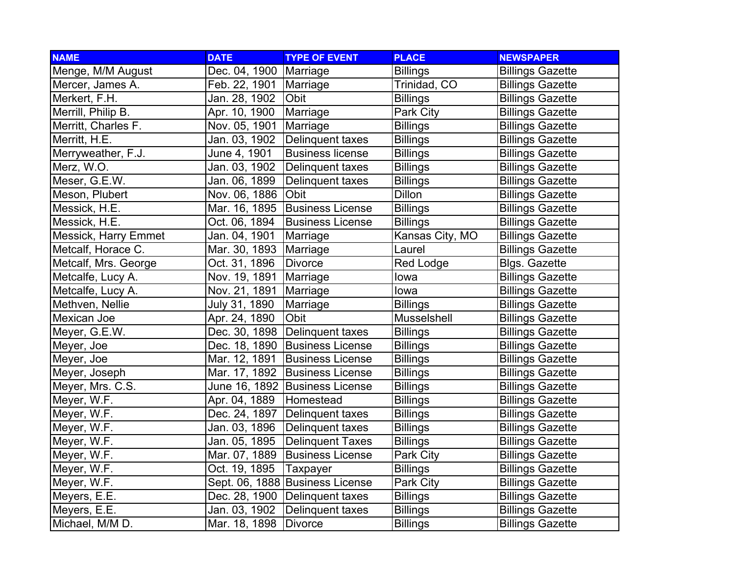| <b>NAME</b>                 | <b>DATE</b>   | <b>TYPE OF EVENT</b>            | <b>PLACE</b>     | <b>NEWSPAPER</b>        |
|-----------------------------|---------------|---------------------------------|------------------|-------------------------|
| Menge, M/M August           | Dec. 04, 1900 | Marriage                        | <b>Billings</b>  | <b>Billings Gazette</b> |
| Mercer, James A.            | Feb. 22, 1901 | Marriage                        | Trinidad, CO     | <b>Billings Gazette</b> |
| Merkert, F.H.               | Jan. 28, 1902 | Obit                            | <b>Billings</b>  | <b>Billings Gazette</b> |
| Merrill, Philip B.          | Apr. 10, 1900 | Marriage                        | Park City        | <b>Billings Gazette</b> |
| Merritt, Charles F.         | Nov. 05, 1901 | Marriage                        | <b>Billings</b>  | <b>Billings Gazette</b> |
| Merritt, H.E.               | Jan. 03, 1902 | Delinquent taxes                | <b>Billings</b>  | <b>Billings Gazette</b> |
| Merryweather, F.J.          | June 4, 1901  | <b>Business license</b>         | <b>Billings</b>  | <b>Billings Gazette</b> |
| Merz, W.O.                  | Jan. 03, 1902 | Delinquent taxes                | <b>Billings</b>  | <b>Billings Gazette</b> |
| Meser, G.E.W.               | Jan. 06, 1899 | Delinquent taxes                | <b>Billings</b>  | <b>Billings Gazette</b> |
| Meson, Plubert              | Nov. 06, 1886 | Obit                            | <b>Dillon</b>    | <b>Billings Gazette</b> |
| Messick, H.E.               | Mar. 16, 1895 | <b>Business License</b>         | <b>Billings</b>  | <b>Billings Gazette</b> |
| Messick, H.E.               | Oct. 06, 1894 | <b>Business License</b>         | <b>Billings</b>  | <b>Billings Gazette</b> |
| <b>Messick, Harry Emmet</b> | Jan. 04, 1901 | Marriage                        | Kansas City, MO  | <b>Billings Gazette</b> |
| Metcalf, Horace C.          | Mar. 30, 1893 | Marriage                        | Laurel           | <b>Billings Gazette</b> |
| Metcalf, Mrs. George        | Oct. 31, 1896 | <b>Divorce</b>                  | <b>Red Lodge</b> | <b>Blgs. Gazette</b>    |
| Metcalfe, Lucy A.           | Nov. 19, 1891 | Marriage                        | lowa             | <b>Billings Gazette</b> |
| Metcalfe, Lucy A.           | Nov. 21, 1891 | Marriage                        | lowa             | <b>Billings Gazette</b> |
| Methven, Nellie             | July 31, 1890 | Marriage                        | <b>Billings</b>  | <b>Billings Gazette</b> |
| Mexican Joe                 | Apr. 24, 1890 | Obit                            | Musselshell      | <b>Billings Gazette</b> |
| Meyer, G.E.W.               | Dec. 30, 1898 | Delinquent taxes                | <b>Billings</b>  | <b>Billings Gazette</b> |
| Meyer, Joe                  | Dec. 18, 1890 | <b>Business License</b>         | <b>Billings</b>  | <b>Billings Gazette</b> |
| Meyer, Joe                  | Mar. 12, 1891 | <b>Business License</b>         | <b>Billings</b>  | <b>Billings Gazette</b> |
| Meyer, Joseph               | Mar. 17, 1892 | <b>Business License</b>         | <b>Billings</b>  | <b>Billings Gazette</b> |
| Meyer, Mrs. C.S.            |               | June 16, 1892 Business License  | <b>Billings</b>  | <b>Billings Gazette</b> |
| Meyer, W.F.                 | Apr. 04, 1889 | Homestead                       | <b>Billings</b>  | <b>Billings Gazette</b> |
| Meyer, W.F.                 | Dec. 24, 1897 | Delinquent taxes                | <b>Billings</b>  | <b>Billings Gazette</b> |
| Meyer, W.F.                 | Jan. 03, 1896 | Delinquent taxes                | <b>Billings</b>  | <b>Billings Gazette</b> |
| Meyer, W.F.                 | Jan. 05, 1895 | <b>Delinquent Taxes</b>         | <b>Billings</b>  | <b>Billings Gazette</b> |
| Meyer, W.F.                 | Mar. 07, 1889 | <b>Business License</b>         | Park City        | <b>Billings Gazette</b> |
| Meyer, W.F.                 | Oct. 19, 1895 | Taxpayer                        | <b>Billings</b>  | <b>Billings Gazette</b> |
| Meyer, W.F.                 |               | Sept. 06, 1888 Business License | Park City        | <b>Billings Gazette</b> |
| Meyers, E.E.                |               | Dec. 28, 1900 Delinquent taxes  | <b>Billings</b>  | <b>Billings Gazette</b> |
| Meyers, E.E.                | Jan. 03, 1902 | Delinquent taxes                | <b>Billings</b>  | <b>Billings Gazette</b> |
| Michael, M/M D.             | Mar. 18, 1898 | Divorce                         | <b>Billings</b>  | <b>Billings Gazette</b> |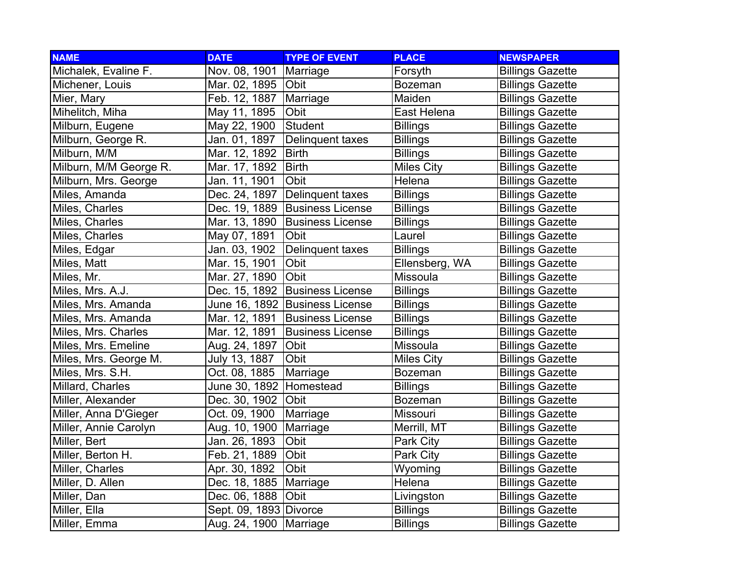| <b>NAME</b>            | <b>DATE</b>            | <b>TYPE OF EVENT</b>    | <b>PLACE</b>      | <b>NEWSPAPER</b>        |
|------------------------|------------------------|-------------------------|-------------------|-------------------------|
| Michalek, Evaline F.   | Nov. 08, 1901          | Marriage                | Forsyth           | <b>Billings Gazette</b> |
| Michener, Louis        | Mar. 02, 1895          | <b>Obit</b>             | <b>Bozeman</b>    | <b>Billings Gazette</b> |
| Mier, Mary             | Feb. 12, 1887          | Marriage                | Maiden            | <b>Billings Gazette</b> |
| Mihelitch, Miha        | May 11, 1895           | Obit                    | East Helena       | <b>Billings Gazette</b> |
| Milburn, Eugene        | May 22, 1900           | Student                 | <b>Billings</b>   | <b>Billings Gazette</b> |
| Milburn, George R.     | Jan. 01, 1897          | Delinquent taxes        | <b>Billings</b>   | <b>Billings Gazette</b> |
| Milburn, M/M           | Mar. 12, 1892          | <b>Birth</b>            | <b>Billings</b>   | <b>Billings Gazette</b> |
| Milburn, M/M George R. | Mar. 17, 1892          | <b>Birth</b>            | <b>Miles City</b> | <b>Billings Gazette</b> |
| Milburn, Mrs. George   | Jan. 11, 1901          | Obit                    | Helena            | <b>Billings Gazette</b> |
| Miles, Amanda          | Dec. 24, 1897          | Delinquent taxes        | <b>Billings</b>   | <b>Billings Gazette</b> |
| Miles, Charles         | Dec. 19, 1889          | <b>Business License</b> | <b>Billings</b>   | <b>Billings Gazette</b> |
| Miles, Charles         | Mar. 13, 1890          | <b>Business License</b> | <b>Billings</b>   | <b>Billings Gazette</b> |
| Miles, Charles         | May 07, 1891           | Obit                    | Laurel            | <b>Billings Gazette</b> |
| Miles, Edgar           | Jan. 03, 1902          | Delinquent taxes        | <b>Billings</b>   | <b>Billings Gazette</b> |
| Miles, Matt            | Mar. 15, 1901          | Obit                    | Ellensberg, WA    | <b>Billings Gazette</b> |
| Miles, Mr.             | Mar. 27, 1890          | Obit                    | Missoula          | <b>Billings Gazette</b> |
| Miles, Mrs. A.J.       | Dec. 15, 1892          | <b>Business License</b> | <b>Billings</b>   | <b>Billings Gazette</b> |
| Miles, Mrs. Amanda     | June 16, 1892          | <b>Business License</b> | <b>Billings</b>   | <b>Billings Gazette</b> |
| Miles, Mrs. Amanda     | Mar. 12, 1891          | <b>Business License</b> | <b>Billings</b>   | <b>Billings Gazette</b> |
| Miles, Mrs. Charles    | Mar. 12, 1891          | <b>Business License</b> | <b>Billings</b>   | <b>Billings Gazette</b> |
| Miles, Mrs. Emeline    | Aug. 24, 1897          | Obit                    | Missoula          | <b>Billings Gazette</b> |
| Miles, Mrs. George M.  | July 13, 1887          | Obit                    | <b>Miles City</b> | <b>Billings Gazette</b> |
| Miles, Mrs. S.H.       | Oct. 08, 1885          | Marriage                | <b>Bozeman</b>    | <b>Billings Gazette</b> |
| Millard, Charles       | June 30, 1892          | Homestead               | <b>Billings</b>   | <b>Billings Gazette</b> |
| Miller, Alexander      | Dec. 30, 1902          | <b>Obit</b>             | <b>Bozeman</b>    | <b>Billings Gazette</b> |
| Miller, Anna D'Gieger  | Oct. 09, 1900          | Marriage                | Missouri          | <b>Billings Gazette</b> |
| Miller, Annie Carolyn  | Aug. 10, 1900          | Marriage                | Merrill, MT       | <b>Billings Gazette</b> |
| Miller, Bert           | Jan. 26, 1893          | Obit                    | Park City         | <b>Billings Gazette</b> |
| Miller, Berton H.      | Feb. 21, 1889          | Obit                    | Park City         | <b>Billings Gazette</b> |
| Miller, Charles        | Apr. 30, 1892          | Obit                    | Wyoming           | <b>Billings Gazette</b> |
| Miller, D. Allen       | Dec. 18, 1885          | Marriage                | Helena            | <b>Billings Gazette</b> |
| Miller, Dan            | Dec. 06, 1888          | Obit                    | Livingston        | <b>Billings Gazette</b> |
| Miller, Ella           | Sept. 09, 1893 Divorce |                         | <b>Billings</b>   | <b>Billings Gazette</b> |
| Miller, Emma           | Aug. 24, 1900          | Marriage                | Billings          | <b>Billings Gazette</b> |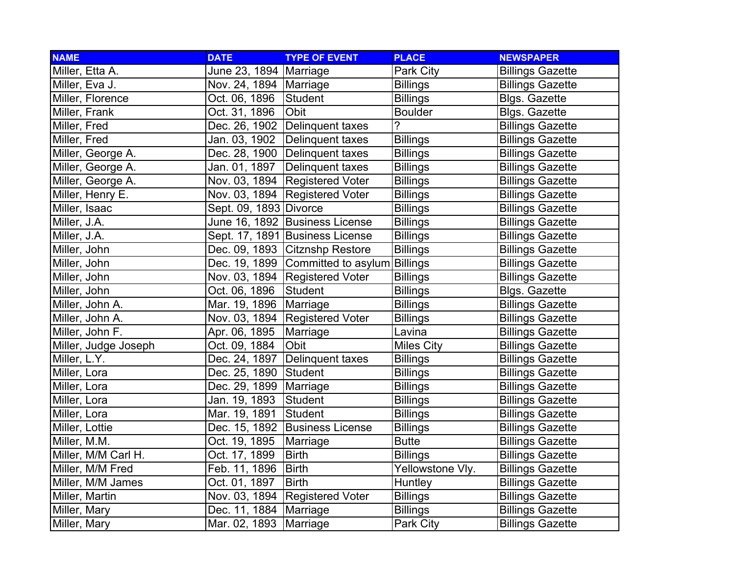| <b>NAME</b>          | <b>DATE</b>              | <b>TYPE OF EVENT</b>                       | <b>PLACE</b>      | <b>NEWSPAPER</b>        |
|----------------------|--------------------------|--------------------------------------------|-------------------|-------------------------|
| Miller, Etta A.      | June 23, 1894 Marriage   |                                            | Park City         | <b>Billings Gazette</b> |
| Miller, Eva J.       | Nov. 24, 1894   Marriage |                                            | <b>Billings</b>   | <b>Billings Gazette</b> |
| Miller, Florence     | Oct. 06, 1896            | Student                                    | <b>Billings</b>   | <b>Blgs. Gazette</b>    |
| Miller, Frank        | Oct. 31, 1896            | Obit                                       | <b>Boulder</b>    | <b>Blgs. Gazette</b>    |
| Miller, Fred         |                          | Dec. 26, 1902 Delinquent taxes             | 2                 | <b>Billings Gazette</b> |
| Miller, Fred         | Jan. 03, 1902            | Delinquent taxes                           | <b>Billings</b>   | <b>Billings Gazette</b> |
| Miller, George A.    |                          | Dec. 28, 1900 Delinquent taxes             | <b>Billings</b>   | <b>Billings Gazette</b> |
| Miller, George A.    | Jan. 01, 1897            | Delinquent taxes                           | <b>Billings</b>   | <b>Billings Gazette</b> |
| Miller, George A.    |                          | Nov. 03, 1894   Registered Voter           | <b>Billings</b>   | <b>Billings Gazette</b> |
| Miller, Henry E.     | Nov. 03, 1894            | <b>Registered Voter</b>                    | <b>Billings</b>   | <b>Billings Gazette</b> |
| Miller, Isaac        | Sept. 09, 1893 Divorce   |                                            | <b>Billings</b>   | <b>Billings Gazette</b> |
| Miller, J.A.         |                          | June 16, 1892 Business License             | <b>Billings</b>   | <b>Billings Gazette</b> |
| Miller, J.A.         |                          | Sept. 17, 1891 Business License            | <b>Billings</b>   | <b>Billings Gazette</b> |
| Miller, John         |                          | Dec. 09, 1893 Citznshp Restore             | <b>Billings</b>   | <b>Billings Gazette</b> |
| Miller, John         |                          | Dec. 19, 1899 Committed to asylum Billings |                   | <b>Billings Gazette</b> |
| Miller, John         |                          | Nov. 03, 1894 Registered Voter             | <b>Billings</b>   | <b>Billings Gazette</b> |
| Miller, John         | Oct. 06, 1896            | Student                                    | <b>Billings</b>   | <b>Blgs. Gazette</b>    |
| Miller, John A.      | Mar. 19, 1896            | Marriage                                   | <b>Billings</b>   | <b>Billings Gazette</b> |
| Miller, John A.      | Nov. 03, 1894            | <b>Registered Voter</b>                    | <b>Billings</b>   | <b>Billings Gazette</b> |
| Miller, John F.      | Apr. 06, 1895            | Marriage                                   | Lavina            | <b>Billings Gazette</b> |
| Miller, Judge Joseph | Oct. 09, 1884            | Obit                                       | <b>Miles City</b> | <b>Billings Gazette</b> |
| Miller, L.Y.         | Dec. 24, 1897            | Delinquent taxes                           | <b>Billings</b>   | <b>Billings Gazette</b> |
| Miller, Lora         | Dec. 25, 1890            | Student                                    | <b>Billings</b>   | <b>Billings Gazette</b> |
| Miller, Lora         | Dec. 29, 1899            | Marriage                                   | <b>Billings</b>   | <b>Billings Gazette</b> |
| Miller, Lora         | Jan. 19, 1893            | Student                                    | <b>Billings</b>   | <b>Billings Gazette</b> |
| Miller, Lora         | Mar. 19, 1891            | Student                                    | <b>Billings</b>   | <b>Billings Gazette</b> |
| Miller, Lottie       | Dec. 15, 1892            | <b>Business License</b>                    | <b>Billings</b>   | <b>Billings Gazette</b> |
| Miller, M.M.         | Oct. 19, 1895            | Marriage                                   | <b>Butte</b>      | <b>Billings Gazette</b> |
| Miller, M/M Carl H.  | Oct. 17, 1899            | <b>Birth</b>                               | <b>Billings</b>   | <b>Billings Gazette</b> |
| Miller, M/M Fred     | Feb. 11, 1896            | <b>Birth</b>                               | Yellowstone Vly.  | <b>Billings Gazette</b> |
| Miller, M/M James    | Oct. 01, 1897            | <b>Birth</b>                               | Huntley           | <b>Billings Gazette</b> |
| Miller, Martin       | Nov. 03, 1894            | <b>Registered Voter</b>                    | Billings          | <b>Billings Gazette</b> |
| Miller, Mary         | Dec. 11, 1884            | Marriage                                   | <b>Billings</b>   | <b>Billings Gazette</b> |
| Miller, Mary         | Mar. 02, 1893            | Marriage                                   | Park City         | <b>Billings Gazette</b> |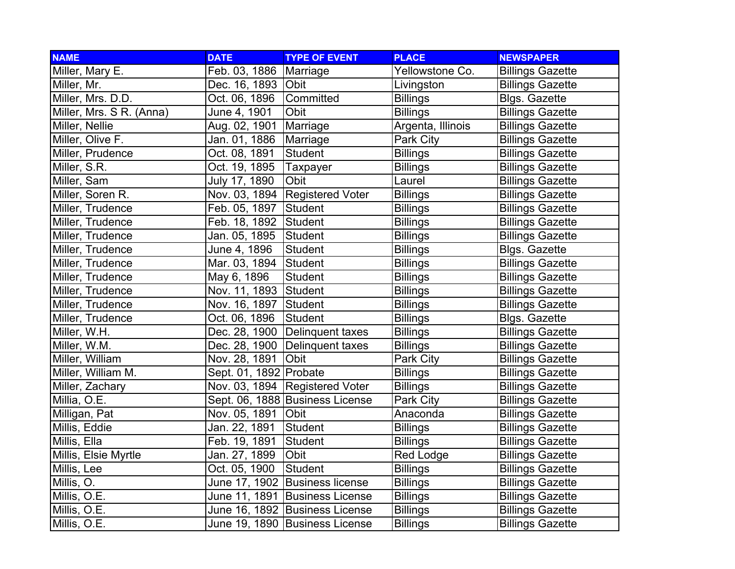| <b>NAME</b>              | <b>DATE</b>            | <b>TYPE OF EVENT</b>            | <b>PLACE</b>      | <b>NEWSPAPER</b>        |
|--------------------------|------------------------|---------------------------------|-------------------|-------------------------|
| Miller, Mary E.          | Feb. 03, 1886          | Marriage                        | Yellowstone Co.   | <b>Billings Gazette</b> |
| Miller, Mr.              | Dec. 16, 1893          | <b>Obit</b>                     | Livingston        | <b>Billings Gazette</b> |
| Miller, Mrs. D.D.        | Oct. 06, 1896          | Committed                       | <b>Billings</b>   | <b>Blgs. Gazette</b>    |
| Miller, Mrs. S R. (Anna) | June 4, 1901           | Obit                            | <b>Billings</b>   | <b>Billings Gazette</b> |
| Miller, Nellie           | Aug. 02, 1901          | Marriage                        | Argenta, Illinois | <b>Billings Gazette</b> |
| Miller, Olive F.         | Jan. 01, 1886          | Marriage                        | Park City         | <b>Billings Gazette</b> |
| Miller, Prudence         | Oct. 08, 1891          | <b>Student</b>                  | <b>Billings</b>   | <b>Billings Gazette</b> |
| Miller, S.R.             | Oct. 19, 1895          | <b>Taxpayer</b>                 | <b>Billings</b>   | <b>Billings Gazette</b> |
| Miller, Sam              | July 17, 1890          | Obit                            | Laurel            | <b>Billings Gazette</b> |
| Miller, Soren R.         | Nov. 03, 1894          | <b>Registered Voter</b>         | <b>Billings</b>   | <b>Billings Gazette</b> |
| Miller, Trudence         | Feb. 05, 1897          | Student                         | <b>Billings</b>   | <b>Billings Gazette</b> |
| Miller, Trudence         | Feb. 18, 1892          | Student                         | <b>Billings</b>   | <b>Billings Gazette</b> |
| Miller, Trudence         | Jan. 05, 1895          | Student                         | <b>Billings</b>   | <b>Billings Gazette</b> |
| Miller, Trudence         | June 4, 1896           | Student                         | <b>Billings</b>   | <b>Blgs. Gazette</b>    |
| Miller, Trudence         | Mar. 03, 1894          | Student                         | <b>Billings</b>   | <b>Billings Gazette</b> |
| Miller, Trudence         | May 6, 1896            | Student                         | <b>Billings</b>   | <b>Billings Gazette</b> |
| Miller, Trudence         | Nov. 11, 1893          | Student                         | <b>Billings</b>   | <b>Billings Gazette</b> |
| Miller, Trudence         | Nov. 16, 1897          | Student                         | <b>Billings</b>   | <b>Billings Gazette</b> |
| Miller, Trudence         | Oct. 06, 1896          | Student                         | <b>Billings</b>   | <b>Blgs. Gazette</b>    |
| Miller, W.H.             | Dec. 28, 1900          | Delinquent taxes                | <b>Billings</b>   | <b>Billings Gazette</b> |
| Miller, W.M.             | Dec. 28, 1900          | Delinquent taxes                | <b>Billings</b>   | <b>Billings Gazette</b> |
| Miller, William          | Nov. 28, 1891          | Obit                            | Park City         | <b>Billings Gazette</b> |
| Miller, William M.       | Sept. 01, 1892 Probate |                                 | <b>Billings</b>   | <b>Billings Gazette</b> |
| Miller, Zachary          | Nov. 03, 1894          | <b>Registered Voter</b>         | <b>Billings</b>   | <b>Billings Gazette</b> |
| Millia, O.E.             |                        | Sept. 06, 1888 Business License | Park City         | <b>Billings Gazette</b> |
| Milligan, Pat            | Nov. 05, 1891          | Obit                            | Anaconda          | <b>Billings Gazette</b> |
| Millis, Eddie            | Jan. 22, 1891          | Student                         | <b>Billings</b>   | <b>Billings Gazette</b> |
| Millis, Ella             | Feb. 19, 1891          | Student                         | <b>Billings</b>   | <b>Billings Gazette</b> |
| Millis, Elsie Myrtle     | Jan. 27, 1899          | Obit                            | <b>Red Lodge</b>  | <b>Billings Gazette</b> |
| Millis, Lee              | Oct. 05, 1900          | <b>Student</b>                  | <b>Billings</b>   | <b>Billings Gazette</b> |
| Millis, O.               |                        | June 17, 1902 Business license  | <b>Billings</b>   | <b>Billings Gazette</b> |
| Millis, O.E.             |                        | June 11, 1891 Business License  | <b>Billings</b>   | <b>Billings Gazette</b> |
| Millis, O.E.             |                        | June 16, 1892 Business License  | <b>Billings</b>   | <b>Billings Gazette</b> |
| Millis, O.E.             |                        | June 19, 1890 Business License  | <b>Billings</b>   | <b>Billings Gazette</b> |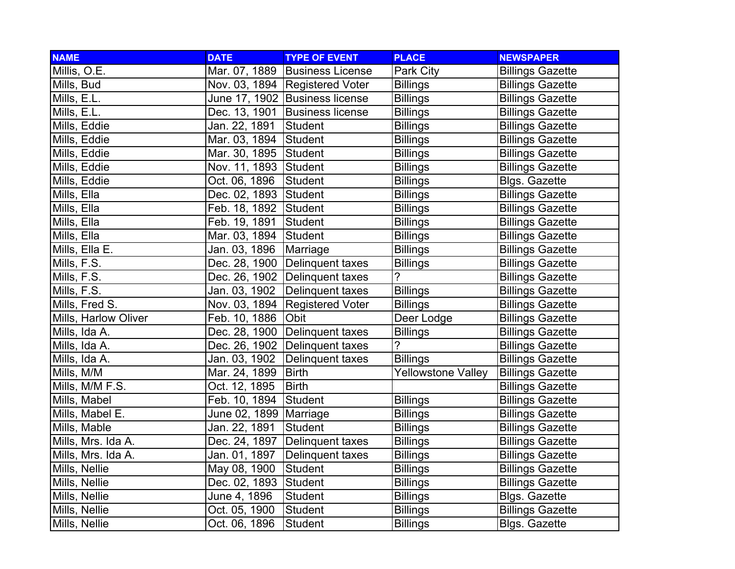| <b>NAME</b>          | <b>DATE</b>   | <b>TYPE OF EVENT</b>             | <b>PLACE</b>              | <b>NEWSPAPER</b>        |
|----------------------|---------------|----------------------------------|---------------------------|-------------------------|
| Millis, O.E.         |               | Mar. 07, 1889 Business License   | Park City                 | <b>Billings Gazette</b> |
| Mills, Bud           |               | Nov. 03, 1894 Registered Voter   | <b>Billings</b>           | <b>Billings Gazette</b> |
| Mills, E.L.          |               | June 17, 1902 Business license   | <b>Billings</b>           | <b>Billings Gazette</b> |
| Mills, E.L.          | Dec. 13, 1901 | Business license                 | <b>Billings</b>           | <b>Billings Gazette</b> |
| Mills, Eddie         | Jan. 22, 1891 | Student                          | <b>Billings</b>           | <b>Billings Gazette</b> |
| Mills, Eddie         | Mar. 03, 1894 | <b>Student</b>                   | <b>Billings</b>           | <b>Billings Gazette</b> |
| Mills, Eddie         | Mar. 30, 1895 | Student                          | <b>Billings</b>           | <b>Billings Gazette</b> |
| Mills, Eddie         | Nov. 11, 1893 | Student                          | <b>Billings</b>           | <b>Billings Gazette</b> |
| Mills, Eddie         | Oct. 06, 1896 | <b>Student</b>                   | <b>Billings</b>           | <b>Blgs. Gazette</b>    |
| Mills, Ella          | Dec. 02, 1893 | <b>Student</b>                   | <b>Billings</b>           | <b>Billings Gazette</b> |
| Mills, Ella          | Feb. 18, 1892 | Student                          | <b>Billings</b>           | <b>Billings Gazette</b> |
| Mills, Ella          | Feb. 19, 1891 | Student                          | <b>Billings</b>           | <b>Billings Gazette</b> |
| Mills, Ella          | Mar. 03, 1894 | <b>Student</b>                   | <b>Billings</b>           | <b>Billings Gazette</b> |
| Mills, Ella E.       | Jan. 03, 1896 | Marriage                         | <b>Billings</b>           | <b>Billings Gazette</b> |
| Mills, F.S.          |               | Dec. 28, 1900   Delinquent taxes | <b>Billings</b>           | <b>Billings Gazette</b> |
| Mills, F.S.          |               | Dec. 26, 1902   Delinquent taxes | $\overline{?}$            | <b>Billings Gazette</b> |
| Mills, F.S.          | Jan. 03, 1902 | Delinquent taxes                 | <b>Billings</b>           | <b>Billings Gazette</b> |
| Mills, Fred S.       | Nov. 03, 1894 | <b>Registered Voter</b>          | <b>Billings</b>           | <b>Billings Gazette</b> |
| Mills, Harlow Oliver | Feb. 10, 1886 | Obit                             | Deer Lodge                | <b>Billings Gazette</b> |
| Mills, Ida A.        | Dec. 28, 1900 | Delinquent taxes                 | <b>Billings</b>           | <b>Billings Gazette</b> |
| Mills, Ida A.        | Dec. 26, 1902 | Delinquent taxes                 | $\overline{?}$            | <b>Billings Gazette</b> |
| Mills, Ida A.        | Jan. 03, 1902 | Delinquent taxes                 | <b>Billings</b>           | <b>Billings Gazette</b> |
| Mills, M/M           | Mar. 24, 1899 | <b>Birth</b>                     | <b>Yellowstone Valley</b> | <b>Billings Gazette</b> |
| Mills, M/M F.S.      | Oct. 12, 1895 | <b>Birth</b>                     |                           | <b>Billings Gazette</b> |
| Mills, Mabel         | Feb. 10, 1894 | Student                          | <b>Billings</b>           | <b>Billings Gazette</b> |
| Mills, Mabel E.      | June 02, 1899 | Marriage                         | <b>Billings</b>           | <b>Billings Gazette</b> |
| Mills, Mable         | Jan. 22, 1891 | Student                          | <b>Billings</b>           | <b>Billings Gazette</b> |
| Mills, Mrs. Ida A.   | Dec. 24, 1897 | Delinquent taxes                 | <b>Billings</b>           | <b>Billings Gazette</b> |
| Mills, Mrs. Ida A.   | Jan. 01, 1897 | Delinquent taxes                 | <b>Billings</b>           | <b>Billings Gazette</b> |
| Mills, Nellie        | May 08, 1900  | Student                          | <b>Billings</b>           | <b>Billings Gazette</b> |
| Mills, Nellie        | Dec. 02, 1893 | Student                          | <b>Billings</b>           | <b>Billings Gazette</b> |
| Mills, Nellie        | June 4, 1896  | Student                          | <b>Billings</b>           | <b>Blgs. Gazette</b>    |
| Mills, Nellie        | Oct. 05, 1900 | Student                          | <b>Billings</b>           | <b>Billings Gazette</b> |
| Mills, Nellie        | Oct. 06, 1896 | Student                          | <b>Billings</b>           | <b>Blgs. Gazette</b>    |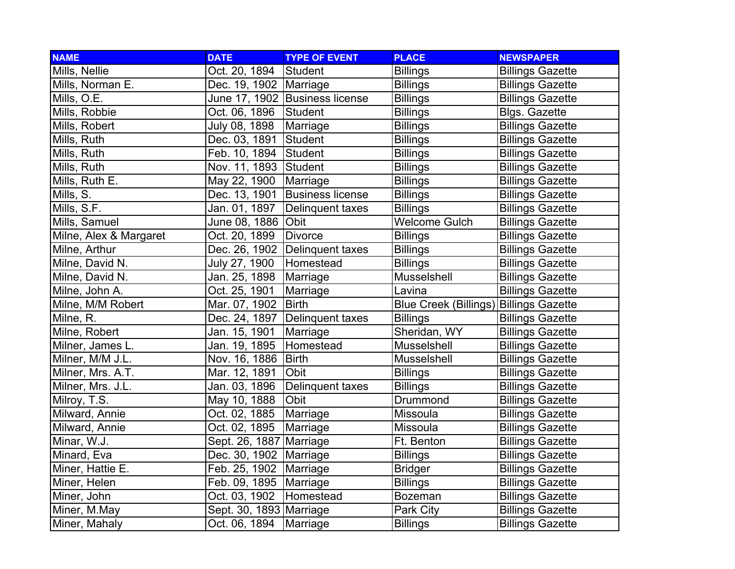| <b>NAME</b>            | <b>DATE</b>              | <b>TYPE OF EVENT</b>           | <b>PLACE</b>                 | <b>NEWSPAPER</b>        |
|------------------------|--------------------------|--------------------------------|------------------------------|-------------------------|
| Mills, Nellie          | Oct. 20, 1894            | Student                        | <b>Billings</b>              | <b>Billings Gazette</b> |
| Mills, Norman E.       | Dec. 19, 1902   Marriage |                                | <b>Billings</b>              | <b>Billings Gazette</b> |
| Mills, O.E.            |                          | June 17, 1902 Business license | <b>Billings</b>              | <b>Billings Gazette</b> |
| Mills, Robbie          | Oct. 06, 1896            | Student                        | <b>Billings</b>              | <b>Blgs. Gazette</b>    |
| Mills, Robert          | July 08, 1898            | Marriage                       | <b>Billings</b>              | <b>Billings Gazette</b> |
| Mills, Ruth            | Dec. 03, 1891            | Student                        | <b>Billings</b>              | <b>Billings Gazette</b> |
| Mills, Ruth            | Feb. 10, 1894            | Student                        | <b>Billings</b>              | <b>Billings Gazette</b> |
| Mills, Ruth            | Nov. 11, 1893 Student    |                                | <b>Billings</b>              | <b>Billings Gazette</b> |
| Mills, Ruth E.         | May 22, 1900             | Marriage                       | <b>Billings</b>              | <b>Billings Gazette</b> |
| Mills, S.              | Dec. 13, 1901            | <b>Business license</b>        | <b>Billings</b>              | <b>Billings Gazette</b> |
| Mills, S.F.            | Jan. 01, 1897            | Delinquent taxes               | <b>Billings</b>              | <b>Billings Gazette</b> |
| Mills, Samuel          | June 08, 1886            | <b>Obit</b>                    | <b>Welcome Gulch</b>         | <b>Billings Gazette</b> |
| Milne, Alex & Margaret | Oct. 20, 1899            | <b>Divorce</b>                 | <b>Billings</b>              | <b>Billings Gazette</b> |
| Milne, Arthur          | Dec. 26, 1902            | Delinquent taxes               | <b>Billings</b>              | <b>Billings Gazette</b> |
| Milne, David N.        | July 27, 1900            | Homestead                      | <b>Billings</b>              | <b>Billings Gazette</b> |
| Milne, David N.        | Jan. 25, 1898            | Marriage                       | Musselshell                  | <b>Billings Gazette</b> |
| Milne, John A.         | Oct. 25, 1901            | Marriage                       | Lavina                       | <b>Billings Gazette</b> |
| Milne, M/M Robert      | Mar. 07, 1902            | <b>Birth</b>                   | <b>Blue Creek (Billings)</b> | <b>Billings Gazette</b> |
| Milne, R.              | Dec. 24, 1897            | Delinquent taxes               | <b>Billings</b>              | <b>Billings Gazette</b> |
| Milne, Robert          | Jan. 15, 1901            | Marriage                       | Sheridan, WY                 | <b>Billings Gazette</b> |
| Milner, James L.       | Jan. 19, 1895            | Homestead                      | Musselshell                  | <b>Billings Gazette</b> |
| Milner, M/M J.L.       | Nov. 16, 1886            | <b>Birth</b>                   | Musselshell                  | <b>Billings Gazette</b> |
| Milner, Mrs. A.T.      | Mar. 12, 1891            | Obit                           | <b>Billings</b>              | <b>Billings Gazette</b> |
| Milner, Mrs. J.L.      | Jan. 03, 1896            | Delinquent taxes               | <b>Billings</b>              | <b>Billings Gazette</b> |
| Milroy, T.S.           | May 10, 1888             | Obit                           | Drummond                     | <b>Billings Gazette</b> |
| Milward, Annie         | Oct. 02, 1885            | Marriage                       | Missoula                     | <b>Billings Gazette</b> |
| Milward, Annie         | Oct. 02, 1895            | Marriage                       | <b>Missoula</b>              | <b>Billings Gazette</b> |
| Minar, W.J.            | Sept. 26, 1887           | Marriage                       | Ft. Benton                   | <b>Billings Gazette</b> |
| Minard, Eva            | Dec. 30, 1902            | Marriage                       | <b>Billings</b>              | <b>Billings Gazette</b> |
| Miner, Hattie E.       | Feb. 25, 1902            | Marriage                       | <b>Bridger</b>               | <b>Billings Gazette</b> |
| Miner, Helen           | Feb. 09, 1895   Marriage |                                | <b>Billings</b>              | <b>Billings Gazette</b> |
| Miner, John            | Oct. 03, 1902            | Homestead                      | <b>Bozeman</b>               | <b>Billings Gazette</b> |
| Miner, M.May           | Sept. 30, 1893 Marriage  |                                | Park City                    | <b>Billings Gazette</b> |
| Miner, Mahaly          | Oct. 06, 1894            | Marriage                       | <b>Billings</b>              | <b>Billings Gazette</b> |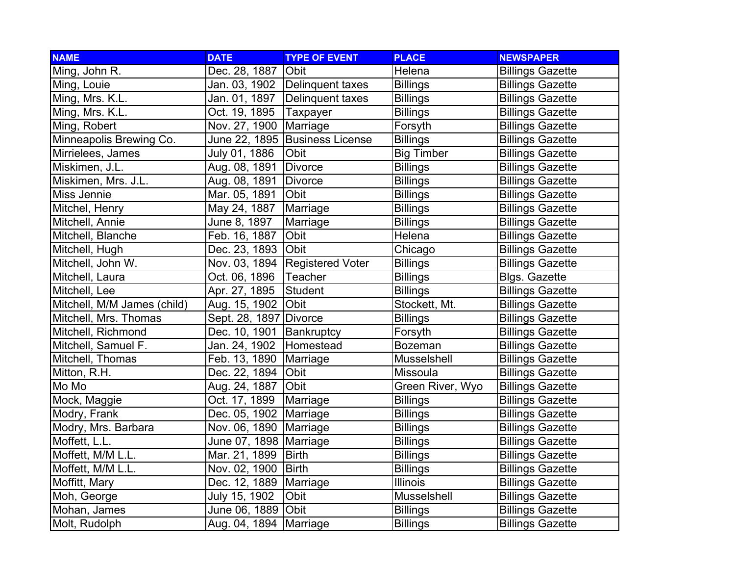| <b>NAME</b>                 | <b>DATE</b>        | <b>TYPE OF EVENT</b>           | <b>PLACE</b>      | <b>NEWSPAPER</b>        |
|-----------------------------|--------------------|--------------------------------|-------------------|-------------------------|
| Ming, John R.               | Dec. 28, 1887      | <b>Obit</b>                    | Helena            | <b>Billings Gazette</b> |
| Ming, Louie                 |                    | Jan. 03, 1902 Delinquent taxes | <b>Billings</b>   | <b>Billings Gazette</b> |
| Ming, Mrs. K.L.             | Jan. 01, 1897      | Delinquent taxes               | <b>Billings</b>   | <b>Billings Gazette</b> |
| Ming, Mrs. K.L.             | Oct. 19, 1895      | Taxpayer                       | <b>Billings</b>   | <b>Billings Gazette</b> |
| Ming, Robert                | Nov. 27, 1900      | Marriage                       | Forsyth           | <b>Billings Gazette</b> |
| Minneapolis Brewing Co.     | June 22, 1895      | <b>Business License</b>        | <b>Billings</b>   | <b>Billings Gazette</b> |
| Mirrielees, James           | July 01, 1886      | Obit                           | <b>Big Timber</b> | <b>Billings Gazette</b> |
| Miskimen, J.L.              | Aug. 08, 1891      | <b>Divorce</b>                 | <b>Billings</b>   | <b>Billings Gazette</b> |
| Miskimen, Mrs. J.L.         | Aug. 08, 1891      | Divorce                        | <b>Billings</b>   | <b>Billings Gazette</b> |
| Miss Jennie                 | Mar. 05, 1891      | Obit                           | <b>Billings</b>   | <b>Billings Gazette</b> |
| Mitchel, Henry              | May 24, 1887       | Marriage                       | <b>Billings</b>   | <b>Billings Gazette</b> |
| Mitchell, Annie             | June 8, 1897       | Marriage                       | <b>Billings</b>   | <b>Billings Gazette</b> |
| Mitchell, Blanche           | Feb. 16, 1887      | Obit                           | Helena            | <b>Billings Gazette</b> |
| Mitchell, Hugh              | Dec. 23, 1893      | <b>Obit</b>                    | Chicago           | <b>Billings Gazette</b> |
| Mitchell, John W.           | Nov. 03, 1894      | <b>Registered Voter</b>        | <b>Billings</b>   | <b>Billings Gazette</b> |
| Mitchell, Laura             | Oct. 06, 1896      | Teacher                        | <b>Billings</b>   | <b>Blgs. Gazette</b>    |
| Mitchell, Lee               | Apr. 27, 1895      | Student                        | <b>Billings</b>   | <b>Billings Gazette</b> |
| Mitchell, M/M James (child) | Aug. 15, 1902 Obit |                                | Stockett, Mt.     | <b>Billings Gazette</b> |
| Mitchell, Mrs. Thomas       | Sept. 28, 1897     | Divorce                        | <b>Billings</b>   | <b>Billings Gazette</b> |
| Mitchell, Richmond          | Dec. 10, 1901      | Bankruptcy                     | Forsyth           | <b>Billings Gazette</b> |
| Mitchell, Samuel F.         | Jan. 24, 1902      | Homestead                      | <b>Bozeman</b>    | <b>Billings Gazette</b> |
| Mitchell, Thomas            | Feb. 13, 1890      | Marriage                       | Musselshell       | <b>Billings Gazette</b> |
| Mitton, R.H.                | Dec. 22, 1894      | <b>Obit</b>                    | Missoula          | <b>Billings Gazette</b> |
| Mo Mo                       | Aug. 24, 1887      | Obit                           | Green River, Wyo  | <b>Billings Gazette</b> |
| Mock, Maggie                | Oct. 17, 1899      | Marriage                       | <b>Billings</b>   | <b>Billings Gazette</b> |
| Modry, Frank                | Dec. 05, 1902      | Marriage                       | <b>Billings</b>   | <b>Billings Gazette</b> |
| Modry, Mrs. Barbara         | Nov. 06, 1890      | Marriage                       | <b>Billings</b>   | <b>Billings Gazette</b> |
| Moffett, L.L.               | June 07, 1898      | Marriage                       | <b>Billings</b>   | <b>Billings Gazette</b> |
| Moffett, M/M L.L.           | Mar. 21, 1899      | <b>Birth</b>                   | <b>Billings</b>   | <b>Billings Gazette</b> |
| Moffett, M/M L.L.           | Nov. 02, 1900      | <b>Birth</b>                   | <b>Billings</b>   | <b>Billings Gazette</b> |
| Moffitt, Mary               | Dec. 12, 1889      | Marriage                       | <b>Illinois</b>   | <b>Billings Gazette</b> |
| Moh, George                 | July 15, 1902      | Obit                           | Musselshell       | <b>Billings Gazette</b> |
| Mohan, James                | June 06, 1889      | Obit                           | <b>Billings</b>   | <b>Billings Gazette</b> |
| Molt, Rudolph               | Aug. 04, 1894      | Marriage                       | <b>Billings</b>   | <b>Billings Gazette</b> |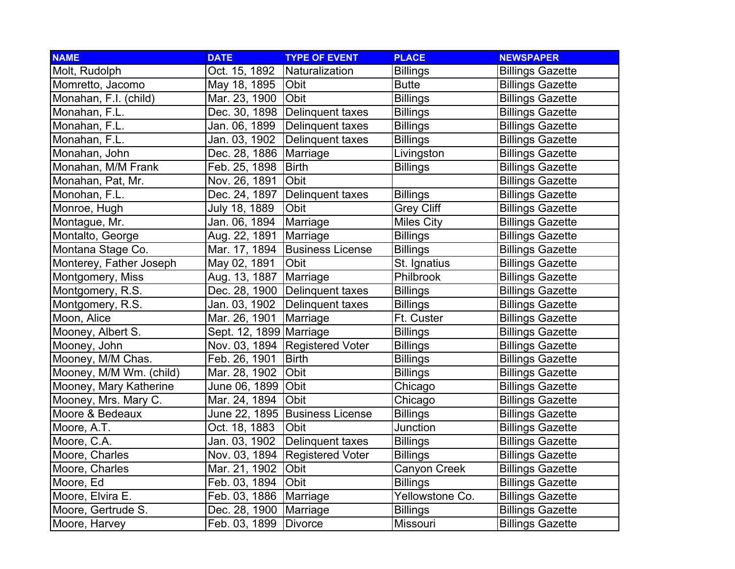| <b>NAME</b>             | <b>DATE</b>             | <b>TYPE OF EVENT</b>           | <b>PLACE</b>      | <b>NEWSPAPER</b>        |
|-------------------------|-------------------------|--------------------------------|-------------------|-------------------------|
| Molt, Rudolph           | Oct. 15, 1892           | Naturalization                 | <b>Billings</b>   | <b>Billings Gazette</b> |
| Momretto, Jacomo        | May 18, 1895            | <b>Obit</b>                    | <b>Butte</b>      | <b>Billings Gazette</b> |
| Monahan, F.I. (child)   | Mar. 23, 1900           | Obit                           | <b>Billings</b>   | <b>Billings Gazette</b> |
| Monahan, F.L.           | Dec. 30, 1898           | Delinquent taxes               | <b>Billings</b>   | <b>Billings Gazette</b> |
| Monahan, F.L.           | Jan. 06, 1899           | Delinquent taxes               | <b>Billings</b>   | <b>Billings Gazette</b> |
| Monahan, F.L.           | Jan. 03, 1902           | Delinquent taxes               | <b>Billings</b>   | <b>Billings Gazette</b> |
| Monahan, John           | Dec. 28, 1886           | Marriage                       | Livingston        | <b>Billings Gazette</b> |
| Monahan, M/M Frank      | Feb. 25, 1898           | <b>Birth</b>                   | <b>Billings</b>   | <b>Billings Gazette</b> |
| Monahan, Pat, Mr.       | Nov. 26, 1891           | Obit                           |                   | <b>Billings Gazette</b> |
| Monohan, F.L.           | Dec. 24, 1897           | Delinquent taxes               | <b>Billings</b>   | <b>Billings Gazette</b> |
| Monroe, Hugh            | July 18, 1889           | Obit                           | <b>Grey Cliff</b> | <b>Billings Gazette</b> |
| Montague, Mr.           | Jan. 06, 1894           | Marriage                       | <b>Miles City</b> | <b>Billings Gazette</b> |
| Montalto, George        | Aug. 22, 1891           | Marriage                       | <b>Billings</b>   | <b>Billings Gazette</b> |
| Montana Stage Co.       | Mar. 17, 1894           | <b>Business License</b>        | <b>Billings</b>   | <b>Billings Gazette</b> |
| Monterey, Father Joseph | May 02, 1891            | Obit                           | St. Ignatius      | <b>Billings Gazette</b> |
| Montgomery, Miss        | Aug. 13, 1887           | Marriage                       | Philbrook         | <b>Billings Gazette</b> |
| Montgomery, R.S.        |                         | Dec. 28, 1900 Delinquent taxes | <b>Billings</b>   | <b>Billings Gazette</b> |
| Montgomery, R.S.        | Jan. 03, 1902           | Delinquent taxes               | <b>Billings</b>   | <b>Billings Gazette</b> |
| Moon, Alice             | Mar. 26, 1901           | Marriage                       | Ft. Custer        | <b>Billings Gazette</b> |
| Mooney, Albert S.       | Sept. 12, 1899 Marriage |                                | <b>Billings</b>   | <b>Billings Gazette</b> |
| Mooney, John            | Nov. 03, 1894           | <b>Registered Voter</b>        | <b>Billings</b>   | <b>Billings Gazette</b> |
| Mooney, M/M Chas.       | Feb. 26, 1901           | <b>Birth</b>                   | <b>Billings</b>   | <b>Billings Gazette</b> |
| Mooney, M/M Wm. (child) | Mar. 28, 1902           | Obit                           | <b>Billings</b>   | <b>Billings Gazette</b> |
| Mooney, Mary Katherine  | June 06, 1899           | Obit                           | Chicago           | <b>Billings Gazette</b> |
| Mooney, Mrs. Mary C.    | Mar. 24, 1894           | Obit                           | Chicago           | <b>Billings Gazette</b> |
| Moore & Bedeaux         | June 22, 1895           | <b>Business License</b>        | <b>Billings</b>   | <b>Billings Gazette</b> |
| Moore, A.T.             | Oct. 18, 1883           | Obit                           | Junction          | <b>Billings Gazette</b> |
| Moore, C.A.             | Jan. 03, 1902           | Delinquent taxes               | <b>Billings</b>   | <b>Billings Gazette</b> |
| Moore, Charles          | Nov. 03, 1894           | <b>Registered Voter</b>        | <b>Billings</b>   | <b>Billings Gazette</b> |
| Moore, Charles          | Mar. 21, 1902           | Obit                           | Canyon Creek      | <b>Billings Gazette</b> |
| Moore, Ed               | Feb. 03, 1894           | Obit                           | <b>Billings</b>   | <b>Billings Gazette</b> |
| Moore, Elvira E.        | Feb. 03, 1886           | Marriage                       | Yellowstone Co.   | <b>Billings Gazette</b> |
| Moore, Gertrude S.      | Dec. 28, 1900           | Marriage                       | <b>Billings</b>   | <b>Billings Gazette</b> |
| Moore, Harvey           | Feb. 03, 1899           | Divorce                        | Missouri          | <b>Billings Gazette</b> |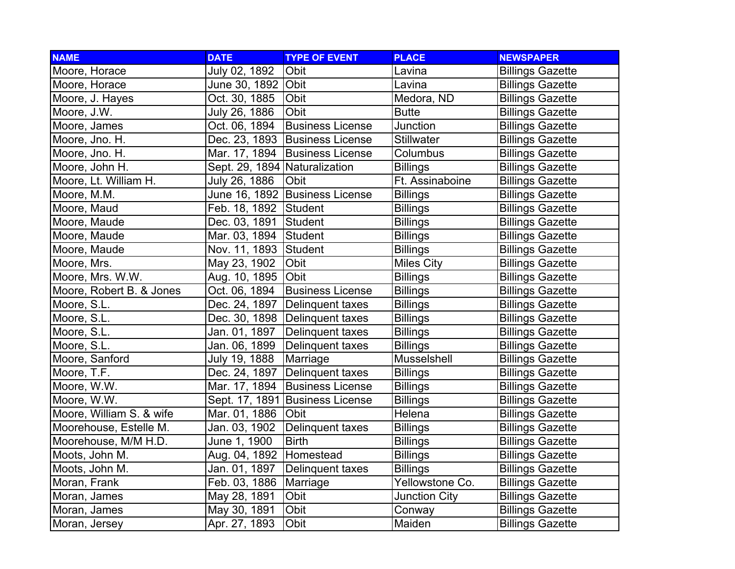| <b>NAME</b>              | <b>DATE</b>                   | <b>TYPE OF EVENT</b>    | <b>PLACE</b>         | <b>NEWSPAPER</b>        |
|--------------------------|-------------------------------|-------------------------|----------------------|-------------------------|
| Moore, Horace            | July 02, 1892                 | Obit                    | Lavina               | <b>Billings Gazette</b> |
| Moore, Horace            | June 30, 1892 Obit            |                         | Lavina               | <b>Billings Gazette</b> |
| Moore, J. Hayes          | Oct. 30, 1885                 | Obit                    | Medora, ND           | <b>Billings Gazette</b> |
| Moore, J.W.              | July 26, 1886                 | Obit                    | <b>Butte</b>         | <b>Billings Gazette</b> |
| Moore, James             | Oct. 06, 1894                 | <b>Business License</b> | Junction             | <b>Billings Gazette</b> |
| Moore, Jno. H.           | Dec. 23, 1893                 | <b>Business License</b> | <b>Stillwater</b>    | <b>Billings Gazette</b> |
| Moore, Jno. H.           | Mar. 17, 1894                 | <b>Business License</b> | Columbus             | <b>Billings Gazette</b> |
| Moore, John H.           | Sept. 29, 1894 Naturalization |                         | <b>Billings</b>      | <b>Billings Gazette</b> |
| Moore, Lt. William H.    | July 26, 1886                 | Obit                    | Ft. Assinaboine      | <b>Billings Gazette</b> |
| Moore, M.M.              | June 16, 1892                 | <b>Business License</b> | <b>Billings</b>      | <b>Billings Gazette</b> |
| Moore, Maud              | Feb. 18, 1892                 | Student                 | <b>Billings</b>      | <b>Billings Gazette</b> |
| Moore, Maude             | Dec. 03, 1891                 | Student                 | <b>Billings</b>      | <b>Billings Gazette</b> |
| Moore, Maude             | Mar. 03, 1894                 | Student                 | <b>Billings</b>      | <b>Billings Gazette</b> |
| Moore, Maude             | Nov. 11, 1893                 | Student                 | <b>Billings</b>      | <b>Billings Gazette</b> |
| Moore, Mrs.              | May 23, 1902                  | Obit                    | <b>Miles City</b>    | <b>Billings Gazette</b> |
| Moore, Mrs. W.W.         | Aug. 10, 1895                 | Obit                    | <b>Billings</b>      | <b>Billings Gazette</b> |
| Moore, Robert B. & Jones | Oct. 06, 1894                 | <b>Business License</b> | <b>Billings</b>      | <b>Billings Gazette</b> |
| Moore, S.L.              | Dec. 24, 1897                 | Delinquent taxes        | <b>Billings</b>      | <b>Billings Gazette</b> |
| Moore, S.L.              | Dec. 30, 1898                 | Delinquent taxes        | <b>Billings</b>      | <b>Billings Gazette</b> |
| Moore, S.L.              | Jan. 01, 1897                 | Delinquent taxes        | <b>Billings</b>      | <b>Billings Gazette</b> |
| Moore, S.L.              | Jan. 06, 1899                 | Delinquent taxes        | <b>Billings</b>      | <b>Billings Gazette</b> |
| Moore, Sanford           | July 19, 1888                 | Marriage                | Musselshell          | <b>Billings Gazette</b> |
| Moore, T.F.              | Dec. 24, 1897                 | Delinquent taxes        | <b>Billings</b>      | <b>Billings Gazette</b> |
| Moore, W.W.              | Mar. 17, 1894                 | <b>Business License</b> | <b>Billings</b>      | <b>Billings Gazette</b> |
| Moore, W.W.              | Sept. 17, 1891                | <b>Business License</b> | <b>Billings</b>      | <b>Billings Gazette</b> |
| Moore, William S. & wife | Mar. 01, 1886                 | Obit                    | Helena               | <b>Billings Gazette</b> |
| Moorehouse, Estelle M.   | Jan. 03, 1902                 | Delinquent taxes        | <b>Billings</b>      | <b>Billings Gazette</b> |
| Moorehouse, M/M H.D.     | June 1, 1900                  | <b>Birth</b>            | <b>Billings</b>      | <b>Billings Gazette</b> |
| Moots, John M.           | Aug. 04, 1892                 | Homestead               | <b>Billings</b>      | <b>Billings Gazette</b> |
| Moots, John M.           | Jan. 01, 1897                 | Delinquent taxes        | <b>Billings</b>      | <b>Billings Gazette</b> |
| Moran, Frank             | Feb. 03, 1886                 | Marriage                | Yellowstone Co.      | <b>Billings Gazette</b> |
| Moran, James             | May 28, 1891                  | Obit                    | <b>Junction City</b> | <b>Billings Gazette</b> |
| Moran, James             | May 30, 1891                  | Obit                    | Conway               | <b>Billings Gazette</b> |
| Moran, Jersey            | Apr. 27, 1893                 | Obit                    | Maiden               | <b>Billings Gazette</b> |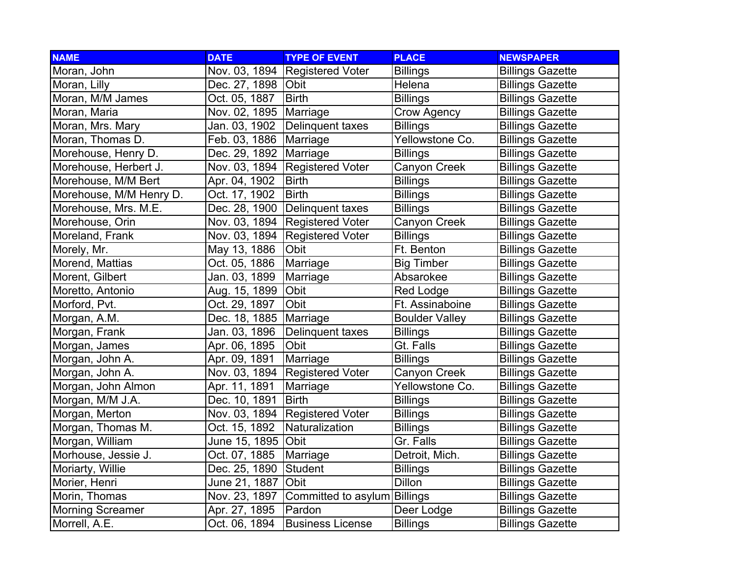| <b>NAME</b>             | <b>DATE</b>          | <b>TYPE OF EVENT</b>         | <b>PLACE</b>          | <b>NEWSPAPER</b>        |
|-------------------------|----------------------|------------------------------|-----------------------|-------------------------|
| Moran, John             | Nov. 03, 1894        | <b>Registered Voter</b>      | <b>Billings</b>       | <b>Billings Gazette</b> |
| Moran, Lilly            | Dec. 27, 1898   Obit |                              | Helena                | <b>Billings Gazette</b> |
| Moran, M/M James        | Oct. 05, 1887        | <b>Birth</b>                 | <b>Billings</b>       | <b>Billings Gazette</b> |
| Moran, Maria            | Nov. 02, 1895        | Marriage                     | Crow Agency           | <b>Billings Gazette</b> |
| Moran, Mrs. Mary        | Jan. 03, 1902        | <b>Delinquent taxes</b>      | <b>Billings</b>       | <b>Billings Gazette</b> |
| Moran, Thomas D.        | Feb. 03, 1886        | Marriage                     | Yellowstone Co.       | <b>Billings Gazette</b> |
| Morehouse, Henry D.     | Dec. 29, 1892        | Marriage                     | <b>Billings</b>       | <b>Billings Gazette</b> |
| Morehouse, Herbert J.   | Nov. 03, 1894        | <b>Registered Voter</b>      | Canyon Creek          | <b>Billings Gazette</b> |
| Morehouse, M/M Bert     | Apr. 04, 1902        | <b>Birth</b>                 | <b>Billings</b>       | <b>Billings Gazette</b> |
| Morehouse, M/M Henry D. | Oct. 17, 1902        | <b>Birth</b>                 | <b>Billings</b>       | <b>Billings Gazette</b> |
| Morehouse, Mrs. M.E.    | Dec. 28, 1900        | Delinquent taxes             | <b>Billings</b>       | <b>Billings Gazette</b> |
| Morehouse, Orin         | Nov. 03, 1894        | <b>Registered Voter</b>      | Canyon Creek          | <b>Billings Gazette</b> |
| Moreland, Frank         | Nov. 03, 1894        | <b>Registered Voter</b>      | <b>Billings</b>       | <b>Billings Gazette</b> |
| Morely, Mr.             | May 13, 1886         | Obit                         | Ft. Benton            | <b>Billings Gazette</b> |
| Morend, Mattias         | Oct. 05, 1886        | Marriage                     | <b>Big Timber</b>     | <b>Billings Gazette</b> |
| Morent, Gilbert         | Jan. 03, 1899        | Marriage                     | Absarokee             | <b>Billings Gazette</b> |
| Moretto, Antonio        | Aug. 15, 1899        | Obit                         | <b>Red Lodge</b>      | <b>Billings Gazette</b> |
| Morford, Pvt.           | Oct. 29, 1897        | Obit                         | Ft. Assinaboine       | <b>Billings Gazette</b> |
| Morgan, A.M.            | Dec. 18, 1885        | Marriage                     | <b>Boulder Valley</b> | <b>Billings Gazette</b> |
| Morgan, Frank           | Jan. 03, 1896        | Delinquent taxes             | <b>Billings</b>       | <b>Billings Gazette</b> |
| Morgan, James           | Apr. 06, 1895        | Obit                         | Gt. Falls             | <b>Billings Gazette</b> |
| Morgan, John A.         | Apr. 09, 1891        | Marriage                     | <b>Billings</b>       | <b>Billings Gazette</b> |
| Morgan, John A.         | Nov. 03, 1894        | <b>Registered Voter</b>      | Canyon Creek          | <b>Billings Gazette</b> |
| Morgan, John Almon      | Apr. 11, 1891        | Marriage                     | Yellowstone Co.       | <b>Billings Gazette</b> |
| Morgan, M/M J.A.        | Dec. 10, 1891        | <b>Birth</b>                 | <b>Billings</b>       | <b>Billings Gazette</b> |
| Morgan, Merton          | Nov. 03, 1894        | <b>Registered Voter</b>      | <b>Billings</b>       | <b>Billings Gazette</b> |
| Morgan, Thomas M.       | Oct. 15, 1892        | Naturalization               | <b>Billings</b>       | <b>Billings Gazette</b> |
| Morgan, William         | June 15, 1895        | Obit                         | Gr. Falls             | <b>Billings Gazette</b> |
| Morhouse, Jessie J.     | Oct. 07, 1885        | Marriage                     | Detroit, Mich.        | <b>Billings Gazette</b> |
| Moriarty, Willie        | Dec. 25, 1890        | Student                      | <b>Billings</b>       | <b>Billings Gazette</b> |
| Morier, Henri           | June 21, 1887        | Obit                         | <b>Dillon</b>         | <b>Billings Gazette</b> |
| Morin, Thomas           | Nov. 23, 1897        | Committed to asylum Billings |                       | <b>Billings Gazette</b> |
| <b>Morning Screamer</b> | Apr. 27, 1895        | Pardon                       | Deer Lodge            | <b>Billings Gazette</b> |
| Morrell, A.E.           | Oct. 06, 1894        | <b>Business License</b>      | <b>Billings</b>       | <b>Billings Gazette</b> |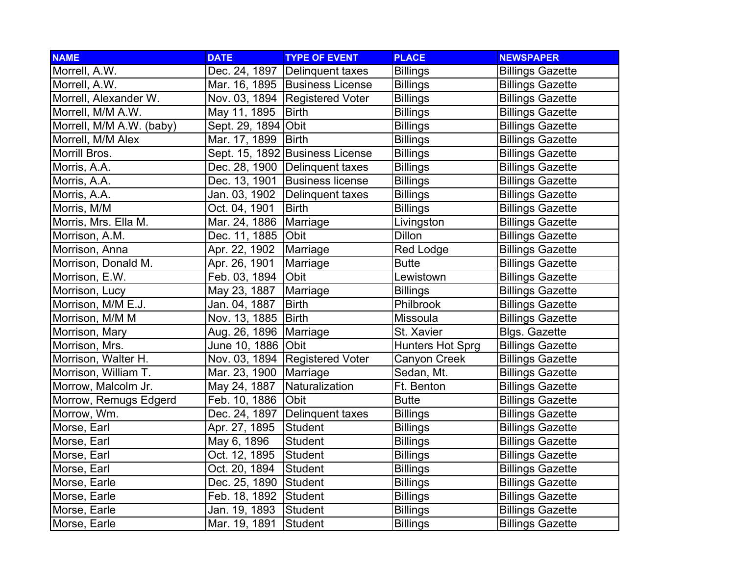| <b>NAME</b>              | <b>DATE</b>         | <b>TYPE OF EVENT</b>             | <b>PLACE</b>            | <b>NEWSPAPER</b>        |
|--------------------------|---------------------|----------------------------------|-------------------------|-------------------------|
| Morrell, A.W.            |                     | Dec. 24, 1897   Delinquent taxes | <b>Billings</b>         | <b>Billings Gazette</b> |
| Morrell, A.W.            |                     | Mar. 16, 1895   Business License | <b>Billings</b>         | <b>Billings Gazette</b> |
| Morrell, Alexander W.    |                     | Nov. 03, 1894 Registered Voter   | <b>Billings</b>         | <b>Billings Gazette</b> |
| Morrell, M/M A.W.        | May 11, 1895        | <b>Birth</b>                     | <b>Billings</b>         | <b>Billings Gazette</b> |
| Morrell, M/M A.W. (baby) | Sept. 29, 1894 Obit |                                  | <b>Billings</b>         | <b>Billings Gazette</b> |
| Morrell, M/M Alex        | Mar. 17, 1899       | <b>Birth</b>                     | <b>Billings</b>         | <b>Billings Gazette</b> |
| Morrill Bros.            |                     | Sept. 15, 1892 Business License  | <b>Billings</b>         | <b>Billings Gazette</b> |
| Morris, A.A.             | Dec. 28, 1900       | Delinquent taxes                 | <b>Billings</b>         | <b>Billings Gazette</b> |
| Morris, A.A.             | Dec. 13, 1901       | <b>Business license</b>          | <b>Billings</b>         | <b>Billings Gazette</b> |
| Morris, A.A.             | Jan. 03, 1902       | Delinquent taxes                 | <b>Billings</b>         | <b>Billings Gazette</b> |
| Morris, M/M              | Oct. 04, 1901       | <b>Birth</b>                     | <b>Billings</b>         | <b>Billings Gazette</b> |
| Morris, Mrs. Ella M.     | Mar. 24, 1886       | Marriage                         | Livingston              | <b>Billings Gazette</b> |
| Morrison, A.M.           | Dec. 11, 1885       | Obit                             | <b>Dillon</b>           | <b>Billings Gazette</b> |
| Morrison, Anna           | Apr. 22, 1902       | Marriage                         | <b>Red Lodge</b>        | <b>Billings Gazette</b> |
| Morrison, Donald M.      | Apr. 26, 1901       | Marriage                         | <b>Butte</b>            | <b>Billings Gazette</b> |
| Morrison, E.W.           | Feb. 03, 1894       | <b>Obit</b>                      | Lewistown               | <b>Billings Gazette</b> |
| Morrison, Lucy           | May 23, 1887        | Marriage                         | <b>Billings</b>         | <b>Billings Gazette</b> |
| Morrison, M/M E.J.       | Jan. 04, 1887       | <b>Birth</b>                     | Philbrook               | <b>Billings Gazette</b> |
| Morrison, M/M M          | Nov. 13, 1885       | <b>Birth</b>                     | Missoula                | <b>Billings Gazette</b> |
| Morrison, Mary           | Aug. 26, 1896       | Marriage                         | St. Xavier              | <b>Blgs. Gazette</b>    |
| Morrison, Mrs.           | June 10, 1886       | Obit                             | <b>Hunters Hot Sprg</b> | <b>Billings Gazette</b> |
| Morrison, Walter H.      | Nov. 03, 1894       | <b>Registered Voter</b>          | Canyon Creek            | <b>Billings Gazette</b> |
| Morrison, William T.     | Mar. 23, 1900       | Marriage                         | Sedan, Mt.              | <b>Billings Gazette</b> |
| Morrow, Malcolm Jr.      | May 24, 1887        | Naturalization                   | Ft. Benton              | <b>Billings Gazette</b> |
| Morrow, Remugs Edgerd    | Feb. 10, 1886       | Obit                             | <b>Butte</b>            | <b>Billings Gazette</b> |
| Morrow, Wm.              | Dec. 24, 1897       | Delinquent taxes                 | <b>Billings</b>         | <b>Billings Gazette</b> |
| Morse, Earl              | Apr. 27, 1895       | Student                          | <b>Billings</b>         | <b>Billings Gazette</b> |
| Morse, Earl              | May 6, 1896         | <b>Student</b>                   | <b>Billings</b>         | <b>Billings Gazette</b> |
| Morse, Earl              | Oct. 12, 1895       | <b>Student</b>                   | <b>Billings</b>         | <b>Billings Gazette</b> |
| Morse, Earl              | Oct. 20, 1894       | <b>Student</b>                   | <b>Billings</b>         | <b>Billings Gazette</b> |
| Morse, Earle             | Dec. 25, 1890       | Student                          | <b>Billings</b>         | <b>Billings Gazette</b> |
| Morse, Earle             | Feb. 18, 1892       | <b>Student</b>                   | <b>Billings</b>         | <b>Billings Gazette</b> |
| Morse, Earle             | Jan. 19, 1893       | Student                          | <b>Billings</b>         | <b>Billings Gazette</b> |
| Morse, Earle             | Mar. 19, 1891       | Student                          | <b>Billings</b>         | <b>Billings Gazette</b> |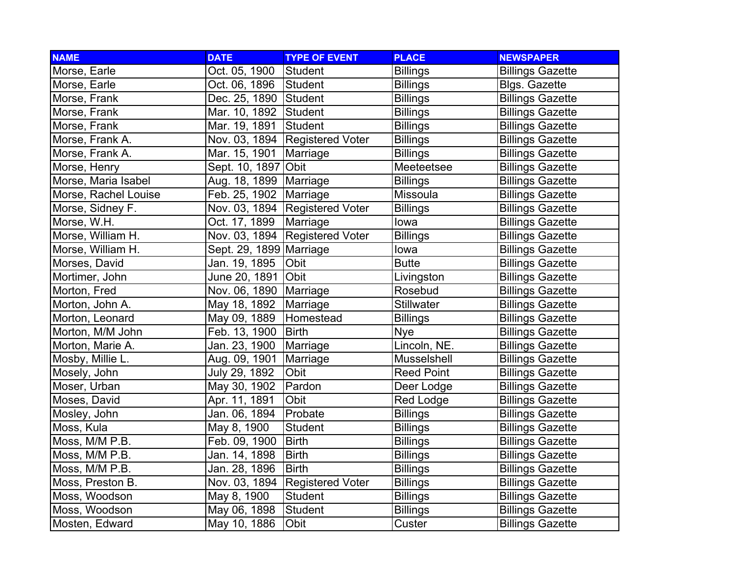| <b>NAME</b>          | <b>DATE</b>             | <b>TYPE OF EVENT</b>    | <b>PLACE</b>      | <b>NEWSPAPER</b>        |
|----------------------|-------------------------|-------------------------|-------------------|-------------------------|
| Morse, Earle         | Oct. 05, 1900           | Student                 | <b>Billings</b>   | <b>Billings Gazette</b> |
| Morse, Earle         | Oct. 06, 1896           | Student                 | <b>Billings</b>   | <b>Blgs. Gazette</b>    |
| Morse, Frank         | Dec. 25, 1890 Student   |                         | <b>Billings</b>   | <b>Billings Gazette</b> |
| Morse, Frank         | Mar. 10, 1892           | Student                 | <b>Billings</b>   | <b>Billings Gazette</b> |
| Morse, Frank         | Mar. 19, 1891           | Student                 | <b>Billings</b>   | <b>Billings Gazette</b> |
| Morse, Frank A.      | Nov. 03, 1894           | <b>Registered Voter</b> | <b>Billings</b>   | <b>Billings Gazette</b> |
| Morse, Frank A.      | Mar. 15, 1901           | Marriage                | <b>Billings</b>   | <b>Billings Gazette</b> |
| Morse, Henry         | Sept. 10, 1897          | Obit                    | Meeteetsee        | <b>Billings Gazette</b> |
| Morse, Maria Isabel  | Aug. 18, 1899           | Marriage                | <b>Billings</b>   | <b>Billings Gazette</b> |
| Morse, Rachel Louise | Feb. 25, 1902           | Marriage                | Missoula          | <b>Billings Gazette</b> |
| Morse, Sidney F.     | Nov. 03, 1894           | <b>Registered Voter</b> | <b>Billings</b>   | <b>Billings Gazette</b> |
| Morse, W.H.          | Oct. 17, 1899           | Marriage                | lowa              | <b>Billings Gazette</b> |
| Morse, William H.    | Nov. 03, 1894           | <b>Registered Voter</b> | <b>Billings</b>   | <b>Billings Gazette</b> |
| Morse, William H.    | Sept. 29, 1899 Marriage |                         | lowa              | <b>Billings Gazette</b> |
| Morses, David        | Jan. 19, 1895           | Obit                    | <b>Butte</b>      | <b>Billings Gazette</b> |
| Mortimer, John       | June 20, 1891           | Obit                    | Livingston        | <b>Billings Gazette</b> |
| Morton, Fred         | Nov. 06, 1890           | Marriage                | Rosebud           | <b>Billings Gazette</b> |
| Morton, John A.      | May 18, 1892            | Marriage                | <b>Stillwater</b> | <b>Billings Gazette</b> |
| Morton, Leonard      | May 09, 1889            | Homestead               | <b>Billings</b>   | <b>Billings Gazette</b> |
| Morton, M/M John     | Feb. 13, 1900           | <b>Birth</b>            | <b>Nye</b>        | <b>Billings Gazette</b> |
| Morton, Marie A.     | Jan. 23, 1900           | Marriage                | Lincoln, NE.      | <b>Billings Gazette</b> |
| Mosby, Millie L.     | Aug. 09, 1901           | Marriage                | Musselshell       | <b>Billings Gazette</b> |
| Mosely, John         | July 29, 1892           | Obit                    | <b>Reed Point</b> | <b>Billings Gazette</b> |
| Moser, Urban         | May 30, 1902            | Pardon                  | Deer Lodge        | <b>Billings Gazette</b> |
| Moses, David         | Apr. 11, 1891           | Obit                    | Red Lodge         | <b>Billings Gazette</b> |
| Mosley, John         | Jan. 06, 1894           | Probate                 | <b>Billings</b>   | <b>Billings Gazette</b> |
| Moss, Kula           | May 8, 1900             | <b>Student</b>          | <b>Billings</b>   | <b>Billings Gazette</b> |
| Moss, M/M P.B.       | Feb. 09, 1900           | <b>Birth</b>            | <b>Billings</b>   | <b>Billings Gazette</b> |
| Moss, M/M P.B.       | Jan. 14, 1898           | <b>Birth</b>            | <b>Billings</b>   | <b>Billings Gazette</b> |
| Moss, M/M P.B.       | Jan. 28, 1896           | <b>Birth</b>            | <b>Billings</b>   | <b>Billings Gazette</b> |
| Moss, Preston B.     | Nov. 03, 1894           | <b>Registered Voter</b> | <b>Billings</b>   | <b>Billings Gazette</b> |
| Moss, Woodson        | May 8, 1900             | <b>Student</b>          | <b>Billings</b>   | <b>Billings Gazette</b> |
| Moss, Woodson        | May 06, 1898            | Student                 | <b>Billings</b>   | <b>Billings Gazette</b> |
| Mosten, Edward       | May 10, 1886            | Obit                    | Custer            | <b>Billings Gazette</b> |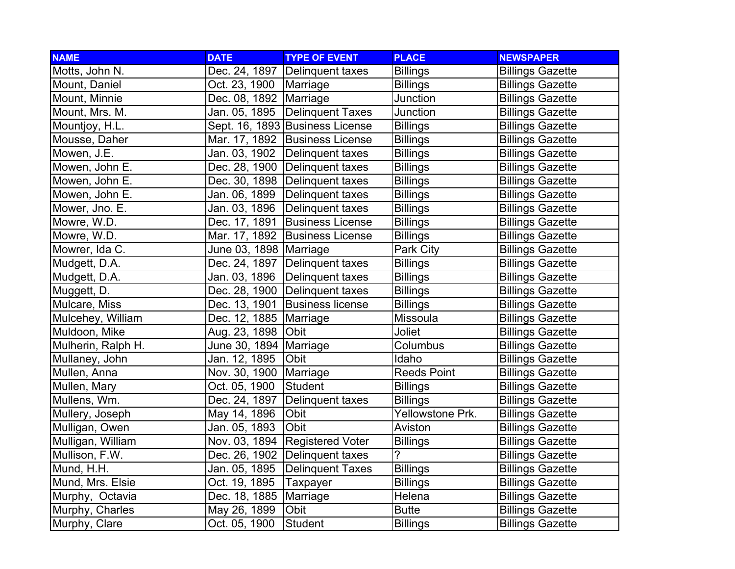| <b>NAME</b>        | <b>DATE</b>              | <b>TYPE OF EVENT</b>             | <b>PLACE</b>       | <b>NEWSPAPER</b>        |
|--------------------|--------------------------|----------------------------------|--------------------|-------------------------|
| Motts, John N.     | Dec. 24, 1897            | Delinquent taxes                 | <b>Billings</b>    | <b>Billings Gazette</b> |
| Mount, Daniel      | Oct. 23, 1900   Marriage |                                  | <b>Billings</b>    | <b>Billings Gazette</b> |
| Mount, Minnie      | Dec. 08, 1892   Marriage |                                  | Junction           | <b>Billings Gazette</b> |
| Mount, Mrs. M.     | Jan. 05, 1895            | Delinquent Taxes                 | Junction           | <b>Billings Gazette</b> |
| Mountjoy, H.L.     |                          | Sept. 16, 1893 Business License  | <b>Billings</b>    | <b>Billings Gazette</b> |
| Mousse, Daher      |                          | Mar. 17, 1892 Business License   | <b>Billings</b>    | <b>Billings Gazette</b> |
| Mowen, J.E.        | Jan. 03, 1902            | Delinquent taxes                 | <b>Billings</b>    | <b>Billings Gazette</b> |
| Mowen, John E.     | Dec. 28, 1900            | Delinquent taxes                 | <b>Billings</b>    | <b>Billings Gazette</b> |
| Mowen, John E.     | Dec. 30, 1898            | Delinquent taxes                 | <b>Billings</b>    | <b>Billings Gazette</b> |
| Mowen, John E.     | Jan. 06, 1899            | Delinquent taxes                 | <b>Billings</b>    | <b>Billings Gazette</b> |
| Mower, Jno. E.     | Jan. 03, 1896            | Delinquent taxes                 | <b>Billings</b>    | <b>Billings Gazette</b> |
| Mowre, W.D.        | Dec. 17, 1891            | <b>Business License</b>          | <b>Billings</b>    | <b>Billings Gazette</b> |
| Mowre, W.D.        | Mar. 17, 1892            | <b>Business License</b>          | <b>Billings</b>    | <b>Billings Gazette</b> |
| Mowrer, Ida C.     | June 03, 1898   Marriage |                                  | Park City          | <b>Billings Gazette</b> |
| Mudgett, D.A.      |                          | Dec. 24, 1897   Delinquent taxes | <b>Billings</b>    | <b>Billings Gazette</b> |
| Mudgett, D.A.      | Jan. 03, 1896            | Delinquent taxes                 | <b>Billings</b>    | <b>Billings Gazette</b> |
| Muggett, D.        |                          | Dec. 28, 1900 Delinquent taxes   | <b>Billings</b>    | <b>Billings Gazette</b> |
| Mulcare, Miss      | Dec. 13, 1901            | <b>Business license</b>          | <b>Billings</b>    | <b>Billings Gazette</b> |
| Mulcehey, William  | Dec. 12, 1885            | Marriage                         | Missoula           | <b>Billings Gazette</b> |
| Muldoon, Mike      | Aug. 23, 1898            | <b>Obit</b>                      | Joliet             | <b>Billings Gazette</b> |
| Mulherin, Ralph H. | June 30, 1894            | Marriage                         | Columbus           | <b>Billings Gazette</b> |
| Mullaney, John     | Jan. 12, 1895            | Obit                             | Idaho              | <b>Billings Gazette</b> |
| Mullen, Anna       | Nov. 30, 1900            | Marriage                         | <b>Reeds Point</b> | <b>Billings Gazette</b> |
| Mullen, Mary       | Oct. 05, 1900            | <b>Student</b>                   | <b>Billings</b>    | <b>Billings Gazette</b> |
| Mullens, Wm.       | Dec. 24, 1897            | Delinquent taxes                 | <b>Billings</b>    | <b>Billings Gazette</b> |
| Mullery, Joseph    | May 14, 1896             | Obit                             | Yellowstone Prk.   | <b>Billings Gazette</b> |
| Mulligan, Owen     | Jan. 05, 1893            | Obit                             | Aviston            | <b>Billings Gazette</b> |
| Mulligan, William  | Nov. 03, 1894            | <b>Registered Voter</b>          | <b>Billings</b>    | <b>Billings Gazette</b> |
| Mullison, F.W.     | Dec. 26, 1902            | Delinquent taxes                 | ?                  | <b>Billings Gazette</b> |
| Mund, H.H.         | Jan. 05, 1895            | <b>Delinquent Taxes</b>          | <b>Billings</b>    | <b>Billings Gazette</b> |
| Mund, Mrs. Elsie   | Oct. 19, 1895            | Taxpayer                         | <b>Billings</b>    | <b>Billings Gazette</b> |
| Murphy, Octavia    | Dec. 18, 1885            | Marriage                         | Helena             | <b>Billings Gazette</b> |
| Murphy, Charles    | May 26, 1899             | Obit                             | <b>Butte</b>       | <b>Billings Gazette</b> |
| Murphy, Clare      | Oct. 05, 1900            | Student                          | <b>Billings</b>    | <b>Billings Gazette</b> |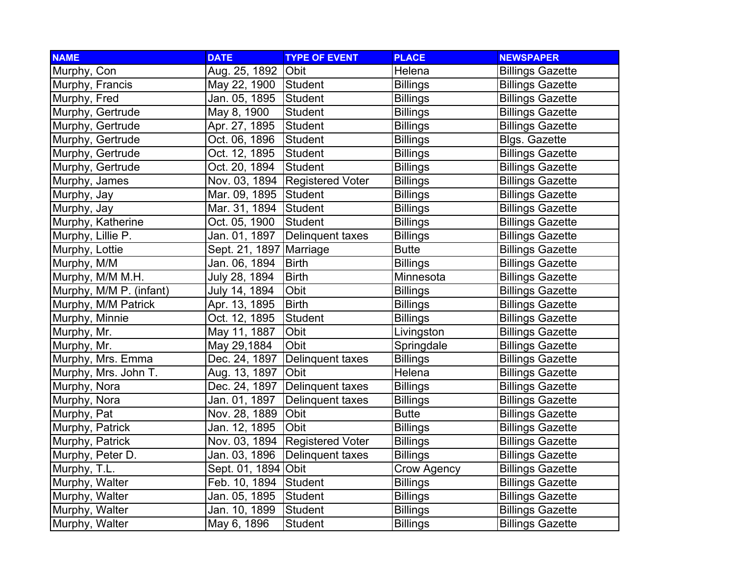| <b>NAME</b>             | <b>DATE</b>    | <b>TYPE OF EVENT</b>    | <b>PLACE</b>       | <b>NEWSPAPER</b>        |
|-------------------------|----------------|-------------------------|--------------------|-------------------------|
| Murphy, Con             | Aug. 25, 1892  | <b>Obit</b>             | Helena             | <b>Billings Gazette</b> |
| Murphy, Francis         | May 22, 1900   | Student                 | <b>Billings</b>    | <b>Billings Gazette</b> |
| Murphy, Fred            | Jan. 05, 1895  | Student                 | <b>Billings</b>    | <b>Billings Gazette</b> |
| Murphy, Gertrude        | May 8, 1900    | Student                 | <b>Billings</b>    | <b>Billings Gazette</b> |
| Murphy, Gertrude        | Apr. 27, 1895  | Student                 | <b>Billings</b>    | <b>Billings Gazette</b> |
| Murphy, Gertrude        | Oct. 06, 1896  | Student                 | <b>Billings</b>    | <b>Blgs. Gazette</b>    |
| Murphy, Gertrude        | Oct. 12, 1895  | Student                 | <b>Billings</b>    | <b>Billings Gazette</b> |
| Murphy, Gertrude        | Oct. 20, 1894  | Student                 | <b>Billings</b>    | <b>Billings Gazette</b> |
| Murphy, James           | Nov. 03, 1894  | <b>Registered Voter</b> | <b>Billings</b>    | <b>Billings Gazette</b> |
| Murphy, Jay             | Mar. 09, 1895  | <b>Student</b>          | <b>Billings</b>    | <b>Billings Gazette</b> |
| Murphy, Jay             | Mar. 31, 1894  | Student                 | <b>Billings</b>    | <b>Billings Gazette</b> |
| Murphy, Katherine       | Oct. 05, 1900  | <b>Student</b>          | <b>Billings</b>    | <b>Billings Gazette</b> |
| Murphy, Lillie P.       | Jan. 01, 1897  | Delinquent taxes        | <b>Billings</b>    | <b>Billings Gazette</b> |
| Murphy, Lottie          | Sept. 21, 1897 | Marriage                | <b>Butte</b>       | <b>Billings Gazette</b> |
| Murphy, M/M             | Jan. 06, 1894  | <b>Birth</b>            | <b>Billings</b>    | <b>Billings Gazette</b> |
| Murphy, M/M M.H.        | July 28, 1894  | <b>Birth</b>            | Minnesota          | <b>Billings Gazette</b> |
| Murphy, M/M P. (infant) | July 14, 1894  | Obit                    | <b>Billings</b>    | <b>Billings Gazette</b> |
| Murphy, M/M Patrick     | Apr. 13, 1895  | <b>Birth</b>            | <b>Billings</b>    | <b>Billings Gazette</b> |
| Murphy, Minnie          | Oct. 12, 1895  | <b>Student</b>          | <b>Billings</b>    | <b>Billings Gazette</b> |
| Murphy, Mr.             | May 11, 1887   | Obit                    | Livingston         | <b>Billings Gazette</b> |
| Murphy, Mr.             | May 29,1884    | Obit                    | Springdale         | <b>Billings Gazette</b> |
| Murphy, Mrs. Emma       | Dec. 24, 1897  | Delinquent taxes        | <b>Billings</b>    | <b>Billings Gazette</b> |
| Murphy, Mrs. John T.    | Aug. 13, 1897  | Obit                    | Helena             | <b>Billings Gazette</b> |
| Murphy, Nora            | Dec. 24, 1897  | Delinquent taxes        | <b>Billings</b>    | <b>Billings Gazette</b> |
| Murphy, Nora            | Jan. 01, 1897  | Delinquent taxes        | <b>Billings</b>    | <b>Billings Gazette</b> |
| Murphy, Pat             | Nov. 28, 1889  | Obit                    | <b>Butte</b>       | <b>Billings Gazette</b> |
| Murphy, Patrick         | Jan. 12, 1895  | Obit                    | <b>Billings</b>    | <b>Billings Gazette</b> |
| Murphy, Patrick         | Nov. 03, 1894  | <b>Registered Voter</b> | <b>Billings</b>    | <b>Billings Gazette</b> |
| Murphy, Peter D.        | Jan. 03, 1896  | Delinquent taxes        | <b>Billings</b>    | <b>Billings Gazette</b> |
| Murphy, T.L.            | Sept. 01, 1894 | <b>Obit</b>             | <b>Crow Agency</b> | <b>Billings Gazette</b> |
| Murphy, Walter          | Feb. 10, 1894  | Student                 | <b>Billings</b>    | <b>Billings Gazette</b> |
| Murphy, Walter          | Jan. 05, 1895  | Student                 | <b>Billings</b>    | <b>Billings Gazette</b> |
| Murphy, Walter          | Jan. 10, 1899  | Student                 | <b>Billings</b>    | <b>Billings Gazette</b> |
| Murphy, Walter          | May 6, 1896    | Student                 | <b>Billings</b>    | <b>Billings Gazette</b> |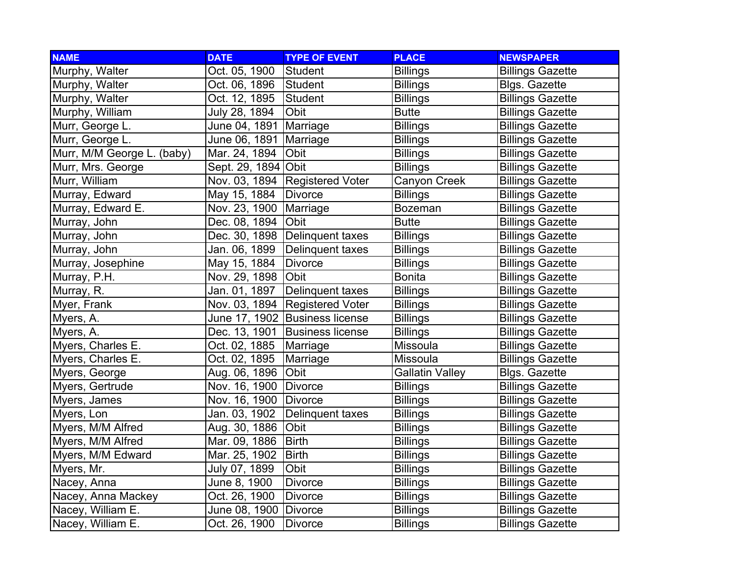| <b>NAME</b>                | <b>DATE</b>           | <b>TYPE OF EVENT</b>             | <b>PLACE</b>           | <b>NEWSPAPER</b>        |
|----------------------------|-----------------------|----------------------------------|------------------------|-------------------------|
| Murphy, Walter             | Oct. 05, 1900         | Student                          | <b>Billings</b>        | <b>Billings Gazette</b> |
| Murphy, Walter             | Oct. 06, 1896         | Student                          | <b>Billings</b>        | <b>Blgs. Gazette</b>    |
| Murphy, Walter             | Oct. 12, 1895         | Student                          | <b>Billings</b>        | <b>Billings Gazette</b> |
| Murphy, William            | July 28, 1894         | Obit                             | <b>Butte</b>           | <b>Billings Gazette</b> |
| Murr, George L.            | June 04, 1891         | Marriage                         | <b>Billings</b>        | <b>Billings Gazette</b> |
| Murr, George L.            | June 06, 1891         | Marriage                         | <b>Billings</b>        | <b>Billings Gazette</b> |
| Murr, M/M George L. (baby) | Mar. 24, 1894         | Obit                             | <b>Billings</b>        | <b>Billings Gazette</b> |
| Murr, Mrs. George          | Sept. 29, 1894        | Obit                             | <b>Billings</b>        | <b>Billings Gazette</b> |
| Murr, William              | Nov. 03, 1894         | <b>Registered Voter</b>          | Canyon Creek           | <b>Billings Gazette</b> |
| Murray, Edward             | May 15, 1884          | <b>Divorce</b>                   | <b>Billings</b>        | <b>Billings Gazette</b> |
| Murray, Edward E.          | Nov. 23, 1900         | Marriage                         | Bozeman                | <b>Billings Gazette</b> |
| Murray, John               | Dec. 08, 1894         | Obit                             | <b>Butte</b>           | <b>Billings Gazette</b> |
| Murray, John               |                       | Dec. 30, 1898   Delinquent taxes | <b>Billings</b>        | <b>Billings Gazette</b> |
| Murray, John               | Jan. 06, 1899         | Delinquent taxes                 | <b>Billings</b>        | <b>Billings Gazette</b> |
| Murray, Josephine          | May 15, 1884          | <b>Divorce</b>                   | <b>Billings</b>        | <b>Billings Gazette</b> |
| Murray, P.H.               | Nov. 29, 1898         | <b>Obit</b>                      | Bonita                 | <b>Billings Gazette</b> |
| Murray, R.                 | Jan. 01, 1897         | Delinquent taxes                 | <b>Billings</b>        | <b>Billings Gazette</b> |
| Myer, Frank                |                       | Nov. 03, 1894 Registered Voter   | <b>Billings</b>        | <b>Billings Gazette</b> |
| Myers, A.                  | June 17, 1902         | <b>Business license</b>          | <b>Billings</b>        | <b>Billings Gazette</b> |
| Myers, A.                  | Dec. 13, 1901         | <b>Business license</b>          | <b>Billings</b>        | <b>Billings Gazette</b> |
| Myers, Charles E.          | Oct. 02, 1885         | Marriage                         | Missoula               | <b>Billings Gazette</b> |
| Myers, Charles E.          | Oct. 02, 1895         | Marriage                         | Missoula               | <b>Billings Gazette</b> |
| Myers, George              | Aug. 06, 1896         | Obit                             | <b>Gallatin Valley</b> | <b>Blgs. Gazette</b>    |
| Myers, Gertrude            | Nov. 16, 1900         | <b>Divorce</b>                   | <b>Billings</b>        | <b>Billings Gazette</b> |
| Myers, James               | Nov. 16, 1900         | Divorce                          | <b>Billings</b>        | <b>Billings Gazette</b> |
| Myers, Lon                 | Jan. 03, 1902         | Delinquent taxes                 | <b>Billings</b>        | <b>Billings Gazette</b> |
| Myers, M/M Alfred          | Aug. 30, 1886         | Obit                             | <b>Billings</b>        | <b>Billings Gazette</b> |
| Myers, M/M Alfred          | Mar. 09, 1886         | <b>Birth</b>                     | <b>Billings</b>        | <b>Billings Gazette</b> |
| Myers, M/M Edward          | Mar. 25, 1902         | <b>Birth</b>                     | <b>Billings</b>        | <b>Billings Gazette</b> |
| Myers, Mr.                 | July 07, 1899         | Obit                             | <b>Billings</b>        | <b>Billings Gazette</b> |
| Nacey, Anna                | June 8, 1900          | <b>Divorce</b>                   | <b>Billings</b>        | <b>Billings Gazette</b> |
| Nacey, Anna Mackey         | Oct. 26, 1900         | <b>Divorce</b>                   | <b>Billings</b>        | <b>Billings Gazette</b> |
| Nacey, William E.          | June 08, 1900 Divorce |                                  | <b>Billings</b>        | <b>Billings Gazette</b> |
| Nacey, William E.          | Oct. 26, 1900         | <b>Divorce</b>                   | <b>Billings</b>        | <b>Billings Gazette</b> |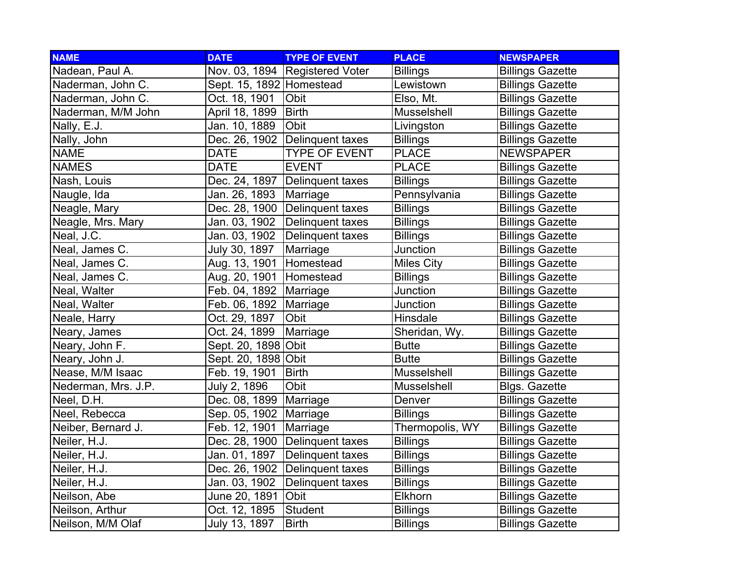| <b>NAME</b>         | <b>DATE</b>                | <b>TYPE OF EVENT</b>           | <b>PLACE</b>      | <b>NEWSPAPER</b>        |
|---------------------|----------------------------|--------------------------------|-------------------|-------------------------|
| Nadean, Paul A.     |                            | Nov. 03, 1894 Registered Voter | <b>Billings</b>   | <b>Billings Gazette</b> |
| Naderman, John C.   | Sept. 15, 1892   Homestead |                                | Lewistown         | <b>Billings Gazette</b> |
| Naderman, John C.   | Oct. 18, 1901              | Obit                           | Elso, Mt.         | <b>Billings Gazette</b> |
| Naderman, M/M John  | April 18, 1899             | <b>Birth</b>                   | Musselshell       | <b>Billings Gazette</b> |
| Nally, E.J.         | Jan. 10, 1889              | Obit                           | Livingston        | <b>Billings Gazette</b> |
| Nally, John         | Dec. 26, 1902              | <b>Delinquent taxes</b>        | <b>Billings</b>   | <b>Billings Gazette</b> |
| <b>NAME</b>         | <b>DATE</b>                | <b>TYPE OF EVENT</b>           | <b>PLACE</b>      | <b>NEWSPAPER</b>        |
| <b>NAMES</b>        | <b>DATE</b>                | <b>EVENT</b>                   | <b>PLACE</b>      | <b>Billings Gazette</b> |
| Nash, Louis         | Dec. 24, 1897              | Delinquent taxes               | <b>Billings</b>   | <b>Billings Gazette</b> |
| Naugle, Ida         | Jan. 26, 1893              | Marriage                       | Pennsylvania      | <b>Billings Gazette</b> |
| Neagle, Mary        | Dec. 28, 1900              | Delinquent taxes               | <b>Billings</b>   | <b>Billings Gazette</b> |
| Neagle, Mrs. Mary   | Jan. 03, 1902              | Delinquent taxes               | <b>Billings</b>   | <b>Billings Gazette</b> |
| Neal, J.C.          | Jan. 03, 1902              | Delinquent taxes               | <b>Billings</b>   | <b>Billings Gazette</b> |
| Neal, James C.      | July 30, 1897              | Marriage                       | Junction          | <b>Billings Gazette</b> |
| Neal, James C.      | Aug. 13, 1901              | Homestead                      | <b>Miles City</b> | <b>Billings Gazette</b> |
| Neal, James C.      | Aug. 20, 1901 Homestead    |                                | <b>Billings</b>   | <b>Billings Gazette</b> |
| Neal, Walter        | Feb. 04, 1892 Marriage     |                                | Junction          | <b>Billings Gazette</b> |
| Neal, Walter        | Feb. 06, 1892              | Marriage                       | Junction          | <b>Billings Gazette</b> |
| Neale, Harry        | Oct. 29, 1897              | Obit                           | Hinsdale          | <b>Billings Gazette</b> |
| Neary, James        | Oct. 24, 1899              | Marriage                       | Sheridan, Wy.     | <b>Billings Gazette</b> |
| Neary, John F.      | Sept. 20, 1898 Obit        |                                | <b>Butte</b>      | <b>Billings Gazette</b> |
| Neary, John J.      | Sept. 20, 1898 Obit        |                                | <b>Butte</b>      | <b>Billings Gazette</b> |
| Nease, M/M Isaac    | Feb. 19, 1901              | <b>Birth</b>                   | Musselshell       | <b>Billings Gazette</b> |
| Nederman, Mrs. J.P. | July 2, 1896               | Obit                           | Musselshell       | <b>Blgs. Gazette</b>    |
| Neel, D.H.          | Dec. 08, 1899              | Marriage                       | Denver            | <b>Billings Gazette</b> |
| Neel, Rebecca       | Sep. 05, 1902              | Marriage                       | <b>Billings</b>   | <b>Billings Gazette</b> |
| Neiber, Bernard J.  | Feb. 12, 1901              | Marriage                       | Thermopolis, WY   | <b>Billings Gazette</b> |
| Neiler, H.J.        | Dec. 28, 1900              | Delinquent taxes               | <b>Billings</b>   | <b>Billings Gazette</b> |
| Neiler, H.J.        | Jan. 01, 1897              | Delinquent taxes               | <b>Billings</b>   | <b>Billings Gazette</b> |
| Neiler, H.J.        | Dec. 26, 1902              | Delinquent taxes               | <b>Billings</b>   | <b>Billings Gazette</b> |
| Neiler, H.J.        | Jan. 03, 1902              | Delinquent taxes               | <b>Billings</b>   | <b>Billings Gazette</b> |
| Neilson, Abe        | June 20, 1891              | Obit                           | Elkhorn           | <b>Billings Gazette</b> |
| Neilson, Arthur     | Oct. 12, 1895              | Student                        | <b>Billings</b>   | <b>Billings Gazette</b> |
| Neilson, M/M Olaf   | July 13, 1897              | <b>Birth</b>                   | <b>Billings</b>   | <b>Billings Gazette</b> |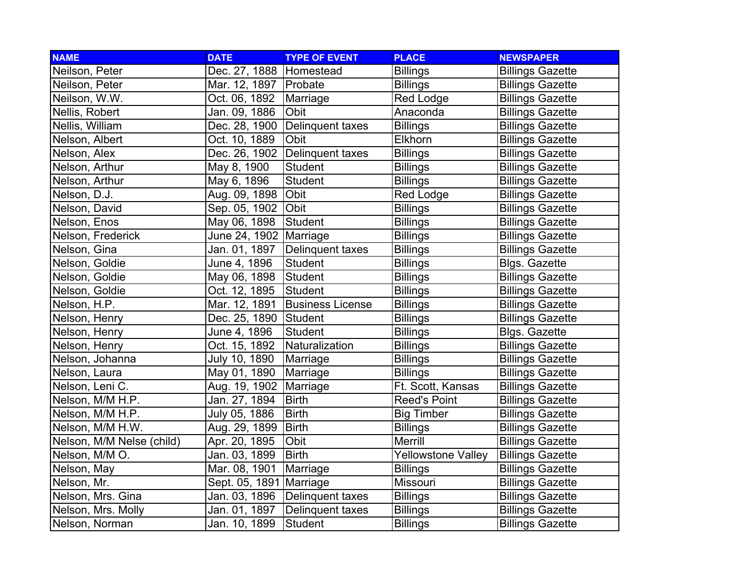| <b>NAME</b>               | <b>DATE</b>               | <b>TYPE OF EVENT</b>    | <b>PLACE</b>        | <b>NEWSPAPER</b>        |
|---------------------------|---------------------------|-------------------------|---------------------|-------------------------|
| Neilson, Peter            | Dec. 27, 1888   Homestead |                         | <b>Billings</b>     | <b>Billings Gazette</b> |
| Neilson, Peter            | Mar. 12, 1897             | Probate                 | <b>Billings</b>     | <b>Billings Gazette</b> |
| Neilson, W.W.             | Oct. 06, 1892             | Marriage                | <b>Red Lodge</b>    | <b>Billings Gazette</b> |
| Nellis, Robert            | Jan. 09, 1886             | Obit                    | Anaconda            | <b>Billings Gazette</b> |
| Nellis, William           | Dec. 28, 1900             | Delinquent taxes        | <b>Billings</b>     | <b>Billings Gazette</b> |
| Nelson, Albert            | Oct. 10, 1889             | Obit                    | Elkhorn             | <b>Billings Gazette</b> |
| Nelson, Alex              | Dec. 26, 1902             | <b>Delinquent taxes</b> | <b>Billings</b>     | <b>Billings Gazette</b> |
| Nelson, Arthur            | May 8, 1900               | Student                 | <b>Billings</b>     | <b>Billings Gazette</b> |
| Nelson, Arthur            | May 6, 1896               | <b>Student</b>          | <b>Billings</b>     | <b>Billings Gazette</b> |
| Nelson, D.J.              | Aug. 09, 1898             | Obit                    | Red Lodge           | <b>Billings Gazette</b> |
| Nelson, David             | Sep. 05, 1902             | Obit                    | <b>Billings</b>     | <b>Billings Gazette</b> |
| Nelson, Enos              | May 06, 1898              | <b>Student</b>          | <b>Billings</b>     | <b>Billings Gazette</b> |
| Nelson, Frederick         | June 24, 1902             | Marriage                | <b>Billings</b>     | <b>Billings Gazette</b> |
| Nelson, Gina              | Jan. 01, 1897             | Delinquent taxes        | <b>Billings</b>     | <b>Billings Gazette</b> |
| Nelson, Goldie            | June 4, 1896              | <b>Student</b>          | Billings            | Blgs. Gazette           |
| Nelson, Goldie            | May 06, 1898              | Student                 | Billings            | <b>Billings Gazette</b> |
| Nelson, Goldie            | Oct. 12, 1895             | Student                 | Billings            | <b>Billings Gazette</b> |
| Nelson, H.P.              | Mar. 12, 1891             | <b>Business License</b> | <b>Billings</b>     | <b>Billings Gazette</b> |
| Nelson, Henry             | Dec. 25, 1890             | Student                 | <b>Billings</b>     | <b>Billings Gazette</b> |
| Nelson, Henry             | June 4, 1896              | <b>Student</b>          | <b>Billings</b>     | <b>Blgs. Gazette</b>    |
| Nelson, Henry             | Oct. 15, 1892             | Naturalization          | <b>Billings</b>     | <b>Billings Gazette</b> |
| Nelson, Johanna           | July 10, 1890             | Marriage                | <b>Billings</b>     | <b>Billings Gazette</b> |
| Nelson, Laura             | May 01, 1890              | Marriage                | <b>Billings</b>     | <b>Billings Gazette</b> |
| Nelson, Leni C.           | Aug. 19, 1902             | Marriage                | Ft. Scott, Kansas   | <b>Billings Gazette</b> |
| Nelson, M/M H.P.          | Jan. 27, 1894             | <b>Birth</b>            | <b>Reed's Point</b> | <b>Billings Gazette</b> |
| Nelson, M/M H.P.          | July 05, 1886             | <b>Birth</b>            | <b>Big Timber</b>   | <b>Billings Gazette</b> |
| Nelson, M/M H.W.          | Aug. 29, 1899             | <b>Birth</b>            | <b>Billings</b>     | <b>Billings Gazette</b> |
| Nelson, M/M Nelse (child) | Apr. 20, 1895             | Obit                    | Merrill             | <b>Billings Gazette</b> |
| Nelson, M/M O.            | Jan. 03, 1899             | <b>Birth</b>            | Yellowstone Valley  | <b>Billings Gazette</b> |
| Nelson, May               | Mar. 08, 1901             | Marriage                | <b>Billings</b>     | <b>Billings Gazette</b> |
| Nelson, Mr.               | Sept. 05, 1891            | Marriage                | Missouri            | <b>Billings Gazette</b> |
| Nelson, Mrs. Gina         | Jan. 03, 1896             | Delinquent taxes        | <b>Billings</b>     | <b>Billings Gazette</b> |
| Nelson, Mrs. Molly        | Jan. 01, 1897             | Delinquent taxes        | <b>Billings</b>     | <b>Billings Gazette</b> |
| Nelson, Norman            | Jan. 10, 1899             | <b>Student</b>          | <b>Billings</b>     | <b>Billings Gazette</b> |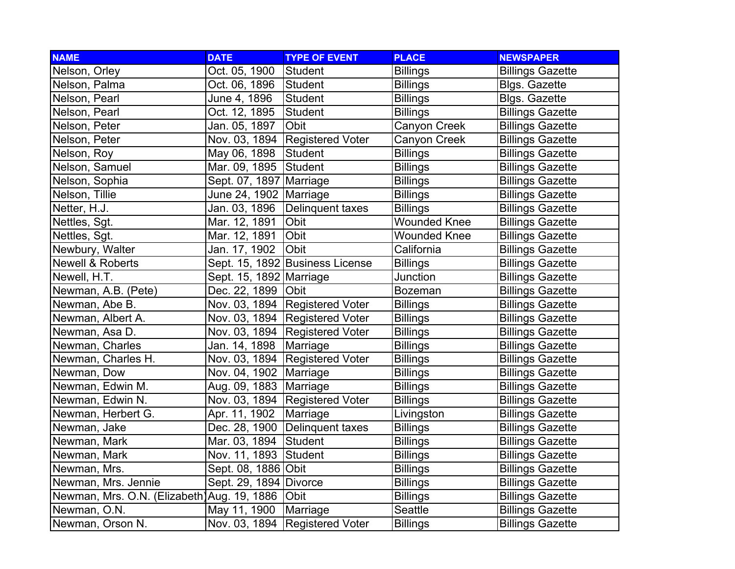| <b>NAME</b>                                 | <b>DATE</b>               | <b>TYPE OF EVENT</b>             | <b>PLACE</b>        | <b>NEWSPAPER</b>        |
|---------------------------------------------|---------------------------|----------------------------------|---------------------|-------------------------|
| Nelson, Orley                               | Oct. 05, 1900             | Student                          | <b>Billings</b>     | <b>Billings Gazette</b> |
| Nelson, Palma                               | Oct. 06, 1896             | Student                          | <b>Billings</b>     | <b>Blgs. Gazette</b>    |
| Nelson, Pearl                               | June 4, 1896              | <b>Student</b>                   | <b>Billings</b>     | <b>Blgs. Gazette</b>    |
| Nelson, Pearl                               | Oct. 12, 1895             | Student                          | <b>Billings</b>     | <b>Billings Gazette</b> |
| Nelson, Peter                               | Jan. 05, 1897             | Obit                             | Canyon Creek        | <b>Billings Gazette</b> |
| Nelson, Peter                               | Nov. 03, 1894             | <b>Registered Voter</b>          | Canyon Creek        | <b>Billings Gazette</b> |
| Nelson, Roy                                 | May 06, 1898              | <b>Student</b>                   | <b>Billings</b>     | <b>Billings Gazette</b> |
| Nelson, Samuel                              | Mar. 09, 1895             | Student                          | <b>Billings</b>     | <b>Billings Gazette</b> |
| Nelson, Sophia                              | Sept. 07, 1897 Marriage   |                                  | <b>Billings</b>     | <b>Billings Gazette</b> |
| Nelson, Tillie                              | June 24, 1902             | Marriage                         | <b>Billings</b>     | <b>Billings Gazette</b> |
| Netter, H.J.                                | Jan. 03, 1896             | Delinquent taxes                 | <b>Billings</b>     | <b>Billings Gazette</b> |
| Nettles, Sgt.                               | Mar. 12, 1891             | <b>Obit</b>                      | <b>Wounded Knee</b> | <b>Billings Gazette</b> |
| Nettles, Sgt.                               | Mar. 12, 1891             | Obit                             | <b>Wounded Knee</b> | <b>Billings Gazette</b> |
| Newbury, Walter                             | Jan. 17, 1902             | <b>Obit</b>                      | California          | <b>Billings Gazette</b> |
| Newell & Roberts                            |                           | Sept. 15, 1892 Business License  | <b>Billings</b>     | <b>Billings Gazette</b> |
| Newell, H.T.                                | Sept. 15, 1892   Marriage |                                  | Junction            | <b>Billings Gazette</b> |
| Newman, A.B. (Pete)                         | Dec. 22, 1899 Obit        |                                  | <b>Bozeman</b>      | <b>Billings Gazette</b> |
| Newman, Abe B.                              |                           | Nov. 03, 1894   Registered Voter | <b>Billings</b>     | <b>Billings Gazette</b> |
| Newman, Albert A.                           |                           | Nov. 03, 1894 Registered Voter   | <b>Billings</b>     | <b>Billings Gazette</b> |
| Newman, Asa D.                              |                           | Nov. 03, 1894 Registered Voter   | <b>Billings</b>     | <b>Billings Gazette</b> |
| Newman, Charles                             | Jan. 14, 1898             | Marriage                         | <b>Billings</b>     | <b>Billings Gazette</b> |
| Newman, Charles H.                          | Nov. 03, 1894             | <b>Registered Voter</b>          | <b>Billings</b>     | <b>Billings Gazette</b> |
| Newman, Dow                                 | Nov. 04, 1902             | Marriage                         | <b>Billings</b>     | <b>Billings Gazette</b> |
| Newman, Edwin M.                            | Aug. 09, 1883 Marriage    |                                  | <b>Billings</b>     | <b>Billings Gazette</b> |
| Newman, Edwin N.                            |                           | Nov. 03, 1894 Registered Voter   | <b>Billings</b>     | <b>Billings Gazette</b> |
| Newman, Herbert G.                          | Apr. 11, 1902             | Marriage                         | Livingston          | <b>Billings Gazette</b> |
| Newman, Jake                                | Dec. 28, 1900             | Delinquent taxes                 | <b>Billings</b>     | <b>Billings Gazette</b> |
| Newman, Mark                                | Mar. 03, 1894             | Student                          | <b>Billings</b>     | <b>Billings Gazette</b> |
| Newman, Mark                                | Nov. 11, 1893 Student     |                                  | <b>Billings</b>     | <b>Billings Gazette</b> |
| Newman, Mrs.                                | Sept. 08, 1886 Obit       |                                  | <b>Billings</b>     | <b>Billings Gazette</b> |
| Newman, Mrs. Jennie                         | Sept. 29, 1894 Divorce    |                                  | <b>Billings</b>     | <b>Billings Gazette</b> |
| Newman, Mrs. O.N. (Elizabeth) Aug. 19, 1886 |                           | <b>Obit</b>                      | <b>Billings</b>     | <b>Billings Gazette</b> |
| Newman, O.N.                                | May 11, 1900              | Marriage                         | Seattle             | <b>Billings Gazette</b> |
| Newman, Orson N.                            |                           | Nov. 03, 1894 Registered Voter   | <b>Billings</b>     | <b>Billings Gazette</b> |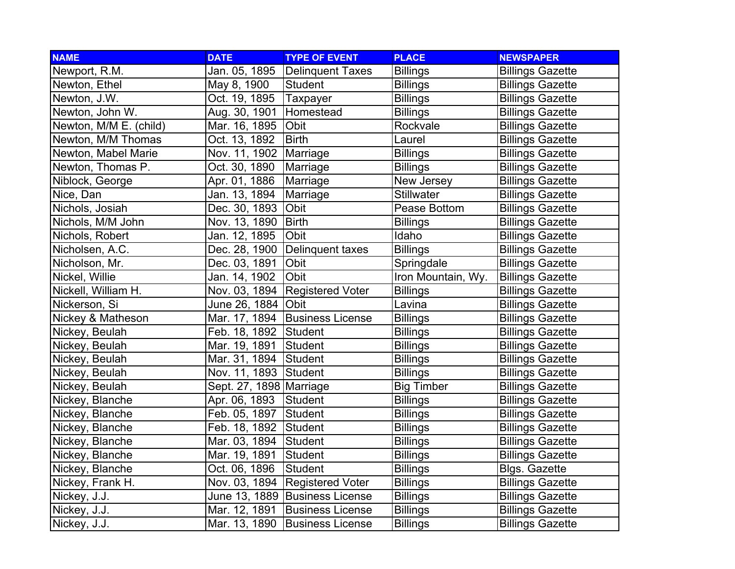| <b>NAME</b>            | <b>DATE</b>             | <b>TYPE OF EVENT</b>           | <b>PLACE</b>       | <b>NEWSPAPER</b>        |
|------------------------|-------------------------|--------------------------------|--------------------|-------------------------|
| Newport, R.M.          | Jan. 05, 1895           | Delinquent Taxes               | <b>Billings</b>    | <b>Billings Gazette</b> |
| Newton, Ethel          | May 8, 1900             | <b>Student</b>                 | <b>Billings</b>    | <b>Billings Gazette</b> |
| Newton, J.W.           | Oct. 19, 1895           | Taxpayer                       | <b>Billings</b>    | <b>Billings Gazette</b> |
| Newton, John W.        | Aug. 30, 1901           | Homestead                      | <b>Billings</b>    | <b>Billings Gazette</b> |
| Newton, M/M E. (child) | Mar. 16, 1895           | Obit                           | Rockvale           | <b>Billings Gazette</b> |
| Newton, M/M Thomas     | Oct. 13, 1892           | <b>Birth</b>                   | Laurel             | <b>Billings Gazette</b> |
| Newton, Mabel Marie    | Nov. 11, 1902           | Marriage                       | <b>Billings</b>    | <b>Billings Gazette</b> |
| Newton, Thomas P.      | Oct. 30, 1890           | Marriage                       | <b>Billings</b>    | <b>Billings Gazette</b> |
| Niblock, George        | Apr. 01, 1886           | Marriage                       | New Jersey         | <b>Billings Gazette</b> |
| Nice, Dan              | Jan. 13, 1894           | Marriage                       | <b>Stillwater</b>  | <b>Billings Gazette</b> |
| Nichols, Josiah        | Dec. 30, 1893           | Obit                           | Pease Bottom       | <b>Billings Gazette</b> |
| Nichols, M/M John      | Nov. 13, 1890           | <b>Birth</b>                   | <b>Billings</b>    | <b>Billings Gazette</b> |
| Nichols, Robert        | Jan. 12, 1895           | Obit                           | Idaho              | <b>Billings Gazette</b> |
| Nicholsen, A.C.        | Dec. 28, 1900           | Delinquent taxes               | <b>Billings</b>    | <b>Billings Gazette</b> |
| Nicholson, Mr.         | Dec. 03, 1891           | Obit                           | Springdale         | <b>Billings Gazette</b> |
| Nickel, Willie         | Jan. 14, 1902           | Obit                           | Iron Mountain, Wy. | <b>Billings Gazette</b> |
| Nickell, William H.    | Nov. 03, 1894           | <b>Registered Voter</b>        | <b>Billings</b>    | <b>Billings Gazette</b> |
| Nickerson, Si          | June 26, 1884   Obit    |                                | Lavina             | <b>Billings Gazette</b> |
| Nickey & Matheson      | Mar. 17, 1894           | <b>Business License</b>        | <b>Billings</b>    | <b>Billings Gazette</b> |
| Nickey, Beulah         | Feb. 18, 1892           | Student                        | <b>Billings</b>    | <b>Billings Gazette</b> |
| Nickey, Beulah         | Mar. 19, 1891           | Student                        | <b>Billings</b>    | <b>Billings Gazette</b> |
| Nickey, Beulah         | Mar. 31, 1894           | Student                        | <b>Billings</b>    | <b>Billings Gazette</b> |
| Nickey, Beulah         | Nov. 11, 1893 Student   |                                | <b>Billings</b>    | <b>Billings Gazette</b> |
| Nickey, Beulah         | Sept. 27, 1898 Marriage |                                | <b>Big Timber</b>  | <b>Billings Gazette</b> |
| Nickey, Blanche        | Apr. 06, 1893           | Student                        | <b>Billings</b>    | <b>Billings Gazette</b> |
| Nickey, Blanche        | Feb. 05, 1897           | Student                        | <b>Billings</b>    | <b>Billings Gazette</b> |
| Nickey, Blanche        | Feb. 18, 1892           | Student                        | <b>Billings</b>    | <b>Billings Gazette</b> |
| Nickey, Blanche        | Mar. 03, 1894           | Student                        | <b>Billings</b>    | <b>Billings Gazette</b> |
| Nickey, Blanche        | Mar. 19, 1891           | Student                        | <b>Billings</b>    | <b>Billings Gazette</b> |
| Nickey, Blanche        | Oct. 06, 1896           | <b>Student</b>                 | <b>Billings</b>    | <b>Blgs. Gazette</b>    |
| Nickey, Frank H.       | Nov. 03, 1894           | <b>Registered Voter</b>        | <b>Billings</b>    | <b>Billings Gazette</b> |
| Nickey, J.J.           |                         | June 13, 1889 Business License | <b>Billings</b>    | <b>Billings Gazette</b> |
| Nickey, J.J.           | Mar. 12, 1891           | <b>Business License</b>        | <b>Billings</b>    | <b>Billings Gazette</b> |
| Nickey, J.J.           | Mar. 13, 1890           | <b>Business License</b>        | <b>Billings</b>    | <b>Billings Gazette</b> |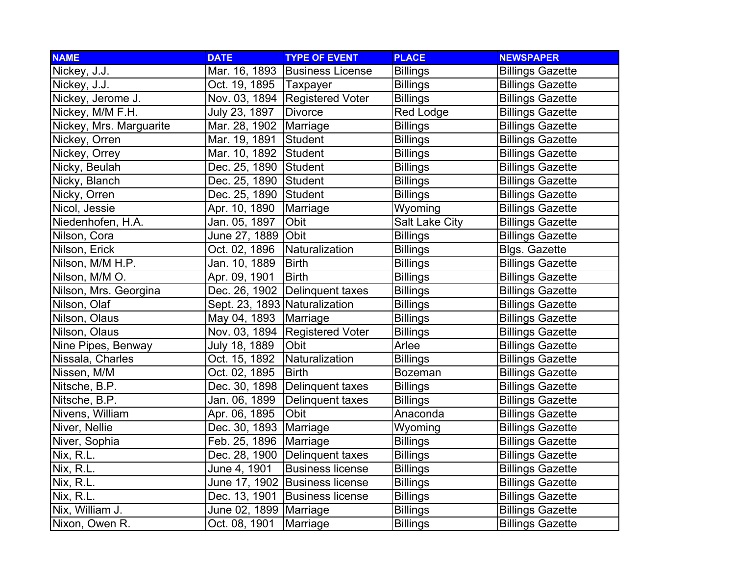| <b>NAME</b>             | <b>DATE</b>                     | <b>TYPE OF EVENT</b>             | <b>PLACE</b>          | <b>NEWSPAPER</b>        |
|-------------------------|---------------------------------|----------------------------------|-----------------------|-------------------------|
| Nickey, J.J.            |                                 | Mar. 16, 1893 Business License   | <b>Billings</b>       | <b>Billings Gazette</b> |
| Nickey, J.J.            | Oct. 19, 1895   Taxpayer        |                                  | <b>Billings</b>       | <b>Billings Gazette</b> |
| Nickey, Jerome J.       |                                 | Nov. 03, 1894 Registered Voter   | <b>Billings</b>       | <b>Billings Gazette</b> |
| Nickey, M/M F.H.        | July 23, 1897                   | Divorce                          | <b>Red Lodge</b>      | <b>Billings Gazette</b> |
| Nickey, Mrs. Marguarite | Mar. 28, 1902                   | Marriage                         | <b>Billings</b>       | <b>Billings Gazette</b> |
| Nickey, Orren           | Mar. 19, 1891                   | Student                          | <b>Billings</b>       | <b>Billings Gazette</b> |
| Nickey, Orrey           | Mar. 10, 1892                   | Student                          | <b>Billings</b>       | <b>Billings Gazette</b> |
| Nicky, Beulah           | Dec. 25, 1890                   | Student                          | <b>Billings</b>       | <b>Billings Gazette</b> |
| Nicky, Blanch           | Dec. 25, 1890                   | Student                          | <b>Billings</b>       | <b>Billings Gazette</b> |
| Nicky, Orren            | Dec. 25, 1890                   | <b>Student</b>                   | <b>Billings</b>       | <b>Billings Gazette</b> |
| Nicol, Jessie           | Apr. 10, 1890                   | Marriage                         | Wyoming               | <b>Billings Gazette</b> |
| Niedenhofen, H.A.       | Jan. 05, 1897                   | Obit                             | <b>Salt Lake City</b> | <b>Billings Gazette</b> |
| Nilson, Cora            | June 27, 1889                   | Obit                             | <b>Billings</b>       | <b>Billings Gazette</b> |
| Nilson, Erick           | Oct. 02, 1896                   | Naturalization                   | <b>Billings</b>       | <b>Blgs. Gazette</b>    |
| Nilson, M/M H.P.        | Jan. 10, 1889                   | <b>Birth</b>                     | <b>Billings</b>       | <b>Billings Gazette</b> |
| Nilson, M/M O.          | Apr. 09, 1901                   | <b>Birth</b>                     | <b>Billings</b>       | <b>Billings Gazette</b> |
| Nilson, Mrs. Georgina   |                                 | Dec. 26, 1902 Delinquent taxes   | <b>Billings</b>       | <b>Billings Gazette</b> |
| Nilson, Olaf            | Sept. 23, 1893   Naturalization |                                  | <b>Billings</b>       | <b>Billings Gazette</b> |
| Nilson, Olaus           | May 04, 1893                    | Marriage                         | <b>Billings</b>       | <b>Billings Gazette</b> |
| Nilson, Olaus           | Nov. 03, 1894                   | <b>Registered Voter</b>          | <b>Billings</b>       | <b>Billings Gazette</b> |
| Nine Pipes, Benway      | July 18, 1889                   | Obit                             | Arlee                 | <b>Billings Gazette</b> |
| Nissala, Charles        | Oct. 15, 1892                   | Naturalization                   | <b>Billings</b>       | <b>Billings Gazette</b> |
| Nissen, M/M             | Oct. 02, 1895                   | <b>Birth</b>                     | <b>Bozeman</b>        | <b>Billings Gazette</b> |
| Nitsche, B.P.           | Dec. 30, 1898                   | Delinquent taxes                 | <b>Billings</b>       | <b>Billings Gazette</b> |
| Nitsche, B.P.           | Jan. 06, 1899                   | Delinquent taxes                 | <b>Billings</b>       | <b>Billings Gazette</b> |
| Nivens, William         | Apr. 06, 1895                   | Obit                             | Anaconda              | <b>Billings Gazette</b> |
| Niver, Nellie           | Dec. 30, 1893                   | Marriage                         | Wyoming               | <b>Billings Gazette</b> |
| Niver, Sophia           | Feb. 25, 1896                   | Marriage                         | <b>Billings</b>       | <b>Billings Gazette</b> |
| Nix, R.L.               | Dec. 28, 1900                   | Delinquent taxes                 | <b>Billings</b>       | <b>Billings Gazette</b> |
| Nix, R.L.               | June 4, 1901                    | <b>Business license</b>          | <b>Billings</b>       | <b>Billings Gazette</b> |
| Nix, R.L.               |                                 | June 17, 1902 Business license   | <b>Billings</b>       | <b>Billings Gazette</b> |
| Nix, R.L.               |                                 | Dec. 13, 1901   Business license | <b>Billings</b>       | <b>Billings Gazette</b> |
| Nix, William J.         | June 02, 1899 Marriage          |                                  | <b>Billings</b>       | <b>Billings Gazette</b> |
| Nixon, Owen R.          | Oct. 08, 1901                   | Marriage                         | <b>Billings</b>       | <b>Billings Gazette</b> |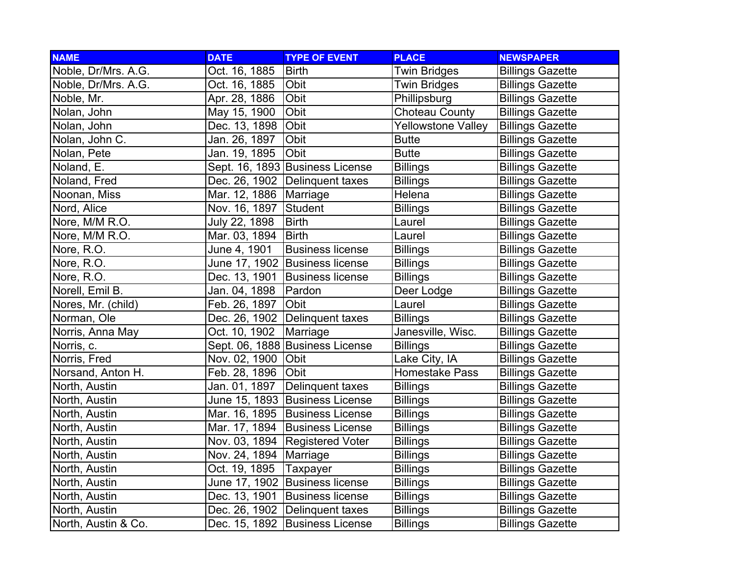| <b>NAME</b>         | <b>DATE</b>   | <b>TYPE OF EVENT</b>            | <b>PLACE</b>          | <b>NEWSPAPER</b>        |
|---------------------|---------------|---------------------------------|-----------------------|-------------------------|
| Noble, Dr/Mrs. A.G. | Oct. 16, 1885 | <b>Birth</b>                    | <b>Twin Bridges</b>   | <b>Billings Gazette</b> |
| Noble, Dr/Mrs. A.G. | Oct. 16, 1885 | Obit                            | <b>Twin Bridges</b>   | <b>Billings Gazette</b> |
| Noble, Mr.          | Apr. 28, 1886 | Obit                            | Phillipsburg          | <b>Billings Gazette</b> |
| Nolan, John         | May 15, 1900  | Obit                            | <b>Choteau County</b> | <b>Billings Gazette</b> |
| Nolan, John         | Dec. 13, 1898 | Obit                            | Yellowstone Valley    | <b>Billings Gazette</b> |
| Nolan, John C.      | Jan. 26, 1897 | Obit                            | <b>Butte</b>          | <b>Billings Gazette</b> |
| Nolan, Pete         | Jan. 19, 1895 | Obit                            | <b>Butte</b>          | <b>Billings Gazette</b> |
| Noland, E.          |               | Sept. 16, 1893 Business License | <b>Billings</b>       | <b>Billings Gazette</b> |
| Noland, Fred        | Dec. 26, 1902 | Delinquent taxes                | <b>Billings</b>       | <b>Billings Gazette</b> |
| Noonan, Miss        | Mar. 12, 1886 | Marriage                        | Helena                | <b>Billings Gazette</b> |
| Nord, Alice         | Nov. 16, 1897 | Student                         | <b>Billings</b>       | <b>Billings Gazette</b> |
| Nore, M/M R.O.      | July 22, 1898 | <b>Birth</b>                    | Laurel                | <b>Billings Gazette</b> |
| Nore, M/M R.O.      | Mar. 03, 1894 | <b>Birth</b>                    | Laurel                | <b>Billings Gazette</b> |
| Nore, R.O.          | June 4, 1901  | <b>Business license</b>         | <b>Billings</b>       | <b>Billings Gazette</b> |
| Nore, R.O.          |               | June 17, 1902 Business license  | <b>Billings</b>       | <b>Billings Gazette</b> |
| Nore, R.O.          | Dec. 13, 1901 | <b>Business license</b>         | <b>Billings</b>       | <b>Billings Gazette</b> |
| Norell, Emil B.     | Jan. 04, 1898 | Pardon                          | Deer Lodge            | <b>Billings Gazette</b> |
| Nores, Mr. (child)  | Feb. 26, 1897 | Obit                            | Laurel                | <b>Billings Gazette</b> |
| Norman, Ole         |               | Dec. 26, 1902 Delinquent taxes  | <b>Billings</b>       | <b>Billings Gazette</b> |
| Norris, Anna May    | Oct. 10, 1902 | Marriage                        | Janesville, Wisc.     | <b>Billings Gazette</b> |
| Norris, c.          |               | Sept. 06, 1888 Business License | <b>Billings</b>       | <b>Billings Gazette</b> |
| Norris, Fred        | Nov. 02, 1900 | Obit                            | Lake City, IA         | <b>Billings Gazette</b> |
| Norsand, Anton H.   | Feb. 28, 1896 | Obit                            | Homestake Pass        | <b>Billings Gazette</b> |
| North, Austin       | Jan. 01, 1897 | Delinquent taxes                | <b>Billings</b>       | <b>Billings Gazette</b> |
| North, Austin       |               | June 15, 1893 Business License  | <b>Billings</b>       | <b>Billings Gazette</b> |
| North, Austin       | Mar. 16, 1895 | <b>Business License</b>         | <b>Billings</b>       | <b>Billings Gazette</b> |
| North, Austin       | Mar. 17, 1894 | <b>Business License</b>         | <b>Billings</b>       | <b>Billings Gazette</b> |
| North, Austin       | Nov. 03, 1894 | <b>Registered Voter</b>         | <b>Billings</b>       | <b>Billings Gazette</b> |
| North, Austin       | Nov. 24, 1894 | Marriage                        | <b>Billings</b>       | <b>Billings Gazette</b> |
| North, Austin       | Oct. 19, 1895 | Taxpayer                        | <b>Billings</b>       | <b>Billings Gazette</b> |
| North, Austin       |               | June 17, 1902 Business license  | <b>Billings</b>       | <b>Billings Gazette</b> |
| North, Austin       | Dec. 13, 1901 | <b>Business license</b>         | <b>Billings</b>       | <b>Billings Gazette</b> |
| North, Austin       |               | Dec. 26, 1902 Delinquent taxes  | <b>Billings</b>       | <b>Billings Gazette</b> |
| North, Austin & Co. |               | Dec. 15, 1892 Business License  | <b>Billings</b>       | <b>Billings Gazette</b> |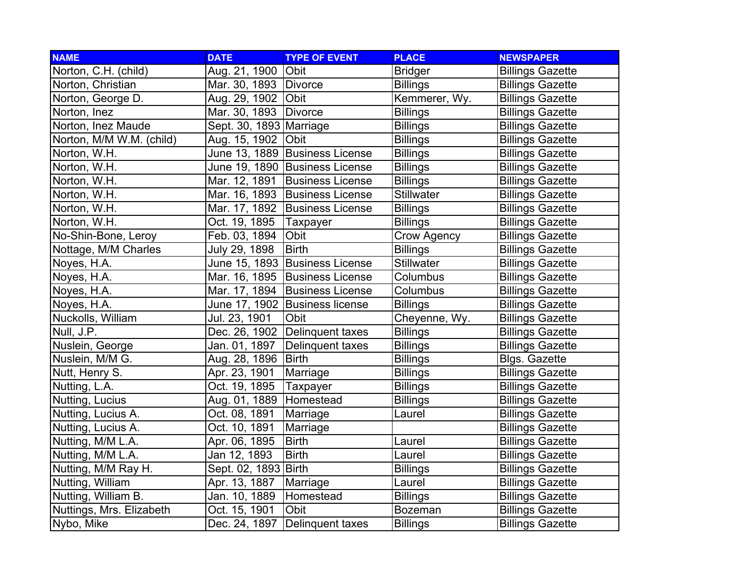| <b>NAME</b>              | <b>DATE</b>             | <b>TYPE OF EVENT</b>            | <b>PLACE</b>      | <b>NEWSPAPER</b>        |
|--------------------------|-------------------------|---------------------------------|-------------------|-------------------------|
| Norton, C.H. (child)     | Aug. 21, 1900           | <b>Obit</b>                     | <b>Bridger</b>    | <b>Billings Gazette</b> |
| Norton, Christian        | Mar. 30, 1893   Divorce |                                 | <b>Billings</b>   | <b>Billings Gazette</b> |
| Norton, George D.        | Aug. 29, 1902 Obit      |                                 | Kemmerer, Wy.     | <b>Billings Gazette</b> |
| Norton, Inez             | Mar. 30, 1893   Divorce |                                 | <b>Billings</b>   | <b>Billings Gazette</b> |
| Norton, Inez Maude       | Sept. 30, 1893 Marriage |                                 | <b>Billings</b>   | <b>Billings Gazette</b> |
| Norton, M/M W.M. (child) | Aug. 15, 1902           | <b>Obit</b>                     | <b>Billings</b>   | <b>Billings Gazette</b> |
| Norton, W.H.             |                         | June 13, 1889 Business License  | <b>Billings</b>   | <b>Billings Gazette</b> |
| Norton, W.H.             |                         | June 19, 1890 Business License  | <b>Billings</b>   | <b>Billings Gazette</b> |
| Norton, W.H.             | Mar. 12, 1891           | <b>Business License</b>         | <b>Billings</b>   | <b>Billings Gazette</b> |
| Norton, W.H.             | Mar. 16, 1893           | <b>Business License</b>         | <b>Stillwater</b> | <b>Billings Gazette</b> |
| Norton, W.H.             | Mar. 17, 1892           | <b>Business License</b>         | <b>Billings</b>   | <b>Billings Gazette</b> |
| Norton, W.H.             | Oct. 19, 1895           | Taxpayer                        | <b>Billings</b>   | <b>Billings Gazette</b> |
| No-Shin-Bone, Leroy      | Feb. 03, 1894           | Obit                            | Crow Agency       | <b>Billings Gazette</b> |
| Nottage, M/M Charles     | July 29, 1898           | <b>Birth</b>                    | <b>Billings</b>   | <b>Billings Gazette</b> |
| Noyes, H.A.              |                         | June 15, 1893 Business License  | Stillwater        | <b>Billings Gazette</b> |
| Noyes, H.A.              |                         | Mar. 16, 1895 Business License  | Columbus          | <b>Billings Gazette</b> |
| Noyes, H.A.              | Mar. 17, 1894           | <b>Business License</b>         | Columbus          | <b>Billings Gazette</b> |
| Noyes, H.A.              |                         | June 17, 1902  Business license | <b>Billings</b>   | <b>Billings Gazette</b> |
| Nuckolls, William        | Jul. 23, 1901           | Obit                            | Cheyenne, Wy.     | <b>Billings Gazette</b> |
| Null, J.P.               | Dec. 26, 1902           | Delinquent taxes                | <b>Billings</b>   | <b>Billings Gazette</b> |
| Nuslein, George          | Jan. 01, 1897           | Delinquent taxes                | <b>Billings</b>   | <b>Billings Gazette</b> |
| Nuslein, M/M G.          | Aug. 28, 1896           | <b>Birth</b>                    | <b>Billings</b>   | <b>Blgs. Gazette</b>    |
| Nutt, Henry S.           | Apr. 23, 1901           | Marriage                        | <b>Billings</b>   | <b>Billings Gazette</b> |
| Nutting, L.A.            | Oct. 19, 1895           | Taxpayer                        | <b>Billings</b>   | <b>Billings Gazette</b> |
| Nutting, Lucius          | Aug. 01, 1889 Homestead |                                 | <b>Billings</b>   | <b>Billings Gazette</b> |
| Nutting, Lucius A.       | Oct. 08, 1891           | Marriage                        | Laurel            | <b>Billings Gazette</b> |
| Nutting, Lucius A.       | Oct. 10, 1891           | Marriage                        |                   | <b>Billings Gazette</b> |
| Nutting, M/M L.A.        | Apr. 06, 1895           | <b>Birth</b>                    | Laurel            | <b>Billings Gazette</b> |
| Nutting, M/M L.A.        | Jan 12, 1893            | <b>Birth</b>                    | Laurel            | <b>Billings Gazette</b> |
| Nutting, M/M Ray H.      | Sept. 02, 1893          | Birth                           | <b>Billings</b>   | <b>Billings Gazette</b> |
| Nutting, William         | Apr. 13, 1887           | Marriage                        | Laurel            | <b>Billings Gazette</b> |
| Nutting, William B.      | Jan. 10, 1889           | Homestead                       | <b>Billings</b>   | <b>Billings Gazette</b> |
| Nuttings, Mrs. Elizabeth | Oct. 15, 1901           | Obit                            | Bozeman           | <b>Billings Gazette</b> |
| Nybo, Mike               | Dec. 24, 1897           | Delinquent taxes                | <b>Billings</b>   | <b>Billings Gazette</b> |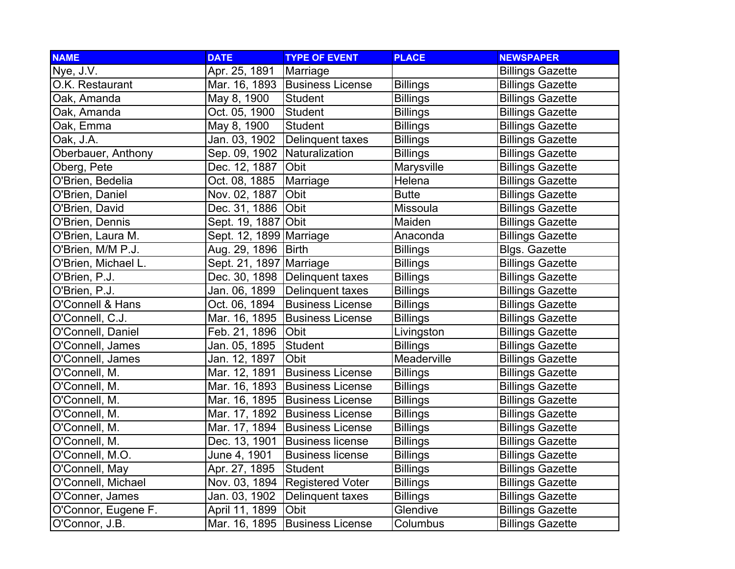| <b>NAME</b>         | <b>DATE</b>                    | <b>TYPE OF EVENT</b>             | <b>PLACE</b>    | <b>NEWSPAPER</b>        |
|---------------------|--------------------------------|----------------------------------|-----------------|-------------------------|
| Nye, J.V.           | Apr. 25, 1891                  | Marriage                         |                 | <b>Billings Gazette</b> |
| O.K. Restaurant     | Mar. 16, 1893                  | <b>Business License</b>          | <b>Billings</b> | <b>Billings Gazette</b> |
| Oak, Amanda         | May 8, 1900                    | Student                          | <b>Billings</b> | <b>Billings Gazette</b> |
| Oak, Amanda         | Oct. 05, 1900                  | <b>Student</b>                   | <b>Billings</b> | <b>Billings Gazette</b> |
| Oak, Emma           | May 8, 1900                    | <b>Student</b>                   | <b>Billings</b> | <b>Billings Gazette</b> |
| Oak, J.A.           | Jan. 03, 1902                  | Delinquent taxes                 | <b>Billings</b> | <b>Billings Gazette</b> |
| Oberbauer, Anthony  | Sep. 09, 1902   Naturalization |                                  | <b>Billings</b> | <b>Billings Gazette</b> |
| Oberg, Pete         | Dec. 12, 1887                  | <b>Obit</b>                      | Marysville      | <b>Billings Gazette</b> |
| O'Brien, Bedelia    | Oct. 08, 1885                  | Marriage                         | Helena          | <b>Billings Gazette</b> |
| O'Brien, Daniel     | Nov. 02, 1887                  | Obit                             | <b>Butte</b>    | <b>Billings Gazette</b> |
| O'Brien, David      | Dec. 31, 1886                  | Obit                             | Missoula        | <b>Billings Gazette</b> |
| O'Brien, Dennis     | Sept. 19, 1887                 | Obit                             | Maiden          | <b>Billings Gazette</b> |
| O'Brien, Laura M.   | Sept. 12, 1899 Marriage        |                                  | Anaconda        | <b>Billings Gazette</b> |
| O'Brien, M/M P.J.   | Aug. 29, 1896                  | <b>Birth</b>                     | <b>Billings</b> | <b>Blgs. Gazette</b>    |
| O'Brien, Michael L. | Sept. 21, 1897 Marriage        |                                  | <b>Billings</b> | <b>Billings Gazette</b> |
| O'Brien, P.J.       |                                | Dec. 30, 1898   Delinquent taxes | <b>Billings</b> | <b>Billings Gazette</b> |
| O'Brien, P.J.       | Jan. 06, 1899                  | Delinquent taxes                 | <b>Billings</b> | <b>Billings Gazette</b> |
| O'Connell & Hans    | Oct. 06, 1894                  | <b>Business License</b>          | <b>Billings</b> | <b>Billings Gazette</b> |
| O'Connell, C.J.     | Mar. 16, 1895                  | <b>Business License</b>          | <b>Billings</b> | <b>Billings Gazette</b> |
| O'Connell, Daniel   | Feb. 21, 1896                  | <b>Obit</b>                      | Livingston      | <b>Billings Gazette</b> |
| O'Connell, James    | Jan. 05, 1895                  | Student                          | <b>Billings</b> | <b>Billings Gazette</b> |
| O'Connell, James    | Jan. 12, 1897                  | Obit                             | Meaderville     | <b>Billings Gazette</b> |
| O'Connell, M.       | Mar. 12, 1891                  | <b>Business License</b>          | <b>Billings</b> | <b>Billings Gazette</b> |
| O'Connell, M.       | Mar. 16, 1893                  | <b>Business License</b>          | <b>Billings</b> | <b>Billings Gazette</b> |
| O'Connell, M.       |                                | Mar. 16, 1895 Business License   | <b>Billings</b> | <b>Billings Gazette</b> |
| O'Connell, M.       | Mar. 17, 1892                  | <b>Business License</b>          | <b>Billings</b> | <b>Billings Gazette</b> |
| O'Connell, M.       | Mar. 17, 1894                  | <b>Business License</b>          | <b>Billings</b> | <b>Billings Gazette</b> |
| O'Connell, M.       | Dec. 13, 1901                  | <b>Business license</b>          | <b>Billings</b> | <b>Billings Gazette</b> |
| O'Connell, M.O.     | June 4, 1901                   | <b>Business license</b>          | <b>Billings</b> | <b>Billings Gazette</b> |
| O'Connell, May      | Apr. 27, 1895                  | Student                          | <b>Billings</b> | <b>Billings Gazette</b> |
| O'Connell, Michael  | Nov. 03, 1894                  | <b>Registered Voter</b>          | <b>Billings</b> | <b>Billings Gazette</b> |
| O'Conner, James     | Jan. 03, 1902                  | Delinquent taxes                 | <b>Billings</b> | <b>Billings Gazette</b> |
| O'Connor, Eugene F. | April 11, 1899                 | Obit                             | Glendive        | <b>Billings Gazette</b> |
| O'Connor, J.B.      | Mar. 16, 1895                  | <b>Business License</b>          | Columbus        | <b>Billings Gazette</b> |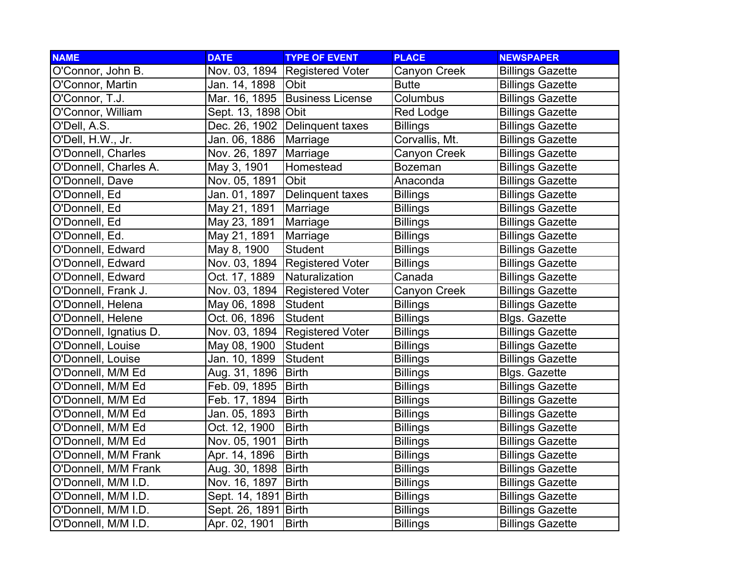| <b>NAME</b>            | <b>DATE</b>         | <b>TYPE OF EVENT</b>    | <b>PLACE</b>    | <b>NEWSPAPER</b>        |
|------------------------|---------------------|-------------------------|-----------------|-------------------------|
| O'Connor, John B.      | Nov. 03, 1894       | <b>Registered Voter</b> | Canyon Creek    | <b>Billings Gazette</b> |
| O'Connor, Martin       | Jan. 14, 1898       | <b>Obit</b>             | <b>Butte</b>    | <b>Billings Gazette</b> |
| O'Connor, T.J.         | Mar. 16, 1895       | <b>Business License</b> | Columbus        | <b>Billings Gazette</b> |
| O'Connor, William      | Sept. 13, 1898 Obit |                         | Red Lodge       | <b>Billings Gazette</b> |
| O'Dell, A.S.           | Dec. 26, 1902       | Delinquent taxes        | <b>Billings</b> | <b>Billings Gazette</b> |
| O'Dell, H.W., Jr.      | Jan. 06, 1886       | Marriage                | Corvallis, Mt.  | <b>Billings Gazette</b> |
| O'Donnell, Charles     | Nov. 26, 1897       | Marriage                | Canyon Creek    | <b>Billings Gazette</b> |
| O'Donnell, Charles A.  | May 3, 1901         | Homestead               | <b>Bozeman</b>  | <b>Billings Gazette</b> |
| O'Donnell, Dave        | Nov. 05, 1891       | Obit                    | Anaconda        | <b>Billings Gazette</b> |
| O'Donnell, Ed          | Jan. 01, 1897       | Delinquent taxes        | <b>Billings</b> | <b>Billings Gazette</b> |
| O'Donnell, Ed          | May 21, 1891        | Marriage                | <b>Billings</b> | <b>Billings Gazette</b> |
| O'Donnell, Ed          | May 23, 1891        | Marriage                | <b>Billings</b> | <b>Billings Gazette</b> |
| O'Donnell, Ed.         | May 21, 1891        | Marriage                | <b>Billings</b> | <b>Billings Gazette</b> |
| O'Donnell, Edward      | May 8, 1900         | <b>Student</b>          | <b>Billings</b> | <b>Billings Gazette</b> |
| O'Donnell, Edward      | Nov. 03, 1894       | <b>Registered Voter</b> | <b>Billings</b> | <b>Billings Gazette</b> |
| O'Donnell, Edward      | Oct. 17, 1889       | Naturalization          | Canada          | <b>Billings Gazette</b> |
| O'Donnell, Frank J.    | Nov. 03, 1894       | <b>Registered Voter</b> | Canyon Creek    | <b>Billings Gazette</b> |
| O'Donnell, Helena      | May 06, 1898        | Student                 | <b>Billings</b> | <b>Billings Gazette</b> |
| O'Donnell, Helene      | Oct. 06, 1896       | Student                 | <b>Billings</b> | <b>Blgs. Gazette</b>    |
| O'Donnell, Ignatius D. | Nov. 03, 1894       | <b>Registered Voter</b> | <b>Billings</b> | <b>Billings Gazette</b> |
| O'Donnell, Louise      | May 08, 1900        | Student                 | <b>Billings</b> | <b>Billings Gazette</b> |
| O'Donnell, Louise      | Jan. 10, 1899       | <b>Student</b>          | <b>Billings</b> | <b>Billings Gazette</b> |
| O'Donnell, M/M Ed      | Aug. 31, 1896       | <b>Birth</b>            | <b>Billings</b> | <b>Blgs. Gazette</b>    |
| O'Donnell, M/M Ed      | Feb. 09, 1895       | <b>Birth</b>            | <b>Billings</b> | <b>Billings Gazette</b> |
| O'Donnell, M/M Ed      | Feb. 17, 1894       | <b>Birth</b>            | <b>Billings</b> | <b>Billings Gazette</b> |
| O'Donnell, M/M Ed      | Jan. 05, 1893       | <b>Birth</b>            | <b>Billings</b> | <b>Billings Gazette</b> |
| O'Donnell, M/M Ed      | Oct. 12, 1900       | <b>Birth</b>            | <b>Billings</b> | <b>Billings Gazette</b> |
| O'Donnell, M/M Ed      | Nov. 05, 1901       | <b>Birth</b>            | <b>Billings</b> | <b>Billings Gazette</b> |
| O'Donnell, M/M Frank   | Apr. 14, 1896       | <b>Birth</b>            | <b>Billings</b> | <b>Billings Gazette</b> |
| O'Donnell, M/M Frank   | Aug. 30, 1898       | <b>Birth</b>            | <b>Billings</b> | <b>Billings Gazette</b> |
| O'Donnell, M/M I.D.    | Nov. 16, 1897       | <b>Birth</b>            | <b>Billings</b> | <b>Billings Gazette</b> |
| O'Donnell, M/M I.D.    | Sept. 14, 1891      | <b>Birth</b>            | <b>Billings</b> | <b>Billings Gazette</b> |
| O'Donnell, M/M I.D.    | Sept. 26, 1891      | Birth                   | <b>Billings</b> | <b>Billings Gazette</b> |
| O'Donnell, M/M I.D.    | Apr. 02, 1901       | <b>Birth</b>            | <b>Billings</b> | <b>Billings Gazette</b> |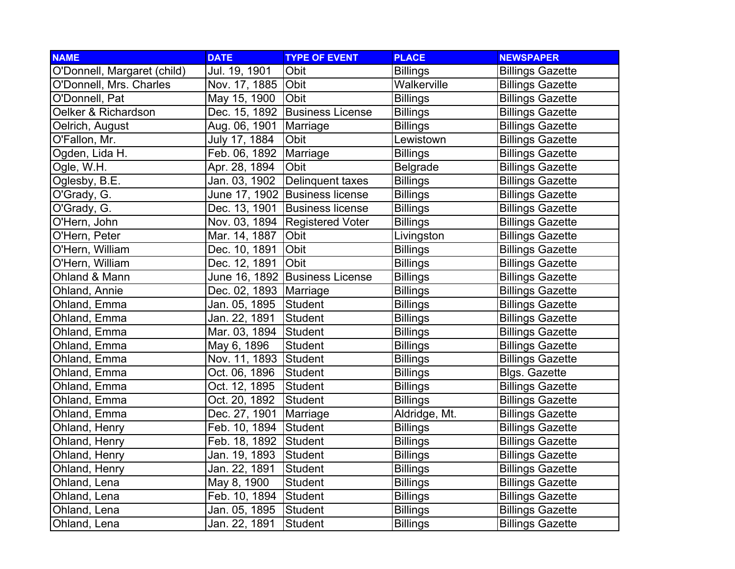| <b>NAME</b>                 | <b>DATE</b>            | <b>TYPE OF EVENT</b>           | <b>PLACE</b>    | <b>NEWSPAPER</b>        |
|-----------------------------|------------------------|--------------------------------|-----------------|-------------------------|
| O'Donnell, Margaret (child) | Jul. 19, 1901          | Obit                           | <b>Billings</b> | <b>Billings Gazette</b> |
| O'Donnell, Mrs. Charles     | Nov. 17, 1885          | Obit                           | Walkerville     | <b>Billings Gazette</b> |
| O'Donnell, Pat              | May 15, 1900           | <b>Obit</b>                    | <b>Billings</b> | <b>Billings Gazette</b> |
| Oelker & Richardson         | Dec. 15, 1892          | <b>Business License</b>        | <b>Billings</b> | <b>Billings Gazette</b> |
| Oelrich, August             | Aug. 06, 1901          | Marriage                       | <b>Billings</b> | <b>Billings Gazette</b> |
| O'Fallon, Mr.               | July 17, 1884          | Obit                           | Lewistown       | <b>Billings Gazette</b> |
| Ogden, Lida H.              | Feb. 06, 1892          | Marriage                       | <b>Billings</b> | <b>Billings Gazette</b> |
| Ogle, W.H.                  | Apr. 28, 1894          | Obit                           | <b>Belgrade</b> | <b>Billings Gazette</b> |
| Oglesby, B.E.               | Jan. 03, 1902          | Delinquent taxes               | <b>Billings</b> | <b>Billings Gazette</b> |
| O'Grady, G.                 | June 17, 1902          | <b>Business license</b>        | <b>Billings</b> | <b>Billings Gazette</b> |
| O'Grady, G.                 | Dec. 13, 1901          | <b>Business license</b>        | <b>Billings</b> | <b>Billings Gazette</b> |
| O'Hern, John                | Nov. 03, 1894          | <b>Registered Voter</b>        | <b>Billings</b> | <b>Billings Gazette</b> |
| O'Hern, Peter               | Mar. 14, 1887          | Obit                           | Livingston      | <b>Billings Gazette</b> |
| O'Hern, William             | Dec. 10, 1891          | Obit                           | <b>Billings</b> | <b>Billings Gazette</b> |
| O'Hern, William             | Dec. 12, 1891          | Obit                           | <b>Billings</b> | <b>Billings Gazette</b> |
| Ohland & Mann               |                        | June 16, 1892 Business License | <b>Billings</b> | <b>Billings Gazette</b> |
| Ohland, Annie               | Dec. 02, 1893 Marriage |                                | <b>Billings</b> | <b>Billings Gazette</b> |
| Ohland, Emma                | Jan. 05, 1895          | Student                        | <b>Billings</b> | <b>Billings Gazette</b> |
| Ohland, Emma                | Jan. 22, 1891          | <b>Student</b>                 | <b>Billings</b> | <b>Billings Gazette</b> |
| Ohland, Emma                | Mar. 03, 1894          | Student                        | <b>Billings</b> | <b>Billings Gazette</b> |
| Ohland, Emma                | May 6, 1896            | Student                        | <b>Billings</b> | <b>Billings Gazette</b> |
| Ohland, Emma                | Nov. 11, 1893          | Student                        | <b>Billings</b> | <b>Billings Gazette</b> |
| Ohland, Emma                | Oct. 06, 1896          | Student                        | <b>Billings</b> | <b>Blgs. Gazette</b>    |
| Ohland, Emma                | Oct. 12, 1895          | Student                        | <b>Billings</b> | <b>Billings Gazette</b> |
| Ohland, Emma                | Oct. 20, 1892          | Student                        | <b>Billings</b> | <b>Billings Gazette</b> |
| Ohland, Emma                | Dec. 27, 1901          | Marriage                       | Aldridge, Mt.   | <b>Billings Gazette</b> |
| Ohland, Henry               | Feb. 10, 1894          | Student                        | <b>Billings</b> | <b>Billings Gazette</b> |
| Ohland, Henry               | Feb. 18, 1892          | Student                        | <b>Billings</b> | <b>Billings Gazette</b> |
| Ohland, Henry               | Jan. 19, 1893          | Student                        | <b>Billings</b> | <b>Billings Gazette</b> |
| Ohland, Henry               | Jan. 22, 1891          | <b>Student</b>                 | <b>Billings</b> | <b>Billings Gazette</b> |
| Ohland, Lena                | May 8, 1900            | Student                        | <b>Billings</b> | <b>Billings Gazette</b> |
| Ohland, Lena                | Feb. 10, 1894          | Student                        | <b>Billings</b> | <b>Billings Gazette</b> |
| Ohland, Lena                | Jan. 05, 1895          | Student                        | <b>Billings</b> | <b>Billings Gazette</b> |
| Ohland, Lena                | Jan. 22, 1891          | Student                        | <b>Billings</b> | <b>Billings Gazette</b> |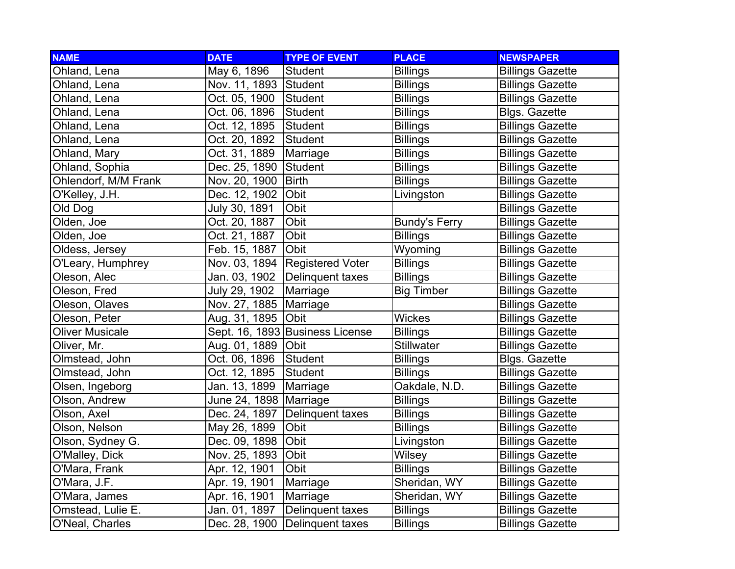| <b>NAME</b>            | <b>DATE</b>           | <b>TYPE OF EVENT</b>            | <b>PLACE</b>         | <b>NEWSPAPER</b>        |
|------------------------|-----------------------|---------------------------------|----------------------|-------------------------|
| Ohland, Lena           | May 6, 1896           | <b>Student</b>                  | <b>Billings</b>      | <b>Billings Gazette</b> |
| Ohland, Lena           | Nov. 11, 1893 Student |                                 | <b>Billings</b>      | <b>Billings Gazette</b> |
| Ohland, Lena           | Oct. 05, 1900         | Student                         | <b>Billings</b>      | <b>Billings Gazette</b> |
| Ohland, Lena           | Oct. 06, 1896         | Student                         | <b>Billings</b>      | <b>Blgs. Gazette</b>    |
| Ohland, Lena           | Oct. 12, 1895         | Student                         | <b>Billings</b>      | <b>Billings Gazette</b> |
| Ohland, Lena           | Oct. 20, 1892         | <b>Student</b>                  | <b>Billings</b>      | <b>Billings Gazette</b> |
| Ohland, Mary           | Oct. 31, 1889         | Marriage                        | <b>Billings</b>      | <b>Billings Gazette</b> |
| Ohland, Sophia         | Dec. 25, 1890         | Student                         | <b>Billings</b>      | <b>Billings Gazette</b> |
| Ohlendorf, M/M Frank   | Nov. 20, 1900         | <b>Birth</b>                    | <b>Billings</b>      | <b>Billings Gazette</b> |
| O'Kelley, J.H.         | Dec. 12, 1902         | Obit                            | Livingston           | <b>Billings Gazette</b> |
| Old Dog                | July 30, 1891         | Obit                            |                      | <b>Billings Gazette</b> |
| Olden, Joe             | Oct. 20, 1887         | Obit                            | <b>Bundy's Ferry</b> | <b>Billings Gazette</b> |
| Olden, Joe             | Oct. 21, 1887         | Obit                            | <b>Billings</b>      | <b>Billings Gazette</b> |
| Oldess, Jersey         | Feb. 15, 1887         | Obit                            | Wyoming              | <b>Billings Gazette</b> |
| O'Leary, Humphrey      | Nov. 03, 1894         | <b>Registered Voter</b>         | <b>Billings</b>      | <b>Billings Gazette</b> |
| Oleson, Alec           | Jan. 03, 1902         | Delinquent taxes                | <b>Billings</b>      | <b>Billings Gazette</b> |
| Oleson, Fred           | July 29, 1902         | Marriage                        | <b>Big Timber</b>    | <b>Billings Gazette</b> |
| Oleson, Olaves         | Nov. 27, 1885         | Marriage                        |                      | <b>Billings Gazette</b> |
| Oleson, Peter          | Aug. 31, 1895         | Obit                            | <b>Wickes</b>        | <b>Billings Gazette</b> |
| <b>Oliver Musicale</b> |                       | Sept. 16, 1893 Business License | <b>Billings</b>      | <b>Billings Gazette</b> |
| Oliver, Mr.            | Aug. 01, 1889         | Obit                            | <b>Stillwater</b>    | <b>Billings Gazette</b> |
| Olmstead, John         | Oct. 06, 1896         | Student                         | <b>Billings</b>      | <b>Blgs. Gazette</b>    |
| Olmstead, John         | Oct. 12, 1895         | <b>Student</b>                  | <b>Billings</b>      | <b>Billings Gazette</b> |
| Olsen, Ingeborg        | Jan. 13, 1899         | Marriage                        | Oakdale, N.D.        | <b>Billings Gazette</b> |
| Olson, Andrew          | June 24, 1898         | Marriage                        | <b>Billings</b>      | <b>Billings Gazette</b> |
| Olson, Axel            | Dec. 24, 1897         | Delinquent taxes                | <b>Billings</b>      | <b>Billings Gazette</b> |
| Olson, Nelson          | May 26, 1899          | Obit                            | <b>Billings</b>      | <b>Billings Gazette</b> |
| Olson, Sydney G.       | Dec. 09, 1898         | Obit                            | Livingston           | <b>Billings Gazette</b> |
| O'Malley, Dick         | Nov. 25, 1893         | Obit                            | Wilsey               | <b>Billings Gazette</b> |
| O'Mara, Frank          | Apr. 12, 1901         | Obit                            | <b>Billings</b>      | <b>Billings Gazette</b> |
| O'Mara, J.F.           | Apr. 19, 1901         | Marriage                        | Sheridan, WY         | <b>Billings Gazette</b> |
| O'Mara, James          | Apr. 16, 1901         | Marriage                        | Sheridan, WY         | <b>Billings Gazette</b> |
| Omstead, Lulie E.      | Jan. 01, 1897         | Delinquent taxes                | <b>Billings</b>      | <b>Billings Gazette</b> |
| O'Neal, Charles        | Dec. 28, 1900         | Delinquent taxes                | <b>Billings</b>      | <b>Billings Gazette</b> |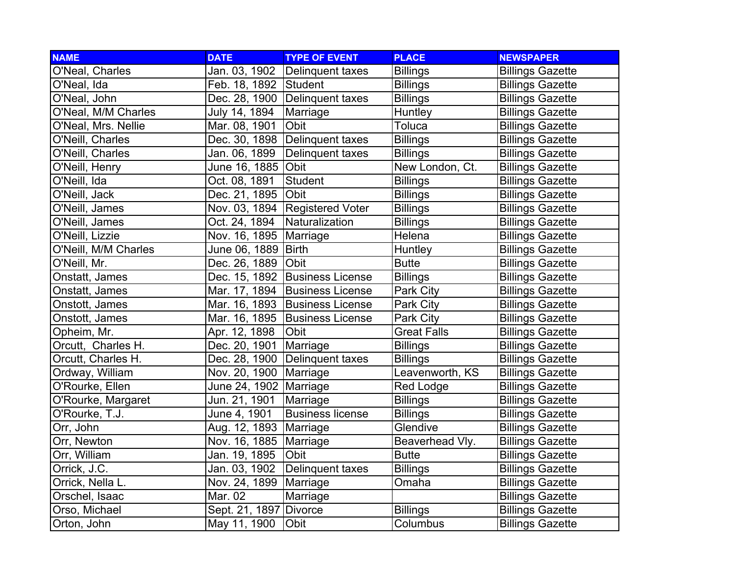| <b>NAME</b>          | <b>DATE</b>            | <b>TYPE OF EVENT</b>           | <b>PLACE</b>       | <b>NEWSPAPER</b>        |
|----------------------|------------------------|--------------------------------|--------------------|-------------------------|
| O'Neal, Charles      | Jan. 03, 1902          | Delinquent taxes               | <b>Billings</b>    | <b>Billings Gazette</b> |
| O'Neal, Ida          | Feb. 18, 1892 Student  |                                | <b>Billings</b>    | <b>Billings Gazette</b> |
| O'Neal, John         |                        | Dec. 28, 1900 Delinquent taxes | <b>Billings</b>    | <b>Billings Gazette</b> |
| O'Neal, M/M Charles  | July 14, 1894          | Marriage                       | <b>Huntley</b>     | <b>Billings Gazette</b> |
| O'Neal, Mrs. Nellie  | Mar. 08, 1901          | Obit                           | Toluca             | <b>Billings Gazette</b> |
| O'Neill, Charles     | Dec. 30, 1898          | Delinquent taxes               | <b>Billings</b>    | <b>Billings Gazette</b> |
| O'Neill, Charles     | Jan. 06, 1899          | <b>Delinquent taxes</b>        | <b>Billings</b>    | <b>Billings Gazette</b> |
| O'Neill, Henry       | June 16, 1885          | <b>Obit</b>                    | New London, Ct.    | <b>Billings Gazette</b> |
| O'Neill, Ida         | Oct. 08, 1891          | Student                        | <b>Billings</b>    | <b>Billings Gazette</b> |
| O'Neill, Jack        | Dec. 21, 1895          | <b>Obit</b>                    | <b>Billings</b>    | <b>Billings Gazette</b> |
| O'Neill, James       | Nov. 03, 1894          | <b>Registered Voter</b>        | <b>Billings</b>    | <b>Billings Gazette</b> |
| O'Neill, James       | Oct. 24, 1894          | Naturalization                 | <b>Billings</b>    | <b>Billings Gazette</b> |
| O'Neill, Lizzie      | Nov. 16, 1895          | Marriage                       | Helena             | <b>Billings Gazette</b> |
| O'Neill, M/M Charles | June 06, 1889          | <b>Birth</b>                   | Huntley            | <b>Billings Gazette</b> |
| O'Neill, Mr.         | Dec. 26, 1889          | Obit                           | <b>Butte</b>       | <b>Billings Gazette</b> |
| Onstatt, James       |                        | Dec. 15, 1892 Business License | <b>Billings</b>    | <b>Billings Gazette</b> |
| Onstatt, James       | Mar. 17, 1894          | <b>Business License</b>        | Park City          | <b>Billings Gazette</b> |
| Onstott, James       | Mar. 16, 1893          | <b>Business License</b>        | Park City          | <b>Billings Gazette</b> |
| Onstott, James       | Mar. 16, 1895          | <b>Business License</b>        | Park City          | <b>Billings Gazette</b> |
| Opheim, Mr.          | Apr. 12, 1898          | <b>Obit</b>                    | <b>Great Falls</b> | <b>Billings Gazette</b> |
| Orcutt, Charles H.   | Dec. 20, 1901          | Marriage                       | <b>Billings</b>    | <b>Billings Gazette</b> |
| Orcutt, Charles H.   | Dec. 28, 1900          | Delinquent taxes               | <b>Billings</b>    | <b>Billings Gazette</b> |
| Ordway, William      | Nov. 20, 1900          | Marriage                       | Leavenworth, KS    | <b>Billings Gazette</b> |
| O'Rourke, Ellen      | June 24, 1902 Marriage |                                | <b>Red Lodge</b>   | <b>Billings Gazette</b> |
| O'Rourke, Margaret   | Jun. 21, 1901          | Marriage                       | <b>Billings</b>    | <b>Billings Gazette</b> |
| O'Rourke, T.J.       | June 4, 1901           | <b>Business license</b>        | <b>Billings</b>    | <b>Billings Gazette</b> |
| Orr, John            | Aug. 12, 1893          | Marriage                       | Glendive           | <b>Billings Gazette</b> |
| Orr, Newton          | Nov. 16, 1885          | Marriage                       | Beaverhead Vly.    | <b>Billings Gazette</b> |
| Orr, William         | Jan. 19, 1895          | Obit                           | <b>Butte</b>       | <b>Billings Gazette</b> |
| Orrick, J.C.         | Jan. 03, 1902          | Delinquent taxes               | <b>Billings</b>    | <b>Billings Gazette</b> |
| Orrick, Nella L.     | Nov. 24, 1899          | Marriage                       | Omaha              | <b>Billings Gazette</b> |
| Orschel, Isaac       | Mar. 02                | Marriage                       |                    | <b>Billings Gazette</b> |
| Orso, Michael        | Sept. 21, 1897 Divorce |                                | <b>Billings</b>    | <b>Billings Gazette</b> |
| Orton, John          | May 11, 1900           | Obit                           | Columbus           | <b>Billings Gazette</b> |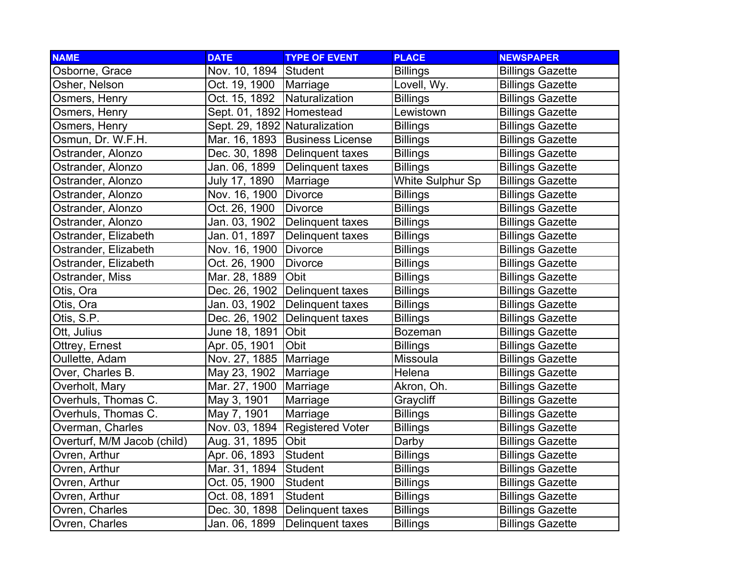| <b>NAME</b>                 | <b>DATE</b>                   | <b>TYPE OF EVENT</b>             | <b>PLACE</b>     | <b>NEWSPAPER</b>        |
|-----------------------------|-------------------------------|----------------------------------|------------------|-------------------------|
| Osborne, Grace              | Nov. 10, 1894                 | Student                          | <b>Billings</b>  | <b>Billings Gazette</b> |
| Osher, Nelson               | Oct. 19, 1900                 | Marriage                         | Lovell, Wy.      | <b>Billings Gazette</b> |
| Osmers, Henry               | Oct. 15, 1892                 | Naturalization                   | <b>Billings</b>  | <b>Billings Gazette</b> |
| Osmers, Henry               | Sept. 01, 1892 Homestead      |                                  | Lewistown        | <b>Billings Gazette</b> |
| Osmers, Henry               | Sept. 29, 1892 Naturalization |                                  | <b>Billings</b>  | <b>Billings Gazette</b> |
| Osmun, Dr. W.F.H.           | Mar. 16, 1893                 | <b>Business License</b>          | <b>Billings</b>  | <b>Billings Gazette</b> |
| Ostrander, Alonzo           |                               | Dec. 30, 1898   Delinquent taxes | <b>Billings</b>  | <b>Billings Gazette</b> |
| Ostrander, Alonzo           | Jan. 06, 1899                 | Delinquent taxes                 | <b>Billings</b>  | <b>Billings Gazette</b> |
| Ostrander, Alonzo           | July 17, 1890                 | Marriage                         | White Sulphur Sp | <b>Billings Gazette</b> |
| Ostrander, Alonzo           | Nov. 16, 1900                 | <b>Divorce</b>                   | <b>Billings</b>  | <b>Billings Gazette</b> |
| Ostrander, Alonzo           | Oct. 26, 1900                 | <b>Divorce</b>                   | <b>Billings</b>  | <b>Billings Gazette</b> |
| Ostrander, Alonzo           | Jan. 03, 1902                 | Delinquent taxes                 | <b>Billings</b>  | <b>Billings Gazette</b> |
| Ostrander, Elizabeth        | Jan. 01, 1897                 | Delinquent taxes                 | <b>Billings</b>  | <b>Billings Gazette</b> |
| Ostrander, Elizabeth        | Nov. 16, 1900                 | <b>Divorce</b>                   | <b>Billings</b>  | <b>Billings Gazette</b> |
| Ostrander, Elizabeth        | Oct. 26, 1900                 | Divorce                          | <b>Billings</b>  | <b>Billings Gazette</b> |
| Ostrander, Miss             | Mar. 28, 1889                 | Obit                             | <b>Billings</b>  | <b>Billings Gazette</b> |
| Otis, Ora                   | Dec. 26, 1902                 | Delinquent taxes                 | <b>Billings</b>  | <b>Billings Gazette</b> |
| Otis, Ora                   | Jan. 03, 1902                 | Delinquent taxes                 | <b>Billings</b>  | <b>Billings Gazette</b> |
| Otis, S.P.                  | Dec. 26, 1902                 | Delinquent taxes                 | <b>Billings</b>  | <b>Billings Gazette</b> |
| Ott, Julius                 | June 18, 1891                 | Obit                             | <b>Bozeman</b>   | <b>Billings Gazette</b> |
| Ottrey, Ernest              | Apr. 05, 1901                 | Obit                             | <b>Billings</b>  | <b>Billings Gazette</b> |
| Oullette, Adam              | Nov. 27, 1885                 | Marriage                         | Missoula         | <b>Billings Gazette</b> |
| Over, Charles B.            | May 23, 1902                  | Marriage                         | Helena           | <b>Billings Gazette</b> |
| Overholt, Mary              | Mar. 27, 1900                 | Marriage                         | Akron, Oh.       | <b>Billings Gazette</b> |
| Overhuls, Thomas C.         | May 3, 1901                   | Marriage                         | Graycliff        | <b>Billings Gazette</b> |
| Overhuls, Thomas C.         | May 7, 1901                   | Marriage                         | <b>Billings</b>  | <b>Billings Gazette</b> |
| Overman, Charles            | Nov. 03, 1894                 | <b>Registered Voter</b>          | <b>Billings</b>  | <b>Billings Gazette</b> |
| Overturf, M/M Jacob (child) | Aug. 31, 1895                 | Obit                             | Darby            | <b>Billings Gazette</b> |
| Ovren, Arthur               | Apr. 06, 1893                 | Student                          | <b>Billings</b>  | <b>Billings Gazette</b> |
| Ovren, Arthur               | Mar. 31, 1894                 | Student                          | <b>Billings</b>  | <b>Billings Gazette</b> |
| Ovren, Arthur               | Oct. 05, 1900                 | Student                          | <b>Billings</b>  | <b>Billings Gazette</b> |
| Ovren, Arthur               | Oct. 08, 1891                 | Student                          | <b>Billings</b>  | <b>Billings Gazette</b> |
| Ovren, Charles              | Dec. 30, 1898                 | Delinquent taxes                 | <b>Billings</b>  | <b>Billings Gazette</b> |
| Ovren, Charles              | Jan. 06, 1899                 | Delinquent taxes                 | <b>Billings</b>  | <b>Billings Gazette</b> |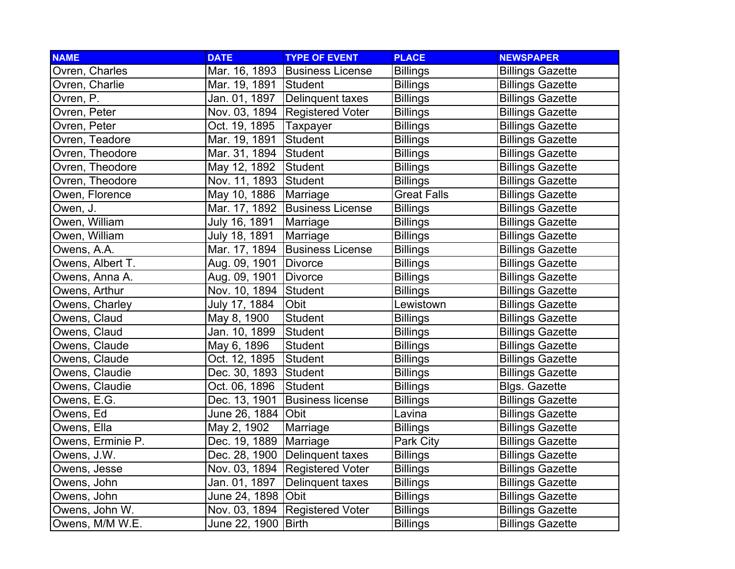| <b>NAME</b>       | <b>DATE</b>           | <b>TYPE OF EVENT</b>    | <b>PLACE</b>       | <b>NEWSPAPER</b>        |
|-------------------|-----------------------|-------------------------|--------------------|-------------------------|
| Ovren, Charles    | Mar. 16, 1893         | <b>Business License</b> | <b>Billings</b>    | <b>Billings Gazette</b> |
| Ovren, Charlie    | Mar. 19, 1891 Student |                         | <b>Billings</b>    | <b>Billings Gazette</b> |
| Ovren, P.         | Jan. 01, 1897         | Delinquent taxes        | <b>Billings</b>    | <b>Billings Gazette</b> |
| Ovren, Peter      | Nov. 03, 1894         | <b>Registered Voter</b> | <b>Billings</b>    | <b>Billings Gazette</b> |
| Ovren, Peter      | Oct. 19, 1895         | Taxpayer                | <b>Billings</b>    | <b>Billings Gazette</b> |
| Ovren, Teadore    | Mar. 19, 1891         | Student                 | <b>Billings</b>    | <b>Billings Gazette</b> |
| Ovren, Theodore   | Mar. 31, 1894         | Student                 | <b>Billings</b>    | <b>Billings Gazette</b> |
| Ovren, Theodore   | May 12, 1892          | Student                 | <b>Billings</b>    | <b>Billings Gazette</b> |
| Ovren, Theodore   | Nov. 11, 1893         | Student                 | <b>Billings</b>    | <b>Billings Gazette</b> |
| Owen, Florence    | May 10, 1886          | Marriage                | <b>Great Falls</b> | <b>Billings Gazette</b> |
| Owen, J.          | Mar. 17, 1892         | <b>Business License</b> | <b>Billings</b>    | <b>Billings Gazette</b> |
| Owen, William     | July 16, 1891         | Marriage                | <b>Billings</b>    | <b>Billings Gazette</b> |
| Owen, William     | July 18, 1891         | Marriage                | <b>Billings</b>    | <b>Billings Gazette</b> |
| Owens, A.A.       | Mar. 17, 1894         | <b>Business License</b> | <b>Billings</b>    | <b>Billings Gazette</b> |
| Owens, Albert T.  | Aug. 09, 1901         | Divorce                 | <b>Billings</b>    | <b>Billings Gazette</b> |
| Owens, Anna A.    | Aug. 09, 1901         | Divorce                 | <b>Billings</b>    | <b>Billings Gazette</b> |
| Owens, Arthur     | Nov. 10, 1894         | Student                 | <b>Billings</b>    | <b>Billings Gazette</b> |
| Owens, Charley    | July 17, 1884         | Obit                    | Lewistown          | <b>Billings Gazette</b> |
| Owens, Claud      | May 8, 1900           | <b>Student</b>          | <b>Billings</b>    | <b>Billings Gazette</b> |
| Owens, Claud      | Jan. 10, 1899         | Student                 | <b>Billings</b>    | <b>Billings Gazette</b> |
| Owens, Claude     | May 6, 1896           | Student                 | <b>Billings</b>    | <b>Billings Gazette</b> |
| Owens, Claude     | Oct. 12, 1895         | <b>Student</b>          | <b>Billings</b>    | <b>Billings Gazette</b> |
| Owens, Claudie    | Dec. 30, 1893         | Student                 | <b>Billings</b>    | <b>Billings Gazette</b> |
| Owens, Claudie    | Oct. 06, 1896         | Student                 | <b>Billings</b>    | <b>Blgs. Gazette</b>    |
| Owens, E.G.       | Dec. 13, 1901         | <b>Business license</b> | <b>Billings</b>    | <b>Billings Gazette</b> |
| Owens, Ed         | June 26, 1884         | Obit                    | Lavina             | <b>Billings Gazette</b> |
| Owens, Ella       | May 2, 1902           | Marriage                | <b>Billings</b>    | <b>Billings Gazette</b> |
| Owens, Erminie P. | Dec. 19, 1889         | Marriage                | Park City          | <b>Billings Gazette</b> |
| Owens, J.W.       | Dec. 28, 1900         | Delinquent taxes        | <b>Billings</b>    | <b>Billings Gazette</b> |
| Owens, Jesse      | Nov. 03, 1894         | <b>Registered Voter</b> | Billings           | <b>Billings Gazette</b> |
| Owens, John       | Jan. 01, 1897         | Delinquent taxes        | <b>Billings</b>    | <b>Billings Gazette</b> |
| Owens, John       | June 24, 1898 Obit    |                         | <b>Billings</b>    | <b>Billings Gazette</b> |
| Owens, John W.    | Nov. 03, 1894         | <b>Registered Voter</b> | <b>Billings</b>    | <b>Billings Gazette</b> |
| Owens, M/M W.E.   | June 22, 1900         | <b>Birth</b>            | <b>Billings</b>    | <b>Billings Gazette</b> |